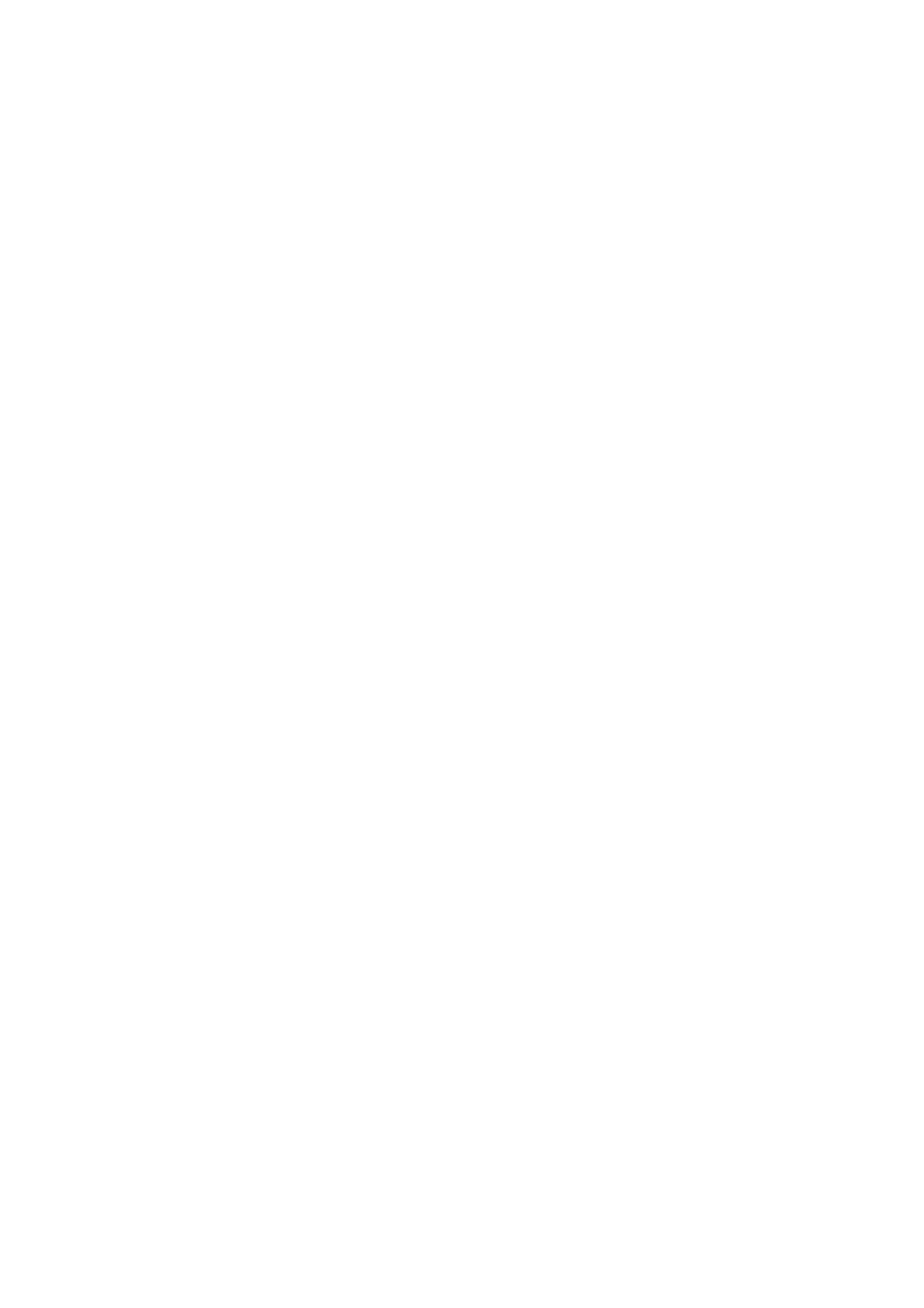

# **UNIT-1 MEANING, DEFINITIONS & UTILITY OF SOCIAL RESEARCH**

#### **Structure**

- 1.1 Introduction
- 1.2 Learning Objectives
- 1.3 What is Research?
- 1.4 What is Social Research?
	- 1.4.1 .Meaning of Social Research
	- 1.4.2 Definitions of Social Research
	- 1.4.3 Aims and Objectives of Social Research
- 1.5 Utility of Social Research
	- 1.5.1 Explore and extension of knowledge and wisdom in the subject matter
	- 1.5.2 Understanding Social Realities and Phenomena
	- 1.5.3 Understanding Social Realities and Phenomena
	- 1.5.4 Diagnosis of social problems and their analysis
	- 1.5.5 Planning and Policy Formulation
	- 1.5.6 Social Welfare
	- 1.5.7 Social Growth
	- 1.5.8 Social Prediction
	- 1.5.9 Development in Social Research Tools and Techniques
- 1.6 Let us sum up
- 1.7 Glossary
- 1.8 Check Your Progress: Answer Keys
- 1.9 Suggested Readings

#### **1.1 INTRODUCTION**

The present unit is all about the meaning, definitions, and utilities of social research. This unit is the first part of Block -1: Meaning and Significance of Social Research. This unit will help students learn basic knowledge of social science research and its importance in society. Prior to discuss the contents in this unit, let's discuss why we should go for research? Research is considered as the value addition to existing knowledge, and knowledge is something to do with knowing something. There are various sources of knowing something, like through acquaintance or detailed description of nature and character. Here the acquaintance source of knowledge is the commonsense knowledge. Take the example of drinking coffee. The commonsense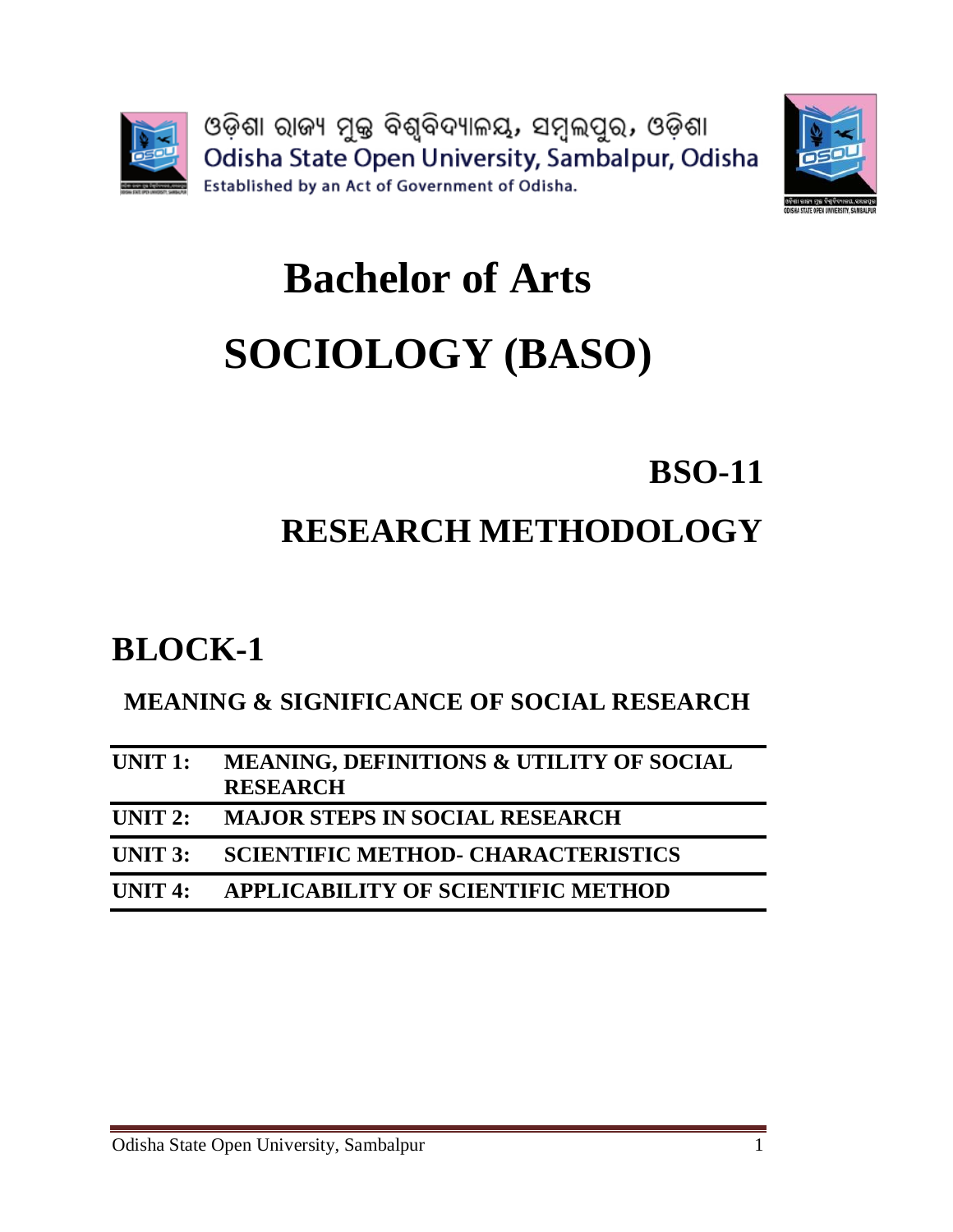

knowledge of 'drinking coffee' is considered as a refreshment beverage of day-to-day activities. If we go into detail description and its character of coffee, it contains caffeine, which is a drug and has stimulating effect on the brain. For many people it is not just refreshment, they drink for extra lift in their long day work or study. So there is a difference between commonsense knowledge and details description and character of content. The detailed description, nature, and character of content are documented through only research. So to understand the inherent, implicit, and truth of content or concept, we go for research, which can be verifiable and reliable. Research helps us to think ourselves away from commonsense knowledge. In this context, this unit will help the readers know the concept of social research and its utility.

# **1.2 LEARNING OBJECTIVES**

The unit is designed to help you in conceptualizing

- the meaning of research and social research
- the difference between research and social research
- describes and analyses the definitions of social research provided by scholars
- the usefulness and significance of social research in our day to day life and society

# **1.3 WHAT IS RESEARCH**

The term 'research' has been derived from the French word '*recherche'*, and is the combination of two words 're' and '*cherche'*. The meaning of the word '*recherche'*  refers to seek out, or seek for or search closely. Likewise, the term 'research' consists of two words, 're' and 'search.' The 're' refers to again, and 'search' refers to finds out or looks up for something. The etymological meanings of the term reveal that research refers to look at something again and again. Then, why should we study something again and again? F. A. Ogg writes, *'research may or may not come to success; it may or may not add anything to what is already known. It is sufficient that its objectives be new knowledge or at least a new mode or orientation of knowledge'*. So the objective of the research is to explore and add new knowledge on the subject of study. But, what to study and how to study phenomena is the subject matter of concerned discipline, which varies from discipline to discipline. However, research as a universal process and method adds knowledge to the existing literature and reveals the facts.

In the process of exploring the facts, Clifford Moody (1927) writes that "*It comprises defining and redefining problems; formulating hypotheses or suggested solutions; collecting, analyzing and evaluating data; making deductions and making conclusions; and at last carefully testing the conclusions to determine whether they fit the formulated hypothesis.*" Further, John Dewey (1983) noted that *"research is*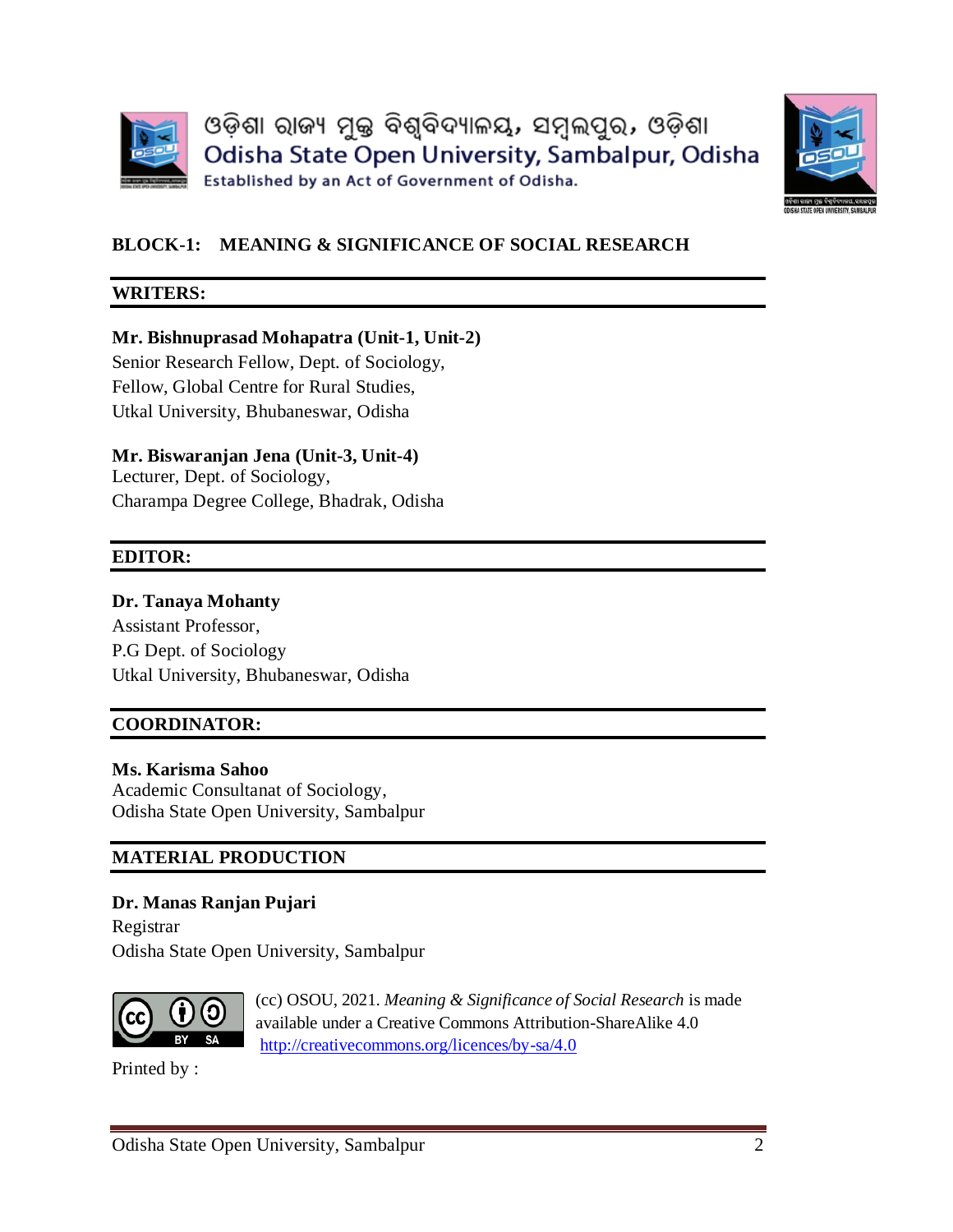

*considered to be the more formal, systematic, intensive process of carrying on the scientific method of analysis. It involves a more systematic structure of investigation, usually resulting in some sort of formal record of procedures and a report of results or conclusion*." From the above etymological meanings and scholar's definitions, it can be argued that research is a systematic and scientific study of particular phenomena to advance knowledge. Its aim and purpose are to discover the knowledge and truth of a phenomenon or subject matter. It is undertaken to answer the questions by carefully examining the studied phenomena using the systematic and scientific method.

Research has been carried out in diverse disciplines and subjects, i.e., natural science and social science, to advance their subject matter knowledge. As the subject of science, Anthony Giddens and Philip W. Sutton (2013) write, "*Science involves the use of systematic methods of empirical investigations, the analysis of data, theoretical thinking and the logical assessment of arguments to develop a body of knowledge about a particular subject matter."* Both the discipline of research and its process cannot be identical in a scientific way due to the nature of the subject matter. However, as a subject of science, both disciplines use and follow systematic and scientific methods of investigation.

#### **Check Your Progress Exercise 1.1**

**Note:**

*I. Use the space given below for your answer. II. Compare your answer with the one given at the end of this unit.*

#### **Q1.What is research?**

Answer:

### **Q2. What is the aim and purpose of research?** Answer: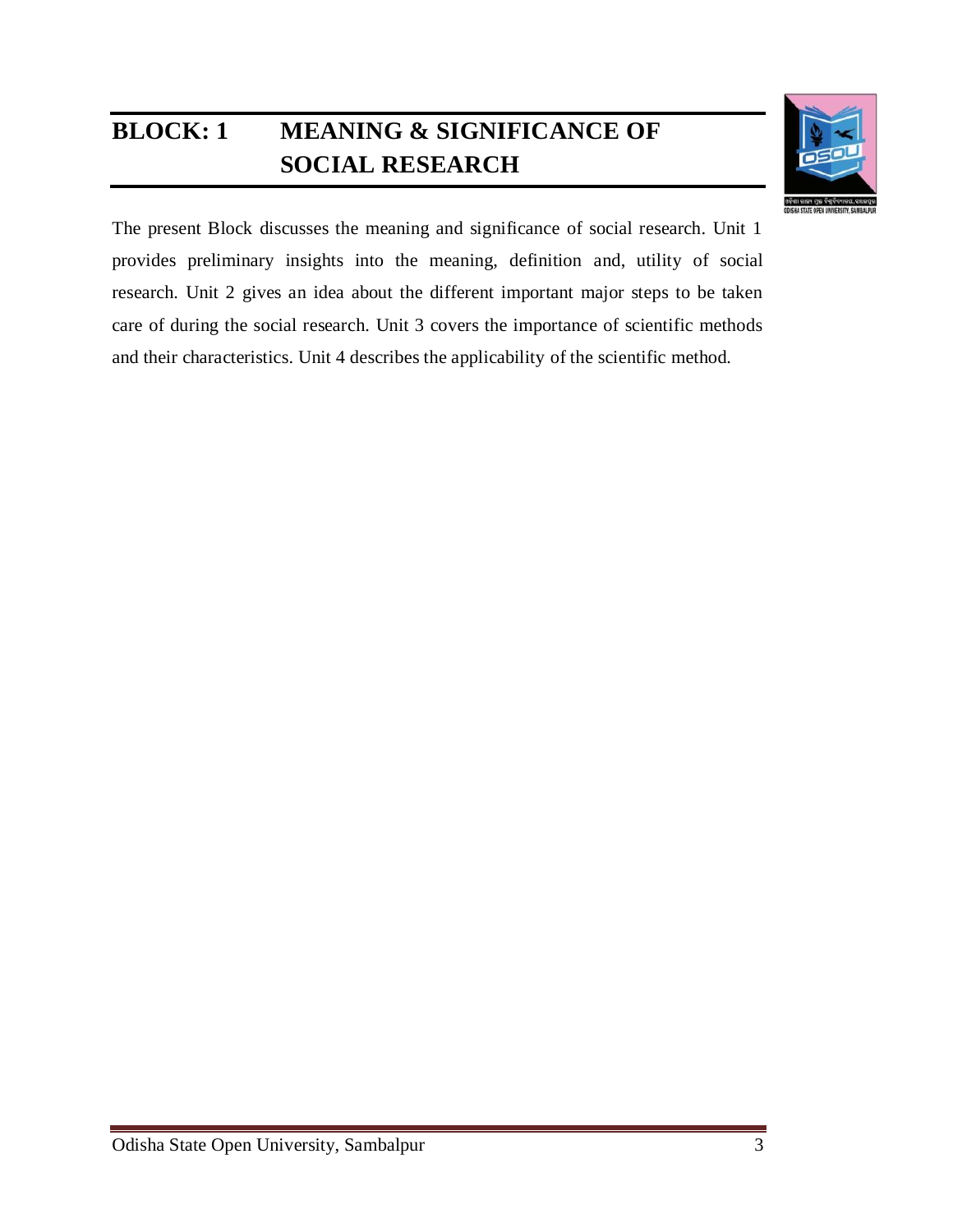### **1.4 WHAT IS SOCIAL RESEARCH**



#### **1.4.1 What is Social Research?**

The approach and result of science and research are universal in nature. They provide a practical solution to the problems in the universe, which applies not only to natural or physical science but also to social science. As the subject matter of social science differs from the natural and physical sciences as well as the subject of their research and practical solution to the universe. As the subject matter of social science disciplines in general and sociology in particular deals with the study of society, community, groups, human beings, and their activities, social structure etc., likewise the subject of their research. So social research includes scientific investigation carried out in the discipline of social science. Like research, social research implies the advancement and (re)discovery of knowledge on the social phenomena or facts that existed in the society through a systematic process. Before discussing the aim, task, significance, and utilities of social research, let's look into the scholarly definitions for a clear understanding of social research.

### **1.4.2 Definitions of Social Research**

The scholars from different social science disciplines have been provided and defined various definitions for the term 'Social Research' in their respective writings.

P. V. Young, in defining social research writes that '*Social research is the systematic method of discovering the new facts or verifying the old facts, their sequences, interrelationship, casual explanations and the natural laws which govern them*.' Young's definition of social research reveals that it is a scientific process used to discover, rediscover, and verify the social facts, how they are ordered and interrelated through causal relationships. He further explains that social research studies how natural laws govern these social facts and phenomena through casual explanations in a systematic method.

Uwe Flick, in defining social research says that '*Social research is the systematic analysis of research questions by using empirical methods. It aims to make empirically grounded statements that can be generalized or to test such statements. Various approaches can be distinguished and also a number of fields of applications. The various aim can be pursued, ranging from an exact description of phenomena to its explanation or to evaluation of an intervention or institution.* ' Like Young's definition, Flick also considered social research as a systematic method of analysis. Social research should use empirical methods to answer the questions and generalizing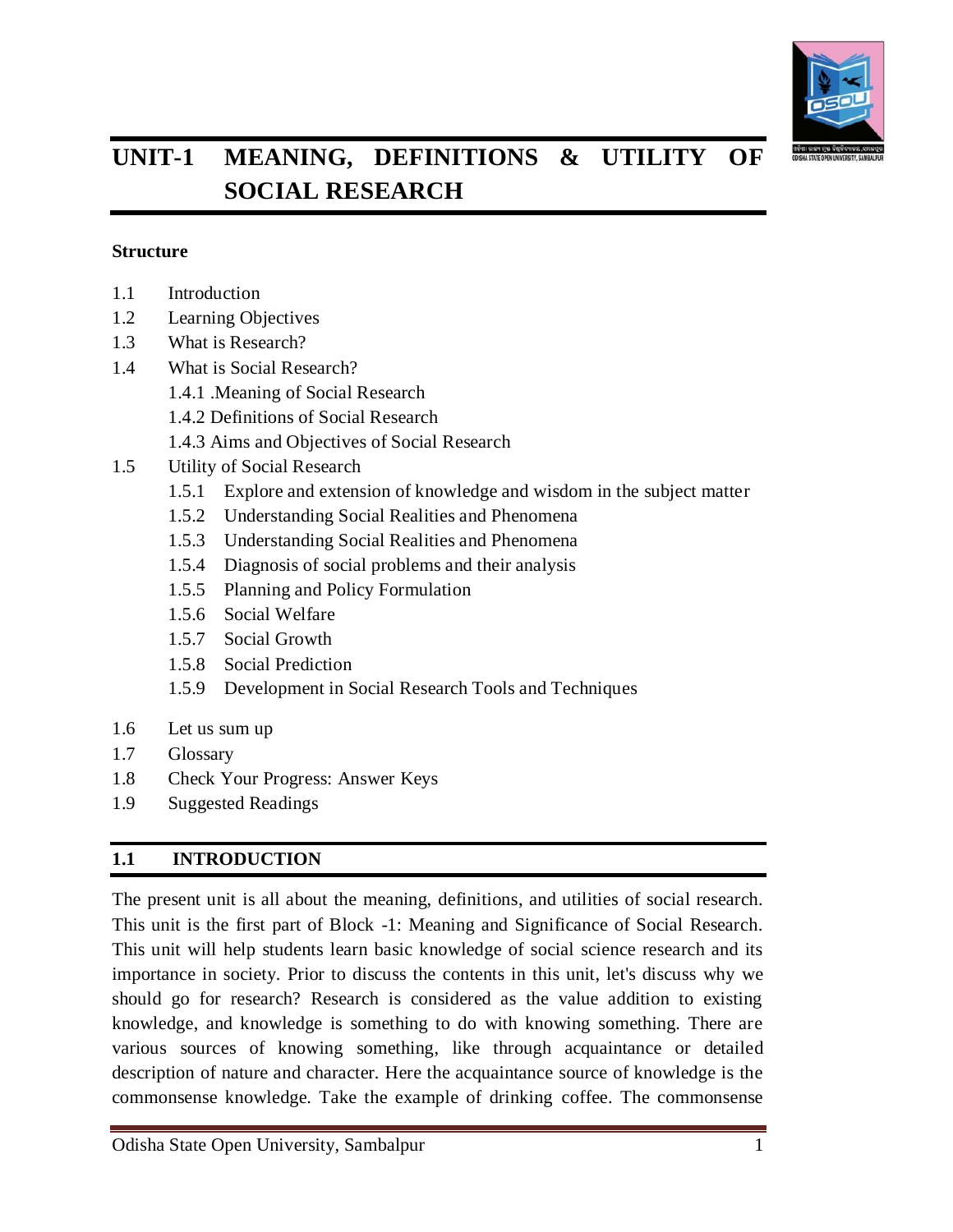

the research findings. Social research can be used and pursued various approaches and aims to describe, analyses, explain or evaluate social phenomena.

B. N. Ghosh, in explaining social research writes that '*Social Research involves the application of scientific method for the understanding, studying and analysing of social life in order to modify, correct or verify the existing knowledge as a system.'*  Ghose's analysis of social research implies that social research studied social life by applying the scientific method. Social research not only understands and analyzes social life but also tries to verify, correct, and modifies the facts of social life.

So from the above definitions, it can be concluded that social research is a systematic and scientific study of particular social phenomena with an objective of advancing knowledge. It not only analyses and describes the studied society, social issues, human behavior, and individual problems through a systematic manner, rather discovers the casual relationship, (re)established new facts, verify the old phenomena and ultimately add knowledge to existing subject matter of study. However, knowledge production is the central force of social research as a part of scientific interests. There are three tasks of social research used in the process of knowledge creation. These are descriptions, understanding, and explanations of the scientific investigation of social phenomena. In social science research first action needs to be on the description of studied subjects or phenomena. It helps in understanding the context and meaning of studied phenomena. After understanding the phenomena, the last step is to look into the explanations and casual relationships between different aspects of studied social phenomena. Look into the Example  $-1$  for better understanding.

### **Example – 1**

Let's take the example of COVID-19 as a new phenomenon of disease. To know and suggestive cure measures for this new diseases, its description, understanding, and explanation are necessary. In the first step, we need a detailed description of the COVID-19 and the experiences of COVID-19 patients. The description of the COVID-19 disease will help us understand the meaning, context, and effects of this new disease. So the description and understanding of the COVID-19 disease will help us analyze the explanations like how it spreads or what the symptoms are, or how it can be cured?

# **1.4.3 Aims and Objectives of Social Research**

The aims and objectives of social research mostly vary from the different types and goals of the research. Scholars like P. V. Young, Goode and Hatt, B. N. Ghosh, and Ram Ahuja in their respective writings highlighted various aims and objects of social research. The important aims and objectives of social research are described below: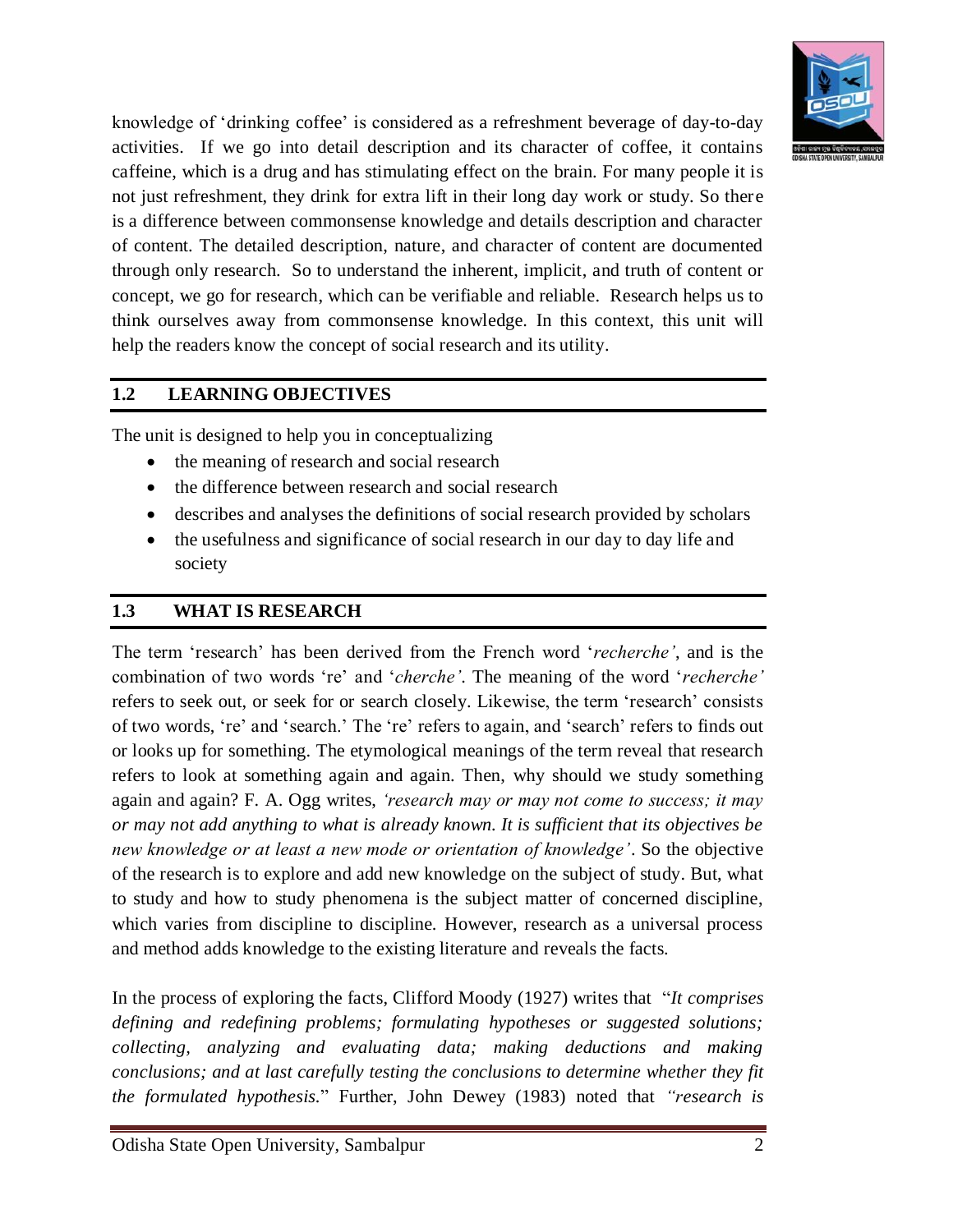

- Social research aims to understand the structure and function of society
- Social research studies individual behavior and social action and its interaction in the social system and institution.
- Social research investigates and evaluates the social problem to find out the solution of the problem to establish better social order
- Social research understand and explore the social phenomena, reality, and social life
- Social research develops and explores new social theories and concepts

These aims and objectives of social research are further divided into two categories based on their functions and motives in society. Scholars divide these two categories as 'theoretical' and 'utilitarian. The theoretical aspects of social research are mostly associated with the academic purpose and aim to acquire knowledge on society and how it functions. It is considered as the basic research, where motivation is to acquire knowledge. Whereas the utilitarian aspects of social research deal with understanding social issues and problems and work towards ordering society through rectifying and removing the social obstacles. It deals with the solution aspects of problems, discussing the cause-effect relationship between social issues and social phenomenon. These aspects of research are mostly considered as applied research, which not only acquires the knowledge but also uses the knowledge for practical purposes to solve social problems. However, both aspects of research help and complement each other in understanding and solving social issues and problems.

### **Check Your Progress Exercise 1.2**

**Note:**

*I. Use the space given below for your answer. II. Compare your answer with the one given at the end of this unit.*

**Q.3. What is Social Research?** Answer:

**Q.4. What are the aims of social research?**  Answer: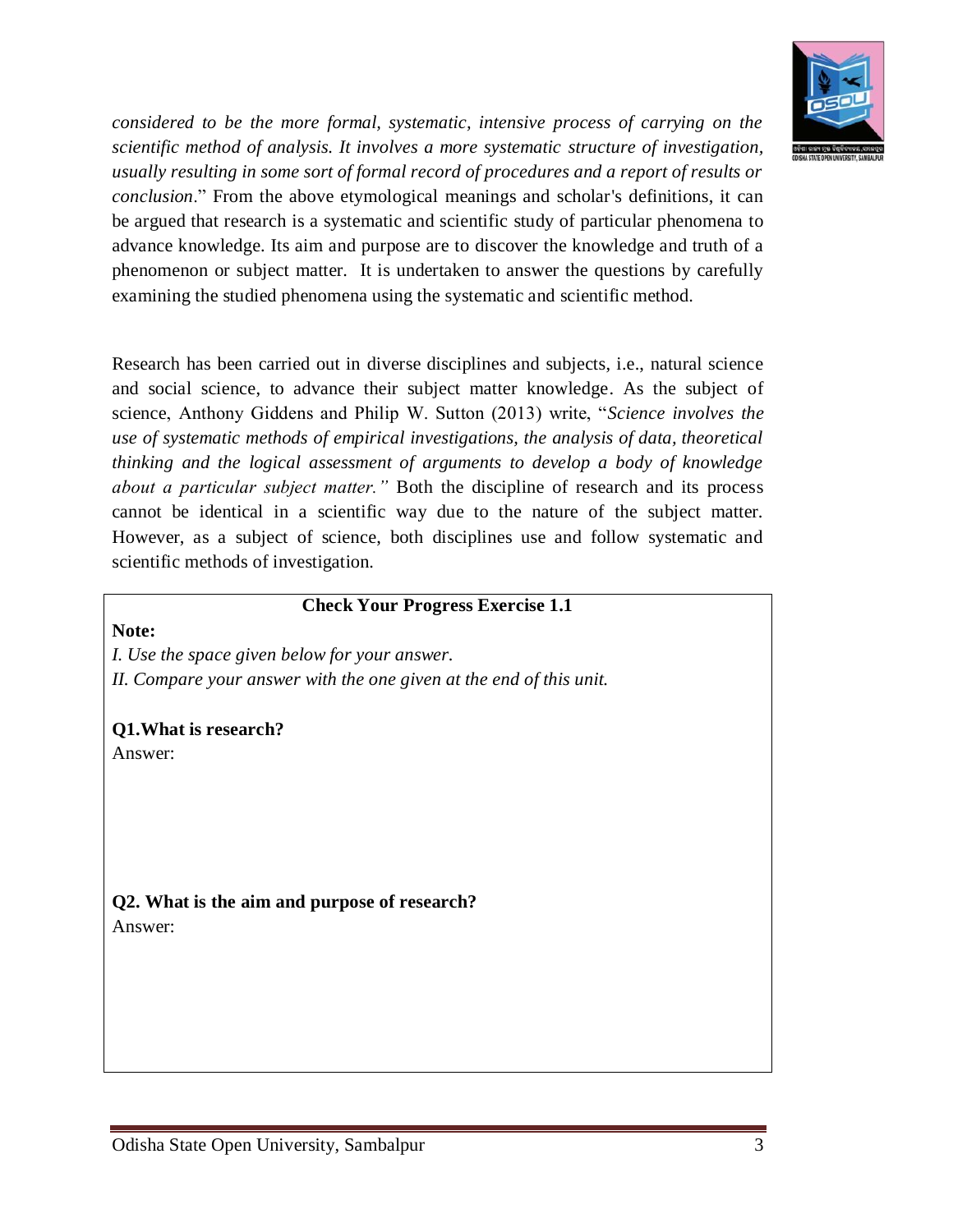

# **1.5 UTILITY OF RESEARCH**

The above discussion on social research meaning, definition, aim and objectives, and subject matter of study gives a clear picture of what social research is? But, the question arises, why scholars did involves in social research? What is the use of social research in our society or in everyday life?, and what can be achieved in social research? In a universal sense, the usefulness of research is to the extension of knowledge in the subject matter and helps in understanding the studied subject, which is discussed earlier in the meaning and definition section of the social research. Besides these universal utilities, social research has its own practical utilities in society. The practical utilities of social research are discussed below.

#### **1.5.1 Explore and extension of knowledge and wisdom in the subject matter**

The first and foremost utility of social research is to explore and expand the existing knowledge in the subject of study and its discipline. The addition of new knowledge in the existing literature will bring potential growth in the scope and subject matter of study and steps forward towards achieving maturity and wisdom.

#### **1.5.2 Understanding Social Realities and Phenomena**

Social research assists in finding out the actual social realities, facts, and phenomena of societies in a more simplified way. It reveals the hidden and ground reality and truth of social phenomena by dismissing the ideas of taboos and superstitions. The truth of social phenomena is explored and described through reason and logic; it helps better understanding the different units of society. It also helps in developing and classifying various social concepts and ideas from research findings for better understanding and avoids confusion over different social units.

#### **1.5.3 Control of Social Phenomena**

The control over society and social phenomena is possible when someone has complete information on the society, its structure, its units, institutions, and how they are interrelated, functioned, and guide the human behaviors in the society. So it is social research that helps in gathering and documenting various aspects of information on society and human relationships. By acquiring knowledge over social phenomena helps understand the nature of laws that govern society, humans, and their inter-relationship. So social research also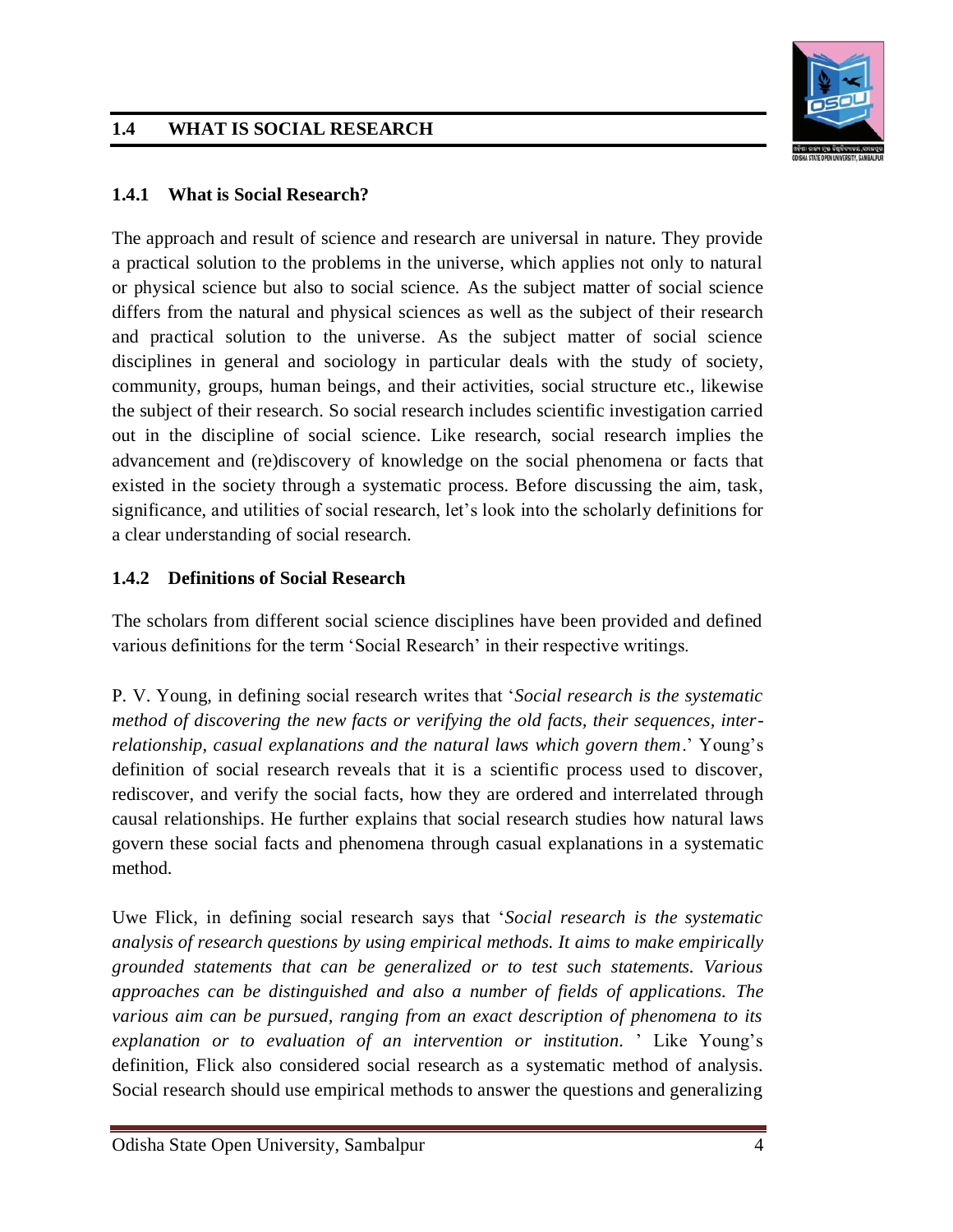

helps bring social order and cohesion in society by controlling the social phenomena.

### **1.5.4 Diagnosis of social problems and their analysis**

Social research helps diagnose and analyze the existing social problems in society, like unemployment, poverty, farmer suicide, deforestation, etc. This diagnosis helps to identify the nature and dimensions of a particular problem. The analysis helps to identify appropriate remedial measures for the problems.

### **1.5.5 Planning and Policy Formulation**

The government's planning and policies are formulated from time to time to address the gaps in various development activities. All the planning and policy decisions in social sector development and welfare programs are taken up and finalized on the basis of inputs and suggestions received from social science researchers and their research findings. So social research provides the means, guidelines, and plans on the basis of its research findings to address and reduce the development gaps. The social science research findings help planning and policymakers formulate the perfect plan for implementing different developmental programs in society.

#### **1.5.6 Social Welfare**

Social research reveals the problems, needs, and necessities of a community or society. According to research findings, the welfare measures are taken up by concerned government departments through social welfare programs. Social research helps find actual causes of social evils and deviant activities and suggests necessary steps to bring order in society by eradicating social evils. Social research can provide sound guidelines for appropriate measures of welfare and reforms in society. It is the social research that helps the state formulate legislative measures to protect society by maximizing social welfare.

### **1.5.7 Social Growth**

Social growth is achieved through the help of social research. Social research not only studies the different units of society and their relationship but also helps and pointed out the right direction for societal growth. Social research helps in maintaining the balanced growth between different parts of society. Different societal parts, their functions, and structures are ordered and balanced through social research. Social research also helps in better planning and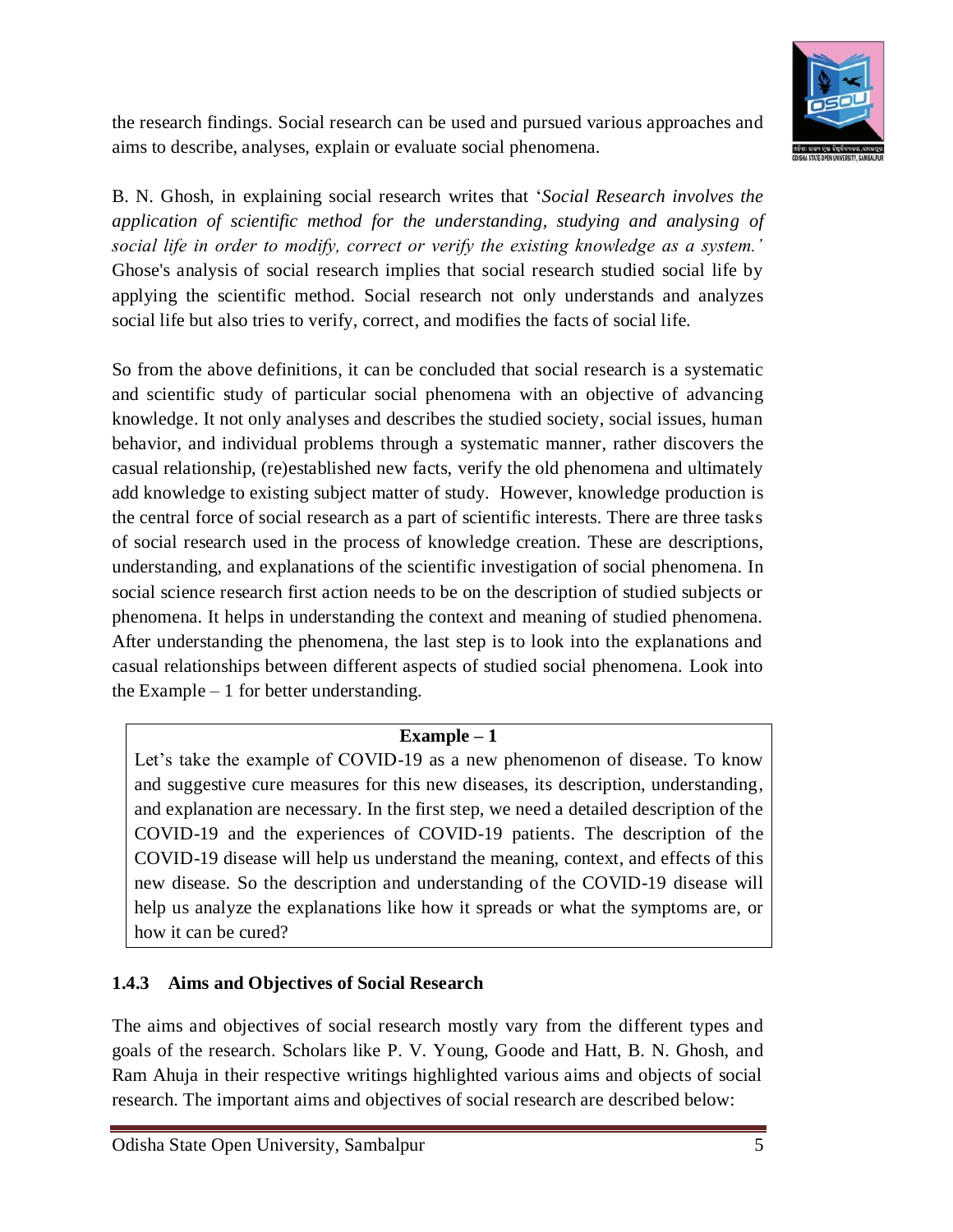

controlling different aspects of society, which ultimately leads to establishing better social order and growth.

#### **1.5.8 Social Prediction**

Social research helps to understand the social laws that are controlling, ordering, and maintaining different social facts and their interaction in society. These interactions of different facts are causal connections or causative factors that help social researchers to predict the relationship between different social phenomena and facts. Perfect prediction in social science research, though, is not possible in the majority of cases due to the complexity of social phenomena, diversified causal factors and their unstable relationship, but researchers used statistical measures for prediction. The earlier prediction on social governing laws and causal relationship between different social facts helps better control over social phenomena and ultimately helps in better planning. The projections help in fixing social goals for our future.

#### **1.5.9 Development in Social Research Tools and Techniques**

The social researcher used different tools and techniques to conduct research and analysis the findings of the research. The progress and development in social research and changing social circumstances help researchers become more innovative in collective information. With the innovations in research, the old and existing tools and techniques are modified and replaced with a new ones with the exigency of new situations. This helps advancements in the tools and techniques of social science research and can result in more efficient research.

#### **Check Your Progress 1.3**

**Note:**

*I. Use the space given below for your answer.*

*II. Compare your answer with the one given at the end of this unit.*

**Q.5. Define social research and list out, what are the practical utilities in social science research?**

Answer:

**Q.6. How social research helps in the planning and policy formulation of government?**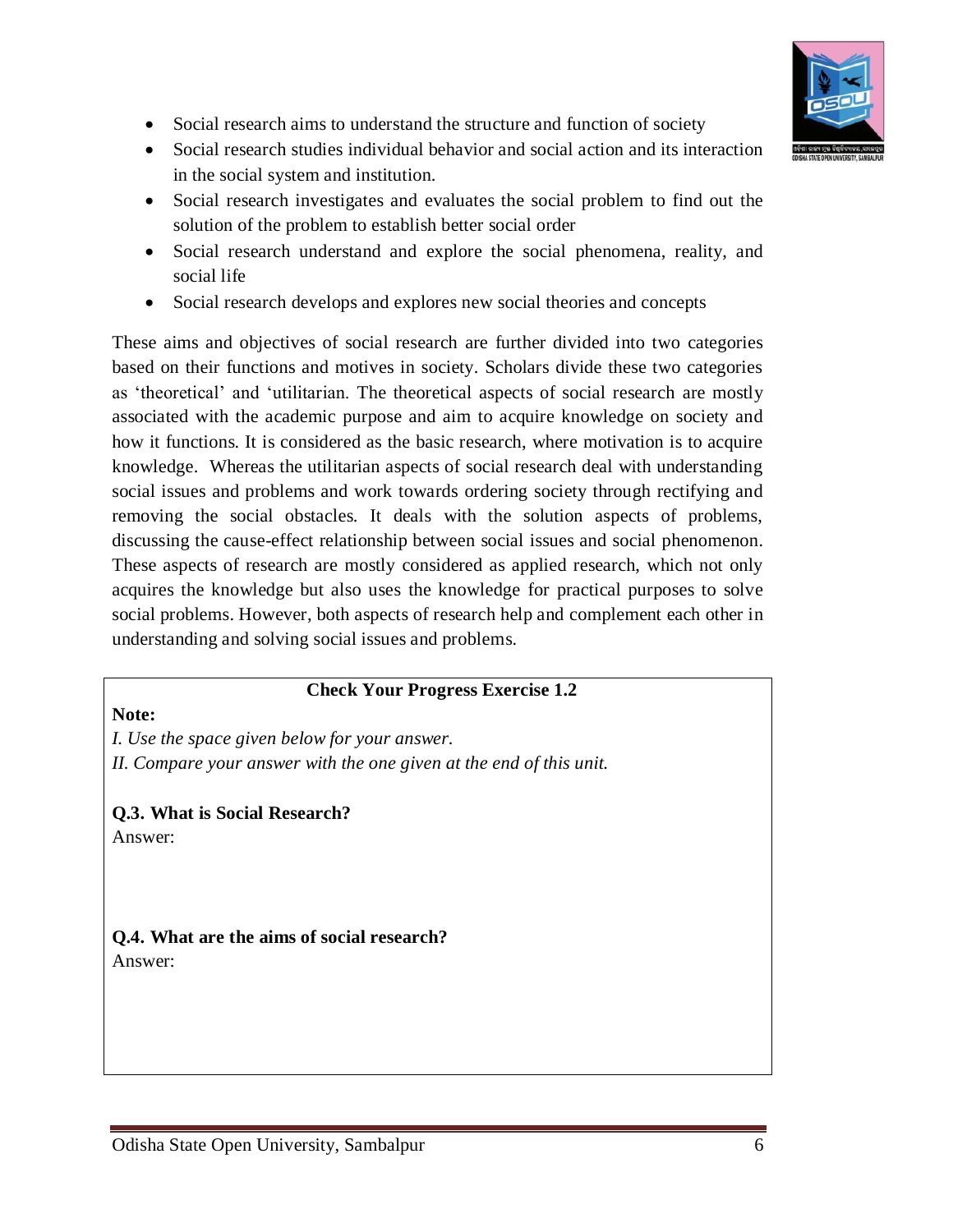Answer:



# **1.6 LET US SUM UP**

This unit has first discussed and provided the etymological meaning and definition of research. In explaining research, the unit provided and analyses the scholarly definition. Likewise, the meaning and definitions of social research are explained by providing the scholarly definitions of P.V. Young, Uwe Flick, and B N Ghosh. The three tasks aims and objectives of social research are highlighted and explained, followed by the functions and motives of social research. The second part of this unit discusses the utility and significance of social science research in society. Here, nine practical utilities of social research are highlighted and explained. Overall this unit comprises of meaning, definitions, and utility of social research.

### **1.7 GLOSSARY**

| <b>Research:</b>          | Research is a systematic and scientific study of particular<br>phenomena to advance knowledge                                                                                                                                                                                                                                                                                                           |
|---------------------------|---------------------------------------------------------------------------------------------------------------------------------------------------------------------------------------------------------------------------------------------------------------------------------------------------------------------------------------------------------------------------------------------------------|
| <b>Commonsense</b>        |                                                                                                                                                                                                                                                                                                                                                                                                         |
| Knowledge:                | Commonsense knowledge is the information that all individuals<br>have. It is considered as the general knowledge of something. It<br>is universal in nature. It is based on the accumulated<br>experiences, prejudices, and beliefs of the people, is often<br>contradictory and inconsistent.                                                                                                          |
| <b>Researcher:</b>        | Researcher refers to the person who carries out or conducted<br>research activities respective of any discipline or subject.                                                                                                                                                                                                                                                                            |
| <b>Social Research:</b>   | Social research is a systematic and scientific study of particular<br>social phenomena to advance knowledge. It not only analyses<br>and describes the studied society, social issues, human behavior,<br>and individual problems systematically, but rather discovers the<br>casual relationship, (re)established new facts, and ultimately<br>adds knowledge to the existing subject matter of study. |
| <b>Scientific Method:</b> | Scientific method or approach is a pattern of systematic<br>scientific investigation for knowledge extension. It comprises of                                                                                                                                                                                                                                                                           |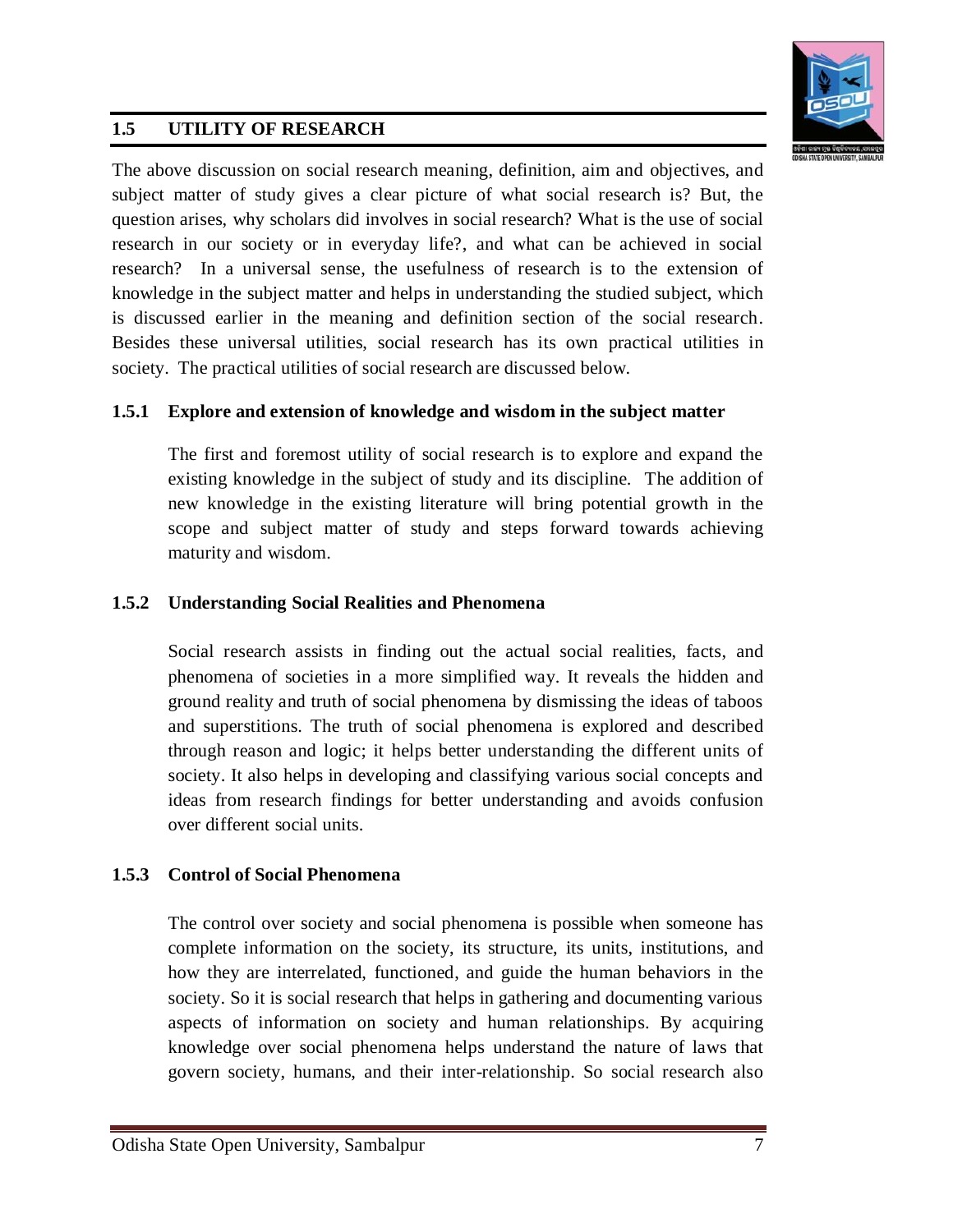

observation, hypothesis, and verification. These three steps are applied to both physical and social sciences.

### **Utility:** Utility refers to the usefulness of something on other. Like the social research utilities on the society or the studied subjects.

#### **1.8 CHECK YOUR PROGRESS: ANSWER KEYS**

- **Answer to Q.1:** Research is a systematic and scientific study of particular phenomena to advance knowledge. It is different from the commonsense knowledge of the individual. **Answer to Q.2:** The aim and purpose of research are to discover the knowledge and truth of a phenomenon or subject matter. **Answer to Q.3: S**ocial research is a systematic and scientific study of particular social phenomena with the objective of advancing knowledge. It not only analyses and describes the studied society, social issues, human behavior, and individual problems through a systematic manner, rather discovers the casual relationship, (re)established new facts, verify the old phenomena and ultimately add knowledge to the existing subject matter of study. **Answer to 0.4:** The important aims of social research are; social research aims to understand the structure and function of society, social research studies the individual behavior and social action and its interaction in the social system and institution, social research investigates and evaluates the social problem in order to the solution of the problem to establish better social order, social research understand and explore the social phenomena, reality, and social life, and social research develops and explores new social theories and concepts. **Answer to 0.5:** Social research is a systematic and scientific study of particular social phenomena with the objective of advancing knowledge.
- The major points in the utility of social research are; explore and extension of knowledge and wisdom in the subject matter, understanding social realities and phenomena, control of social phenomena, diagnosis of social problems and their analysis, planning and policy formulation, social welfare, social growth, social prediction, and development in social research tools and techniques.
- **Answer to Q.6:** Social research helps in planning and policy formulation of government. The government's planning and policy are formulated from time to time to address the gaps in various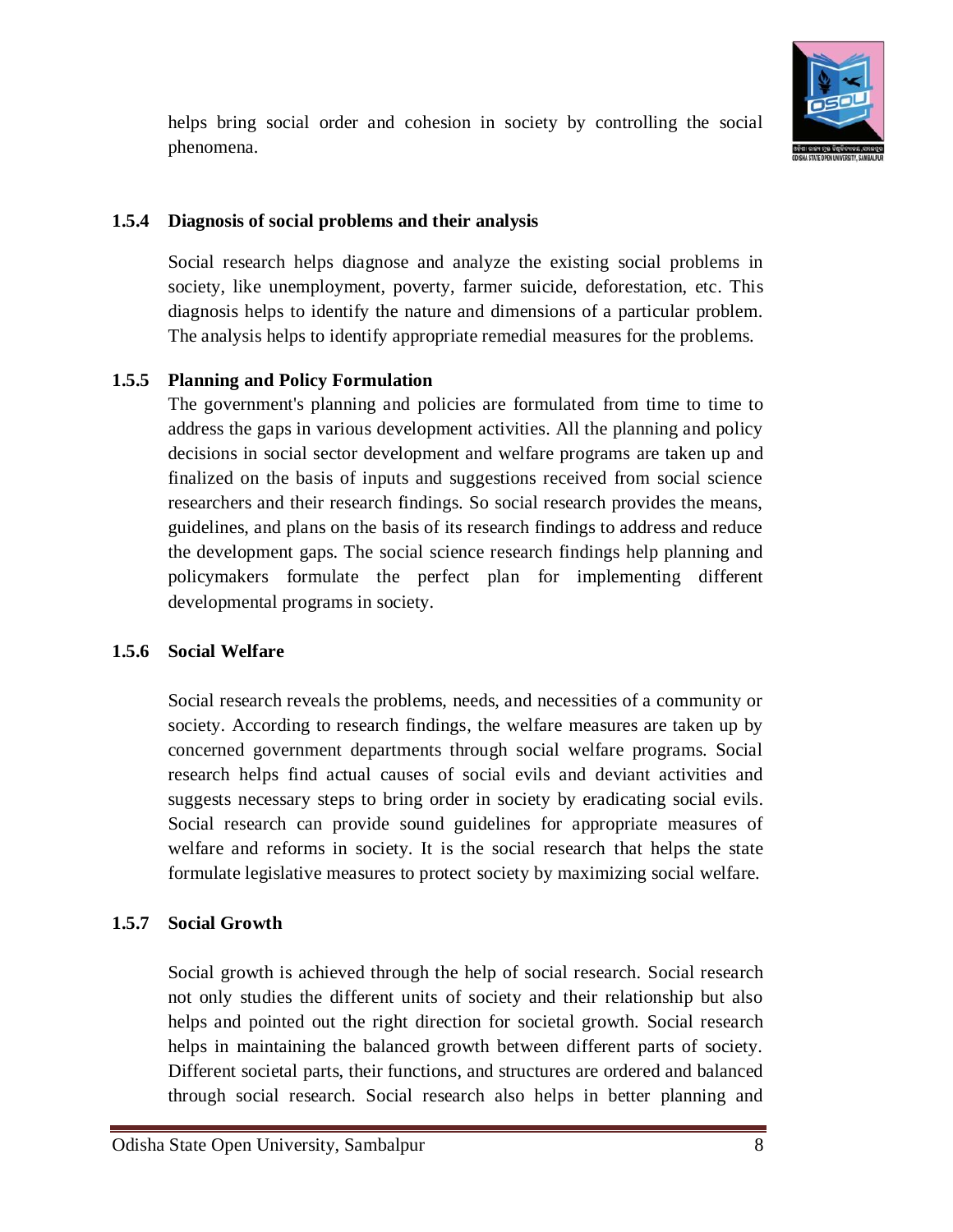

development activities. All the planning and policy decisions in social sector development and welfare programs are taken up and finalized based on inputs and suggestions received from social science researchers and their research findings. So social research provides the means, guidelines, and plans based on its research findings to address and reduce the development gaps.

#### **1.9 REFERENCES**

#### **1.10 Reference and Suggested Readings**

- Flick, U. (2011) *Introducing Research Methodology A Beginner's Guide to Doing a Research Project.* New Delhi: Sage
- Ghosh, B. N. (1992) *Scientific Method and Social Research.* New Delhi: Sterling Publishers Private Limited. Third Edition
- Giddens, A. and P. W. Sutton (2013) *Sociology (Seventh Edition).* New Delhi: Wiley
- Goode, W.J. and Hatt, P.K. (1952), *Methods in Social Research*, McGraw-Hill, New York, NY.
- Kar, P.K. and Padhi, S. R. (2010) *Social Research Methodology and Techniques*. Kalyani Publishers
- Kothari, C. R. and Garg, G. (2019) *Research Methodology: Methods and Techniques*. New Age International Publishers
- Kumar, C. R. (2011) *Research Methodology.* New Delhi: APH Publishing Corporation
- Raj, Hans (2013) *Theory and Practice in Social Research*. Delhi: Surjeet Publication
- Young, P. V. (1984) *Scientific Social Surveys and Research.* Prentice Hall India Learning Private Limited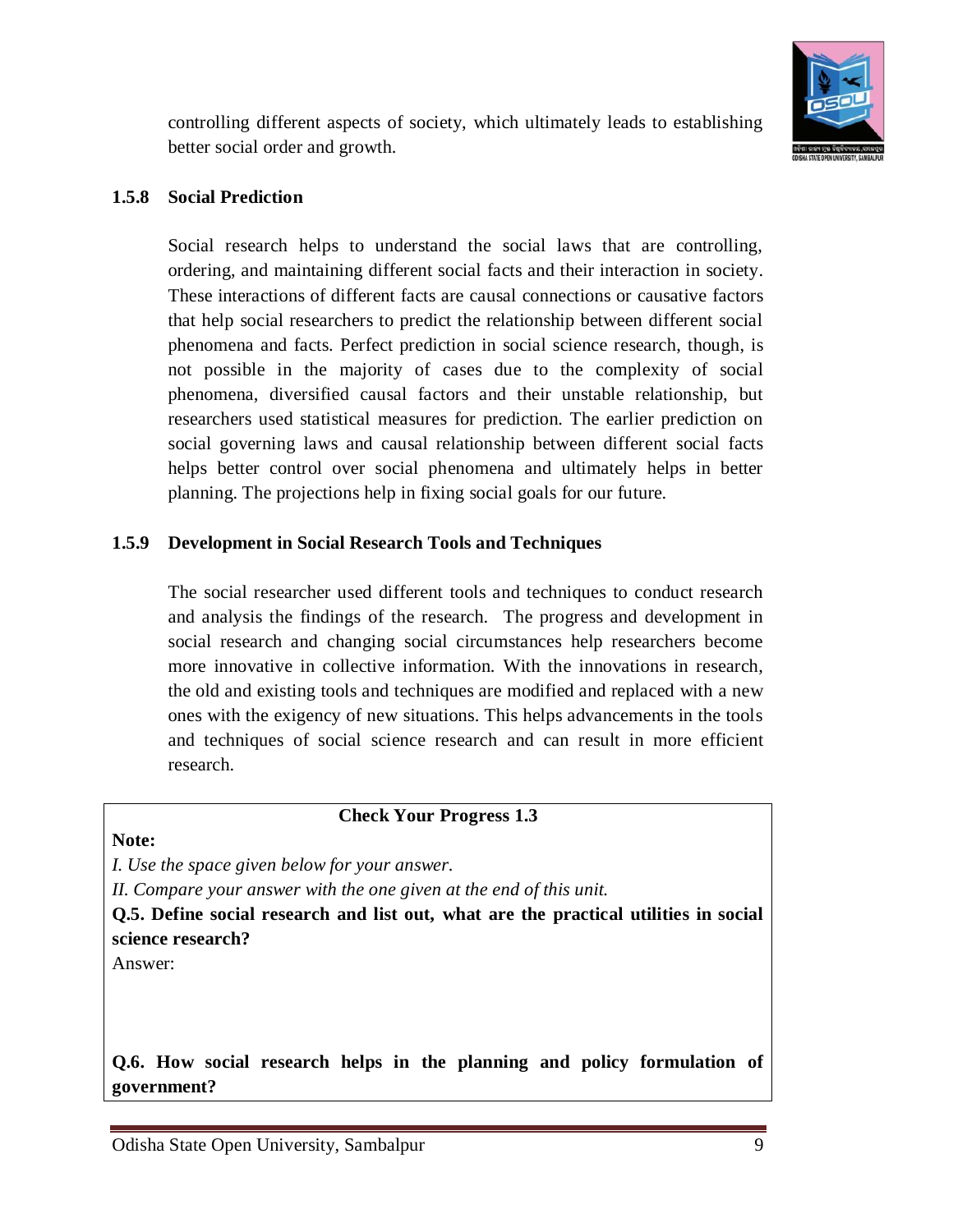

# **UNIT-2 MAJOR STEPS IN SOCIAL RESEARCH**

#### **Structure**

- 2.1 Introduction
- 2.2 learning objectives
- 2.3 Steps in Social Research
	- 2.3.1 Define the research problem
	- 2.3.2 Literature Review
	- 2.3.3 Make the Problem Precise
	- 2.3.4 Research Design
	- 2.3.5 Determine the Sample
	- 2.3.6 Carry out the Research
	- 2.3.7 Interpret the Results
	- 2.3.8 Report the Research Findings
- 2.4 Let Us Sum Up
- 2.5 Glossary
- 2.6 Check Your Progress: Answer Keys
- 2.7 Suggested Reading

# **2.1 INTRODUCTION**

The present unit is all about the major steps involves in the social research process. This unit is the second part of Block -1: Meaning and Significance of Social Research. This unit will help students learn the process involved in social research and how to proceed and carry forward with the research. Before going into detail about the content, let's discuss why we should go with the process or steps or what is the need of the steps in social science research. Before undertaking research, the researcher needs first to understand what are the process involved in it; otherwise, it will make it the researcher more difficult in reaching out the answers to framed research questions. For example, a construction building can't be constructed overnight or in one stage. For that, you have to make the foundation of the building, construction of pillars and beams, construction walls, covering the roof, plastering, furnishing, colouring, and in every stage, you need mason workers, labourers, resources, and other human resources to complete the task. So you can't skip one step or other to reach the goal, and without a foundation or pillars or walls, you can't cover the roof like that each step in the research is essential to complete the research work, and you can't skip any of the steps in reaching out the research objectives. In this context, this unit delineates the major steps involves in social research.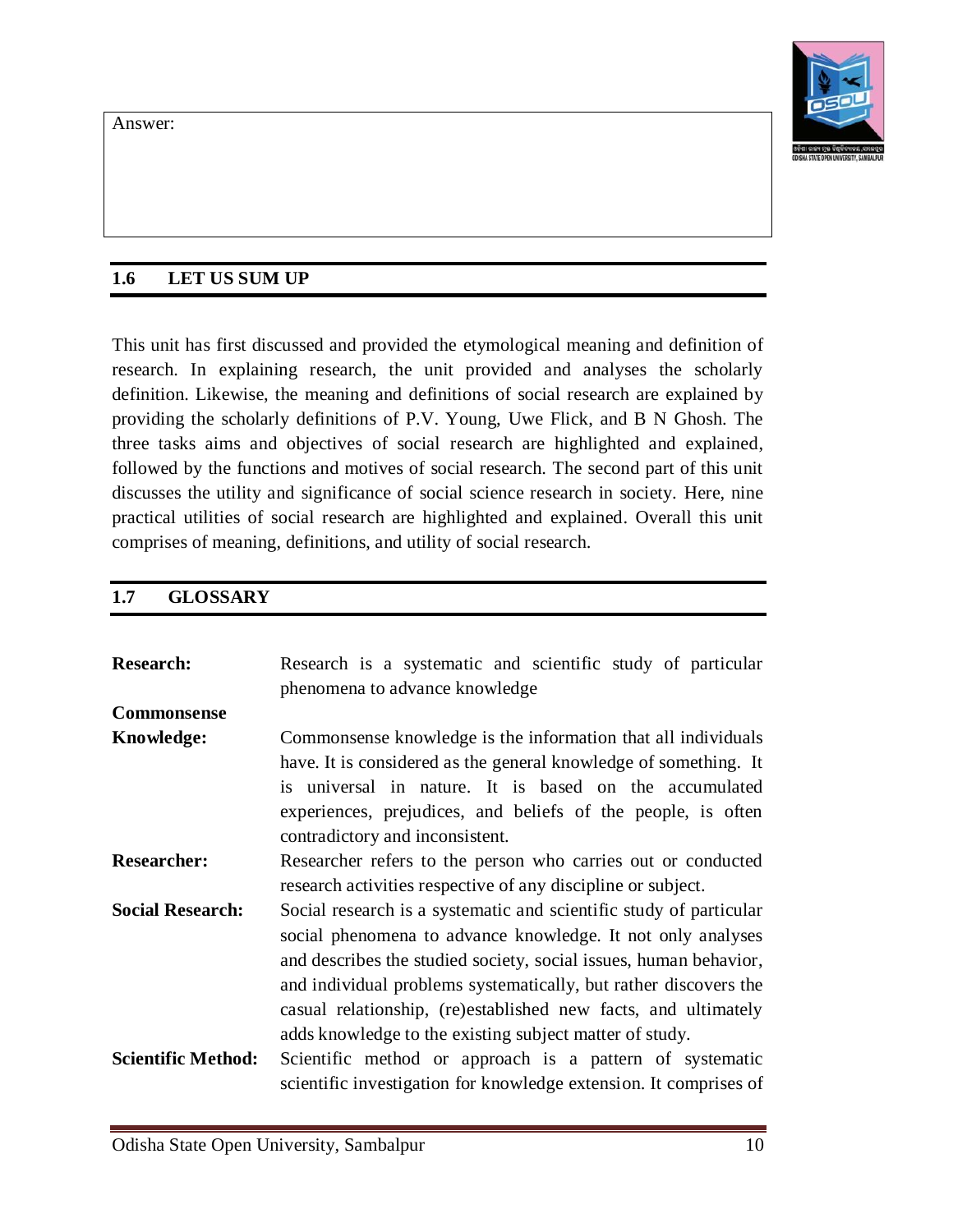

# **2.2 LEARNING OBJECTIVES**

This unit is designed to help you in conceptualizing

- the process involved in social research
- the starting point of social research
- how to conduct a review of literature
- the design of social research
- how to carry out the research and interpret the results
- how to report the findings of research

# **2.3 STEPS IN SOCIAL RESEARCH**

The research process is not a single activity rather consists of a number of close activities. Each activity in research is associated with each other in defining the whole research. The process involves a number of steps, starting from framing the questions to the documentation of the findings. The researcher goes through eight steps to complete the research. These include:

- Defines the Research Problem
- Literature Review
- Make the Problem Precise
- Research Design
- Determine the Sample
- Carry out the Research
- Interpret the Result
- Report the Research Findings

The researcher needs to follow the sequence or order of the steps in conducting research, and any deviation will lead to difficulties in producing quality research and completing the investigation.

# **2.3.1 Defines the Research Problem**

The selection of a research topic can be based on a number of concerns and considerations. It may arise from theoretical, practical or intellectual concerns. The researcher framed and chose the research questions based on his/her interests and choices. The research problem and question is the starting

point of all the research process. The social research begins with the problems;

Odisha State Open University, Sambalpur 14



relationship with other studies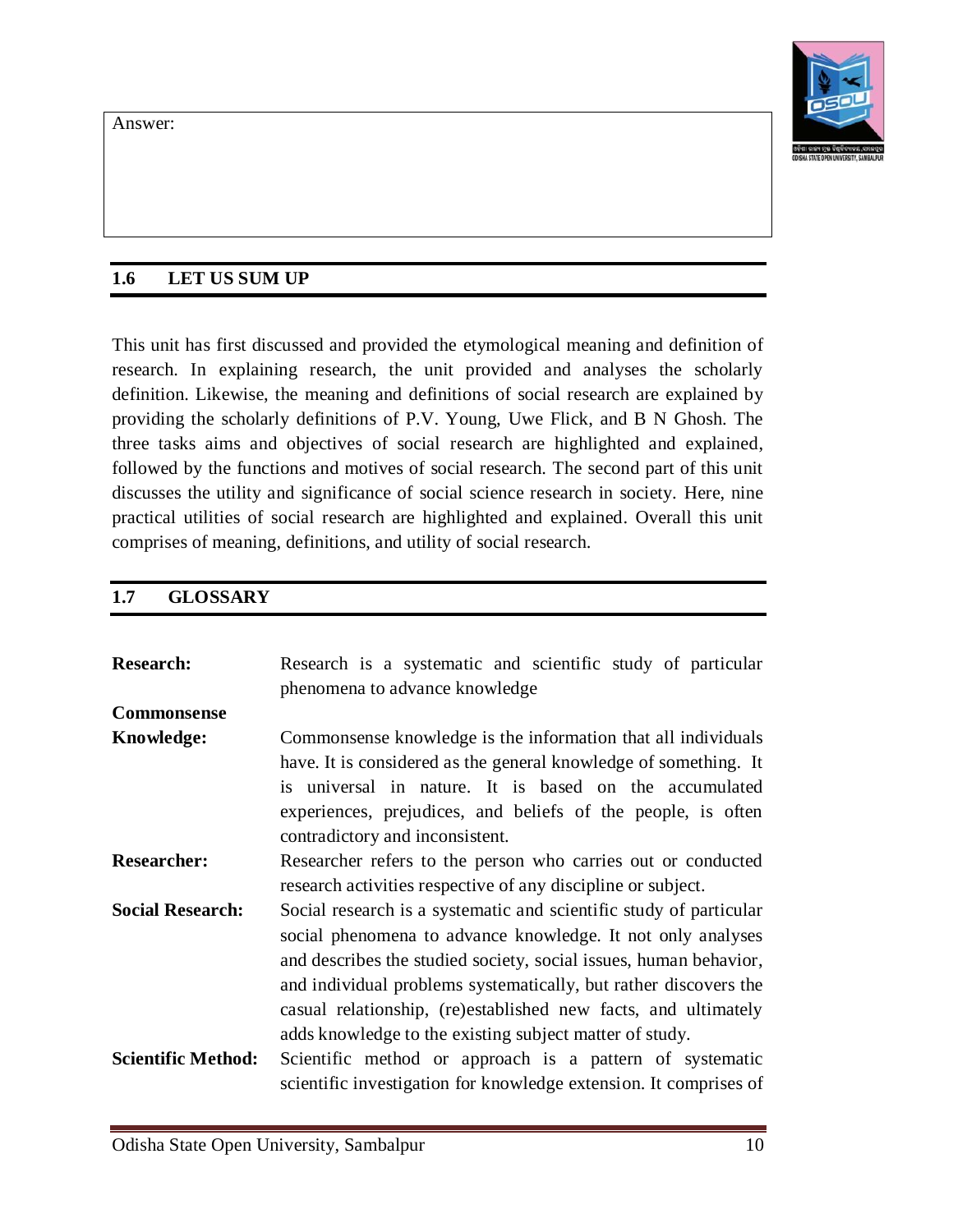

Anthony Giddens considered these problems as puzzles. The research problems or puzzles are not just considered as a lack of information in a particular topic rather;, it is a gap in our understanding of that topic. Social research consists in identifying the actual problems rather than sampling answering the raised questions. Instead of answering, what is this?, the researcher should ask problem-solving questions i.e. why is this? The problem-solving questions are not just answered about the factual things but go another step and provide the explanation for the existence of factual things.

The social research questions should deal with relevant social issues, and their answers need to be leading towards some kinds of progress, i.e. problem solving, new suggestions, new recommendations or new insights. Besides addressing social issues, the research questions should be based on theoretical perspectives. The established questions must be derived from theoretical perspectives. Every research question needs to be appropriately formulated for a study that, it can be investigated through one or more social research methods. Most importantly, the questions formulated must be clear, focused and goal-directed. While characterizing the good research question, Uwe Flick writes research questions must be an actual questions. Like: "What are the causes of unemployment?" not "The Causes of Unemployment." Because the last one is just the area of research interest but not a research question. Each research question needs to be either exploratory or descriptive or explanatory in nature.

There are three major conditions for research problem formulation. The first condition is research should have a systematic interest in the subject matter of study and which helps to think deeply about the problems. Second, field observation sometimes helps immensely to the researcher in formulating good research questions. It gives not only first-hand information but also provides practical or empirical knowledge over theoretical arguments, which help in generalization in the area of research. Third, the researcher may undertake a pilot survey or an experience survey and discuss the relevant matter with resource persons for comments and critical inputs.

The research questions or problems may be arises from practical problems or social problems, problems in theoretical assumptions, and intellectual questions. Besides these, ongoing projects and one research project can leads to other questions through raising issues that were previously not addressed. Social scientists discover these problems or puzzles or questions by reading the earlier contributions through research. So no piece of social research stands alone; either it is earlier evidence or practical problems that help in formulating sthe question.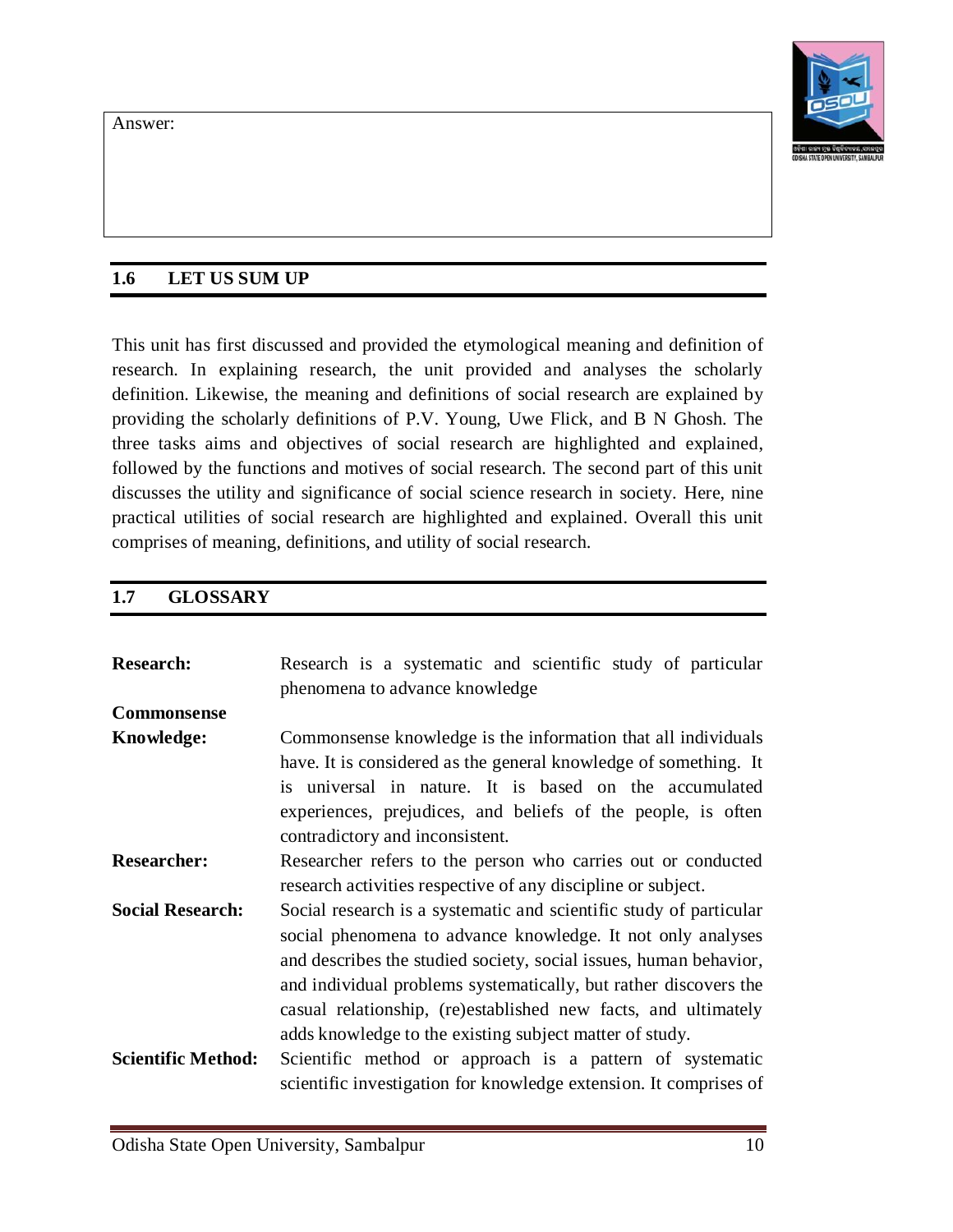

## **Check Your Progress Exercise 2.1**

**Note:**

Answer:

*I. Use the space given below for your answer. II. Compare your answer with the one given at the end of this unit.* **Q.1. What are the steps in social research process?** Answer: **Q.2. What are the condition for research problem formulations?** 

**2.3.2 Literature Review** 

The second step of social research process is the review of the literature. Once the researcher formulated the research problem, the next step is to review the available literature on a selected area of research. In this phase, the researcher reviews the existing literature. Review of literature provides knowledge on the area of study and helps to avoid unnecessary repetitions and duplications of research work. Mostly it provides the researcher with the existing gaps in the literature.

In defining literature review's C. Hart (1998) writes, '*the selection of available documents (both published and unpublished) on the topic, which contain information, ideas, data, and evidence written from a particular standpoint to fulfill certain aims or express certain views on the nature of the topic and how it is to be investigated, and the effective evaluation of these documents in relation to the research being proposed.'* The researcher has to go through various types of literature. Literature may be a newspaper or magazine clip, or research article in journal or book chapter, or a research report, or project report, or a working paper, or an occasional paper, or a book, or conference proceedings, or government report or any database. In this context, research must be careful and choose the scientific literature or database for their review. The most important thing, the research needs to collect the materials areas and region wise. So that researcher can easily identify theoretical, methodological and empirical issues attached with the research question. The theoretical literature review will help in formulating the practical concept, definitions, and theories to be used in the field of research. Reviewing methodological research will help the researcher to select and decide the specific method for the research problems. The empirical literature review on the selected area will help in contextualizing the researcher approach. All the literature reviews on the selected research problem will help the researcher in developing the arguments of the research questions.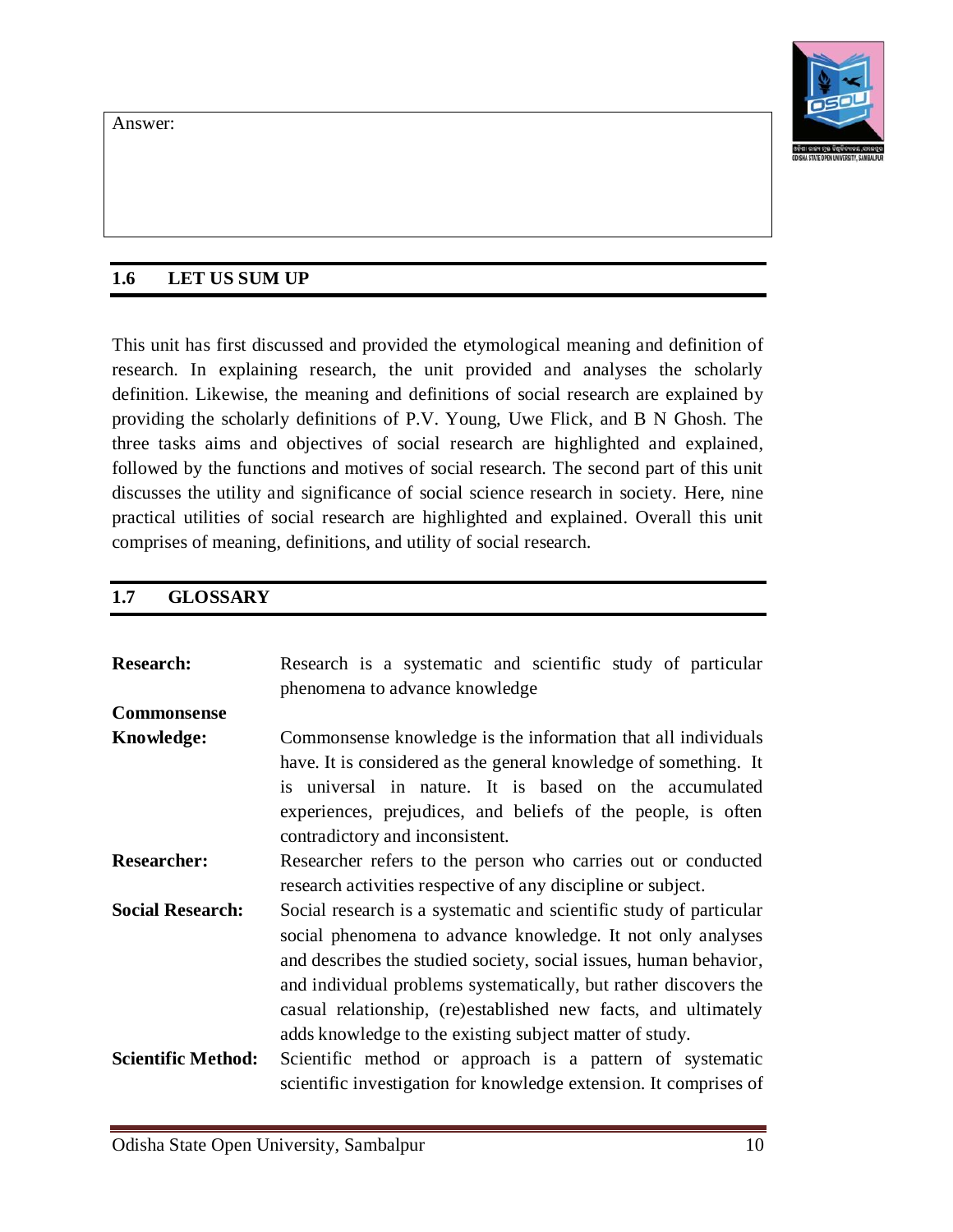

### **2.3.3. Make the Problem Precise**

The third stage in the process of social research involves the formulation of a clear and precise research problem. The clarity in the research problems comes out after reading the available literature. It is the literature review that helps the researcher to establish good ideas on the issues and how to address the questions. The researcher needs to establish the questions properly and precisely from the literature so that study findings can be support or challenged through empirically gathered material or what we called qualitative data. In the case of the collection of quantitative or numerical data, the researchers can go for statistical testing to verify the established hypothesis. The hypothesis is nothing but a tentative assumption made to draw out the logical consequences of your research problem. The hypothesis should be clear, specific and precise as research questions. The research questions and hypothesis decide what type of data to be collected, what methodology and research design to be followed, and what types of methods of data analysis to be used.

#### **Check Your Progress Exercise 2.2 Note:**

*I. Use the space given below for your answer. II. Compare your answer with the one given at the end of this unit.* **Q.3. What do you mean by review of literature?** Answer: **Q.4. What is hypothesis?**  Answer:

### **2.3.4 Research Design**

The fourth stage of the social research process is to prepare the research design. It is considered the central concept in research planning. Ragin (1994), in defining the research design writes that '*it is a plan for collecting and analyzing evidence that will make it possible for the investigator to answer whatever questions he or she has posed. The design of an investigation touches almost all aspects of the research, from the minute details of data collection to the selection of the techniques of data analysis.'*

The research design is prepared to answer the raised research question and hypothesis in the research. It is the stage where the researcher decides how the research materials are to be collected. In social science research there are different methods exits, and what a researcher chosen for the research is depends upon the objectives and what to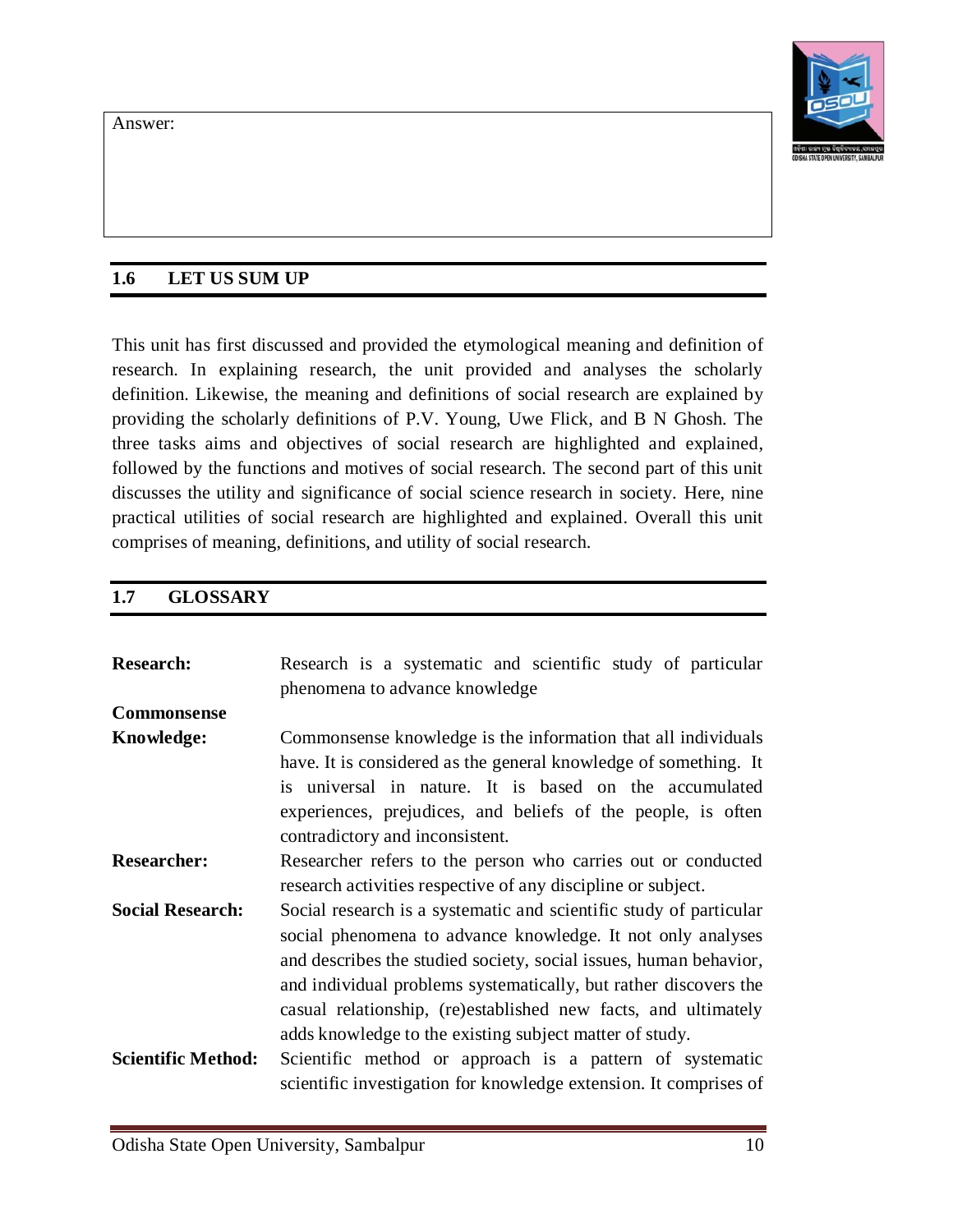

analysis in the study. A social research design may be exploratory, experimental, descriptive and diagnostic in nature. The exploratory research design tries to answer the 'what' type questions and discover the facts and insights of the study. In experimental research design, the researcher tries to answer the 'why' type research questions. Here researcher does an experiment to find out the cause-effect relationship of the facts in the study. The main purpose of this study is to test the hypothesis. The descriptive and diagnostic research design tries to answer the 'how' type questions. This research design is used to provide a detailed explanation and description about a particular phenomenon, facts, groups or community. The descriptive design helps the researcher in acquiring knowledge on the studied subject, whereas diagnostic research design deals with identifying the problems and test the association and dissociation between different variables. So research design is the blueprint for the collection, measurement and analysis of the data, which helps to answer the research questions and formulated hypothesis.

### **2.3.5 Determine the Sample**

The researcher must then decide how to collect the data from the units of the study. The fifth stage involves determining the sample from the total universe of study. Here universe is the total population to be studied by the researcher, and the sample is the small elements of the total population that represent the whole. In defining sample, P. V. Young writes, 'a *statistical sample is miniature picture or cross section of the entire group or aggregate from which the sample is taken. The entire group from which sample is choosen is known as 'the population', 'universe' or 'supply'.'* So the sample is taken from the total population or universe of study, and each sample has some universe behind it. The population or universe statistically refers to the aggregate of individuals or units from which a sample is drawn and to which the results and analysis are to apply.

The determination of sampling design is based on what research design the researcher follows to answer the research question or problem. Mostly the empirical studies included the sampling design to collect data from the field. The basic presumption of sampling is it must pick up a sample that will be ideal and represent the group or universe as a whole. A good sample always varies on the basis of research questions and the universe of study. A Good sample is to be seen that closely represent the universe of study. The selection of a sample needs to be unbiased and homogeneous to establish a good representative sample. Further, P. V. Young writes, '*the size of a sample is no necessary insurance of its representatives. Relatively small samples properly selected may be much more reliable than large samples poorly selected. The actual selection of the sample should be so arranged that every item in the universe under consideration must have the same chance of inclusion in the sample*.' So the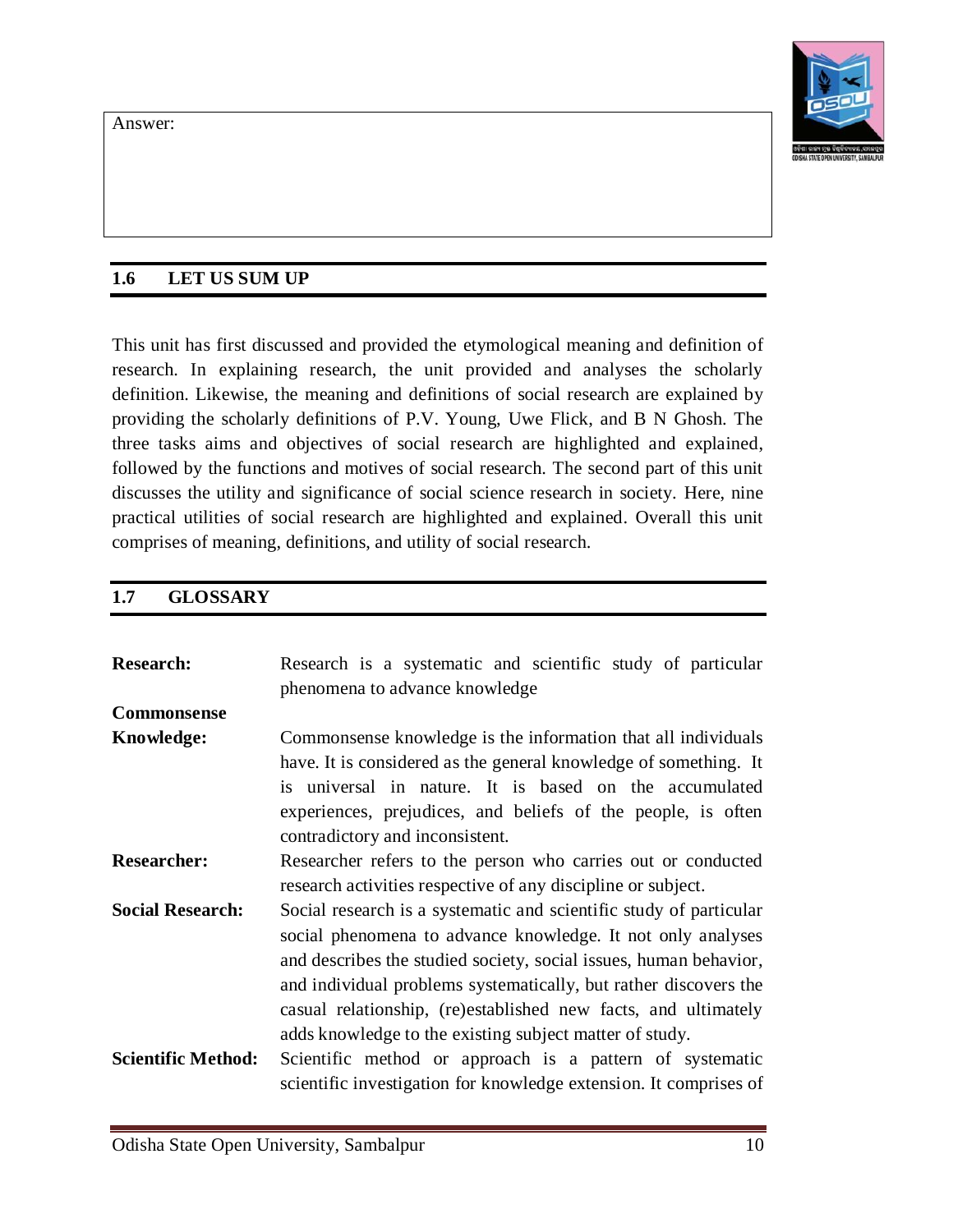

proper and appropriate selection of the sample is more reliable than the size of a sample in the research. The sampling method can be a probability or non-probability sample. The forms of sampling methods are discussed in detail in later blocks and units of the paper. Particularly in the sampling design, the researcher decides on the questions of the appropriateness of specific forms of sampling.

**Check Your Progress Exercise 2.3**

**Note:**

*I. Use the space given below for your answer. II. Compare your answer with the one given at the end of this unit.* **Q.5. What are the types of social research design?** Answer:

**Q.6. What is research design?**  Answer:

Q.7. **What is the difference between universe and sample?** Answer:

# **2.3.6 Carry out Research**

Next stage after sample design is to carry out the research or collect the data from sample respondents. Before collection of data researcher needs to take the decision to choose the instruments and tools to be used for data collection. The selection of instruments like questionnaires, interview schedules, case studies, group discussion, observation or narratives, needs to develop by the researcher on the basis of the study. All the selection of instruments must be related to answering the earlier established research question. A study may use multiple instruments to collect primary data from the field. All the collected data and information needs to be recorded properly through their tools and instruments fur further analysis. While collecting data or information from respondents or filed, researchers might go through unforeseen practical difficulties. Take the example, it can be possible that sometimes the earlier contacted person for questionnaire response may be impossible to contact to fill the questionnaire, or a corporate or school may not give you the access to carry out your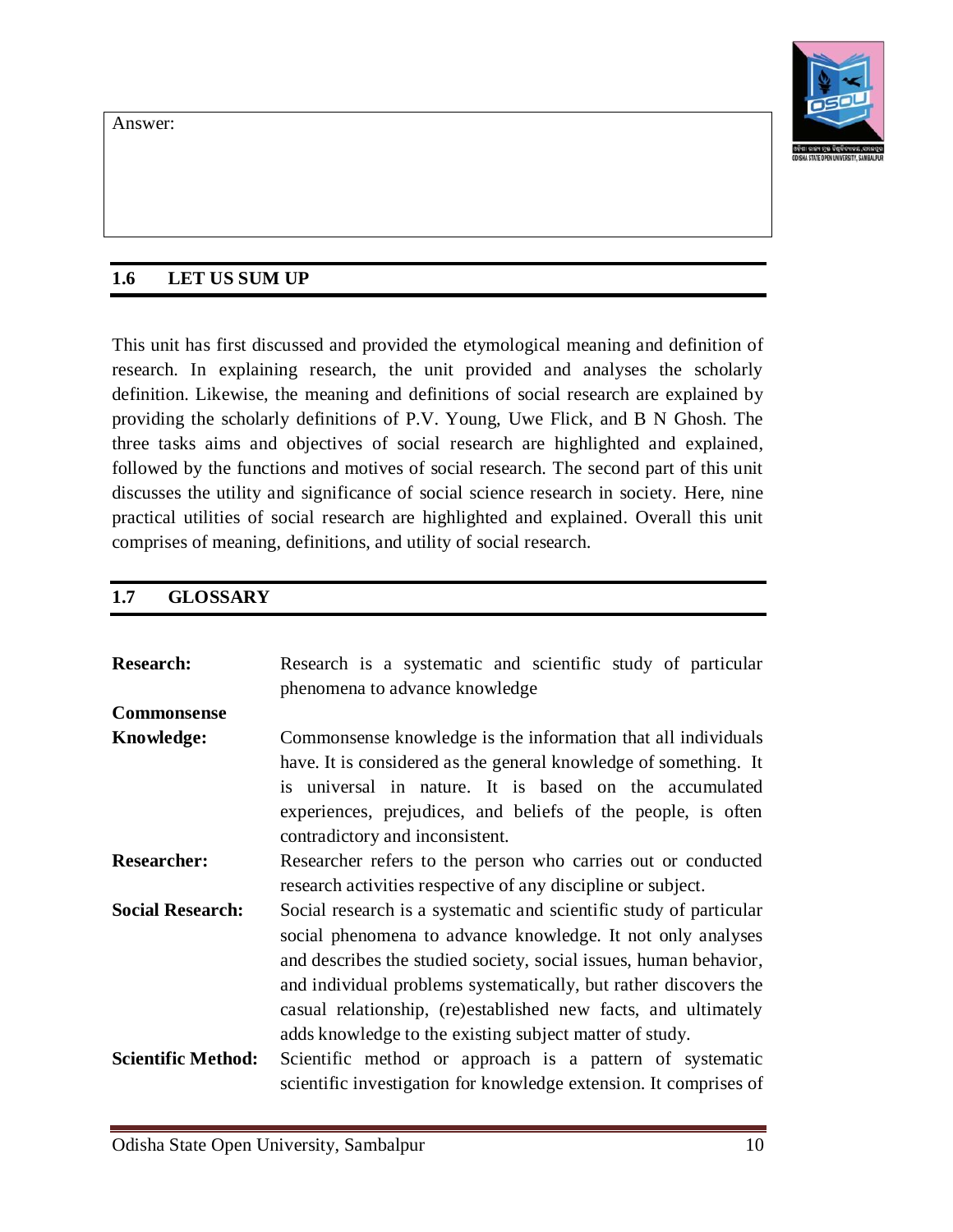

research in their activities. These types of unforeseen practical difficulties sometimes delay the period and process of research. Besides these unforeseen difficulties, sometimes bias may enter into the process of data collection from respondents. For example, while collecting information or discussing with the respondent's researcher may unknowingly be entered into the one-directional way of discussion or more involved in their emotional views, such things will lead to deviation from actual purposes. So the researcher needs to be very careful while collecting the data from respondents to avoid unforeseen difficulties and bias responses.

### **2.3.7 Interpret the Results**

Once the material has been gathered collectively from the field through the tools and instruments, the next step is to analyze and interprets the collected data. Collected data can be more useful when that is properly interpreted and scientifically analyzed. The analysis of data also varies on the basis of the qualitative and quantitative information collected from respondents. There are two types of data analysis; they are primary and secondary data analysis. There are various steps in analyzing the collected data, which includes coding, editing, and classification of data. The data either manually or through the use of software (SPSS, R, Stata) entered into drawing the tabulation, graphical representation and statistical assumption from the collected data. In this stage, the researcher works out to associate the results with the research

problem. In this process researcher also test the earlier formulated hypothesis from the research and analyze whether the results support or reject the hypothesis. After data collection and analysis, the researcher here interprets the data to arrive at a generalization. It is the interpretation where the researcher can properly understand the significance of the study. It may be possible for the researcher to reach out a clear answer to the questions or not after the interpretation of data.

### **2.3.8 Report the Research Findings**

The last step of the social research process is to document and report the research findings, significance, and relationship with other studies. The research results and findings are generally published as a thesis, report, journal article, working paper, occasional paper, or through a book. These documents provide detailed accounts of the carried out research and try to provide the justification to the research questions. To report and document the research may have various aims; these include documenting the research, showing how you have arrived at the result, to present results on the line of objectives of the research, and legitimize the research by proving that the results are not arbitrary, rather rigorously based on the collected data from the respondents. Types of research reports and documents may vary in their content structure. But, the general structure of the content in the research communicated document must contain; introduction, review of literature, research questions, study methodology, data analysis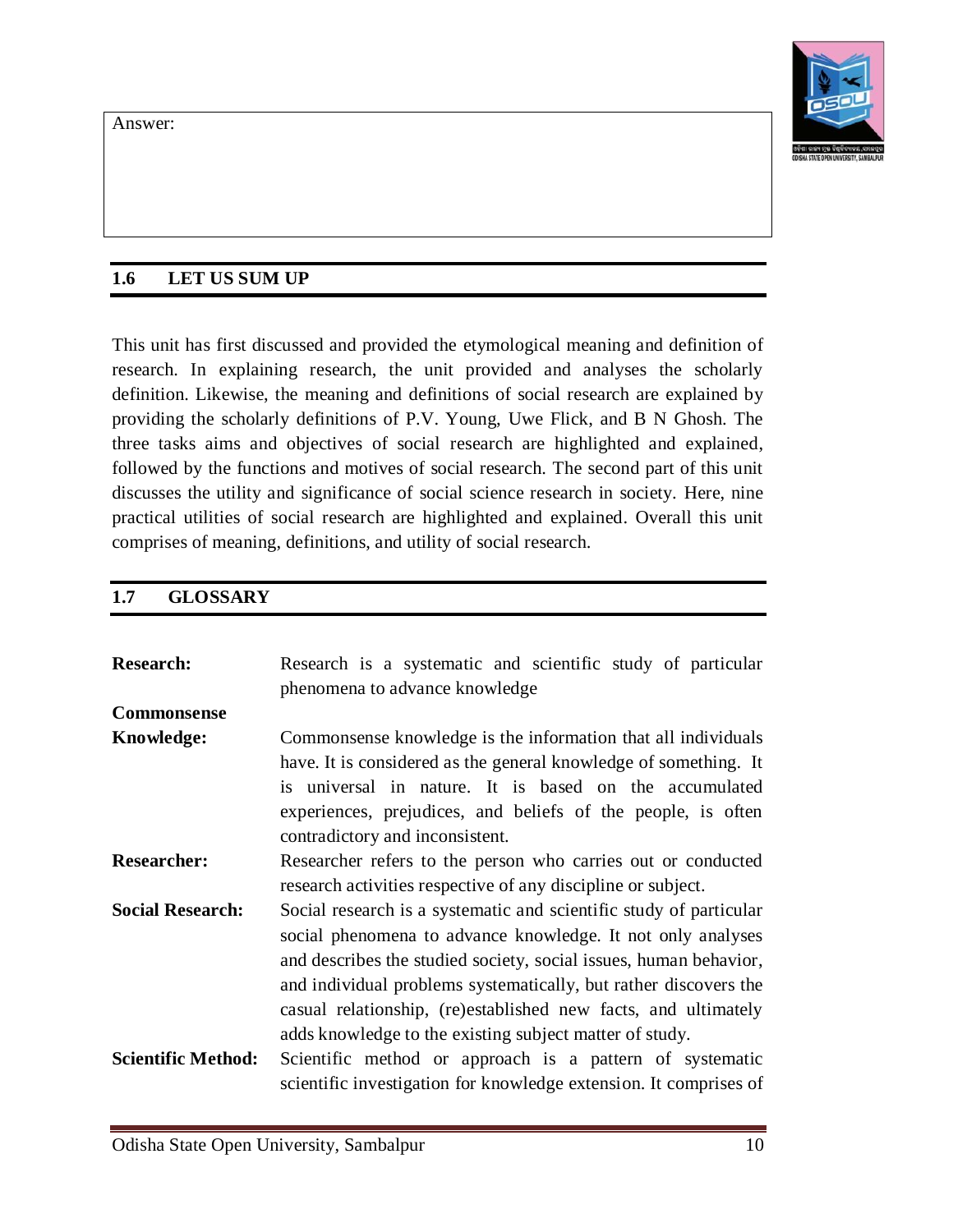

and findings of the study, conclusion, and bibliography or reference. While writing the research report, the researcher needs to focus on maintaining the basic and essential requirements for producing a quality report. It includes; the researcher must have clarity in thought and language while writing the report, the researcher needs to be clear on the used concepts and concepts should be properly used in writings, the researcher should be careful while using terminology in the research writing, the researcher should clearly write and clarify the research problem in the report, the presentation data and statistics of the report should be clear and understandable, the researcher report needs to be error-free from grammar and spellings of used language, and report should be properly chapterised.

Though this is the end of the research process, sometimes research findings and reports indicate certain unanswered questions and suggest further research.

**Check Your Progress Exercise 2.4 Note:** *I. Use the space given below for your answer. II. Compare your answer with the one given at the end of this unit.* **Q.8. Give an example of tools for data collection?** Answer: Q.9. **What are various steps in analyzing collected data?** Answer: Q.10. **What is the general structure of content for writing a research report?** Answer: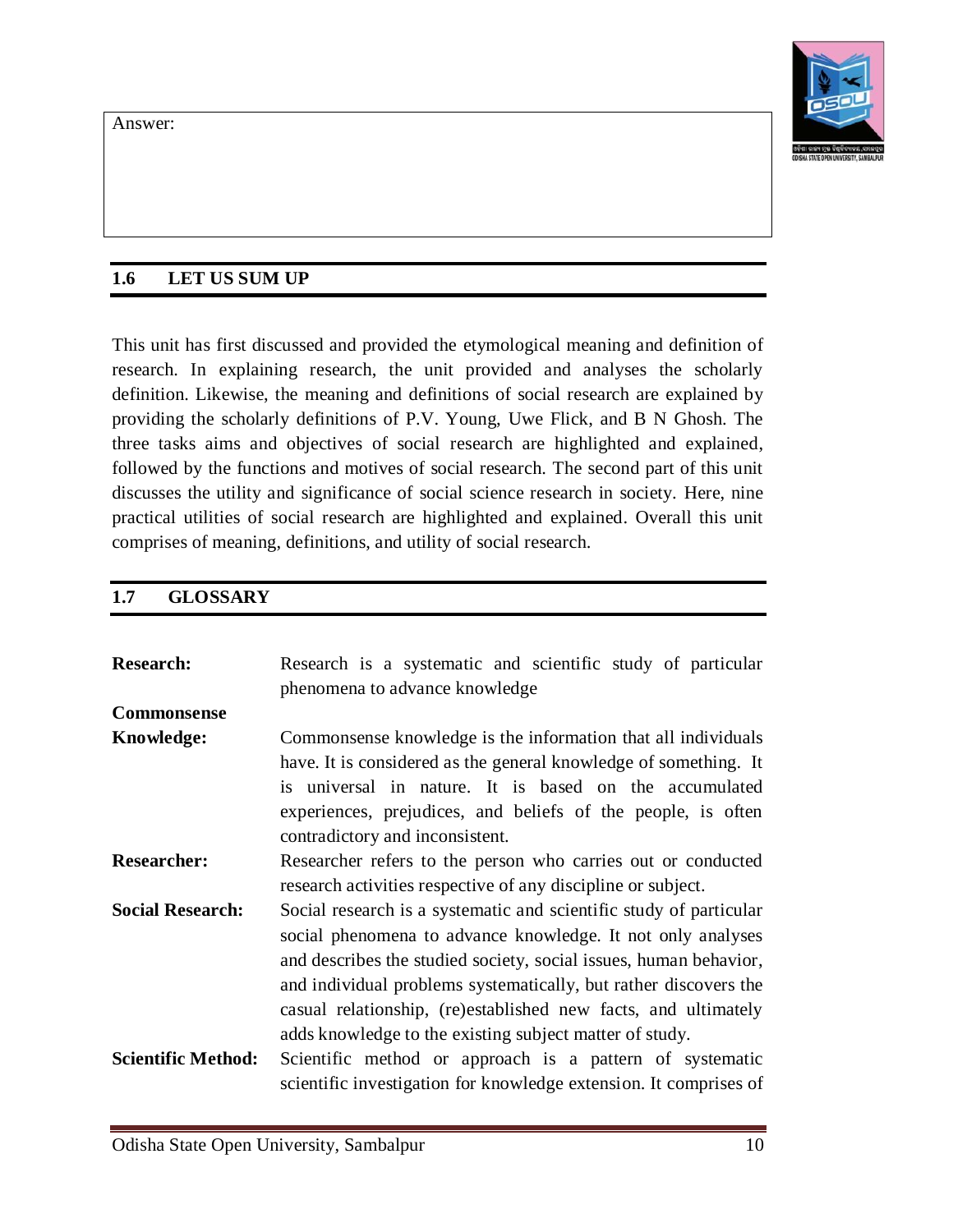

### **2.4 LET US SUM UP**

This unit is all about the steps involves in the process of conducting social research. There are eight steps involves in the process. These include; define the research problem and finalization of the topic, review the literature on the selected problem, make the problem precisely and can construct a clear hypothesis for the problem, the researcher prepare the blueprint of the research, determine the sample size from the universe, carry out the collection of data after selection of tools and techniques, interpret the result from the collected data, and report the research findings. Each step of research has its own importance, and the researcher should follow these steps orderly manner to answer the research problems and puzzles.

#### **2.5 GLOSSARY**

| Categorization:  | Allocation of certain events to a category and<br>summarizing several identical or similar events under a<br>concept.                                                 |
|------------------|-----------------------------------------------------------------------------------------------------------------------------------------------------------------------|
| Coding:          | Coding in research refers to allocate labels or numbers to<br>a piece of data.                                                                                        |
| Generalization:  | Generalization involves inference from a small number<br>(sample) to a large number (universe).                                                                       |
| Hypothesis:      | In social research, the hypothesis is certain tentative<br>assumptions and presumptions on the research problem<br>that may prove or disprove with research findings. |
| Research Design: | Research design is a blueprint for a research plan to<br>answer the research question.                                                                                |
| Sample:          | Sample is the small elements of the total population that<br>represent the whole                                                                                      |
| Sampling:        | The selection of cases, numbers, or materials for the<br>study from a larger population.                                                                              |
| Universe:        | Universe is the total population to be studied, where the<br>researcher collects the sample respondents.                                                              |

#### **2.6 CHECK YOUR PROGRESS: ANSWER KEYS**

#### **Q.1. What are the steps in the social research process?**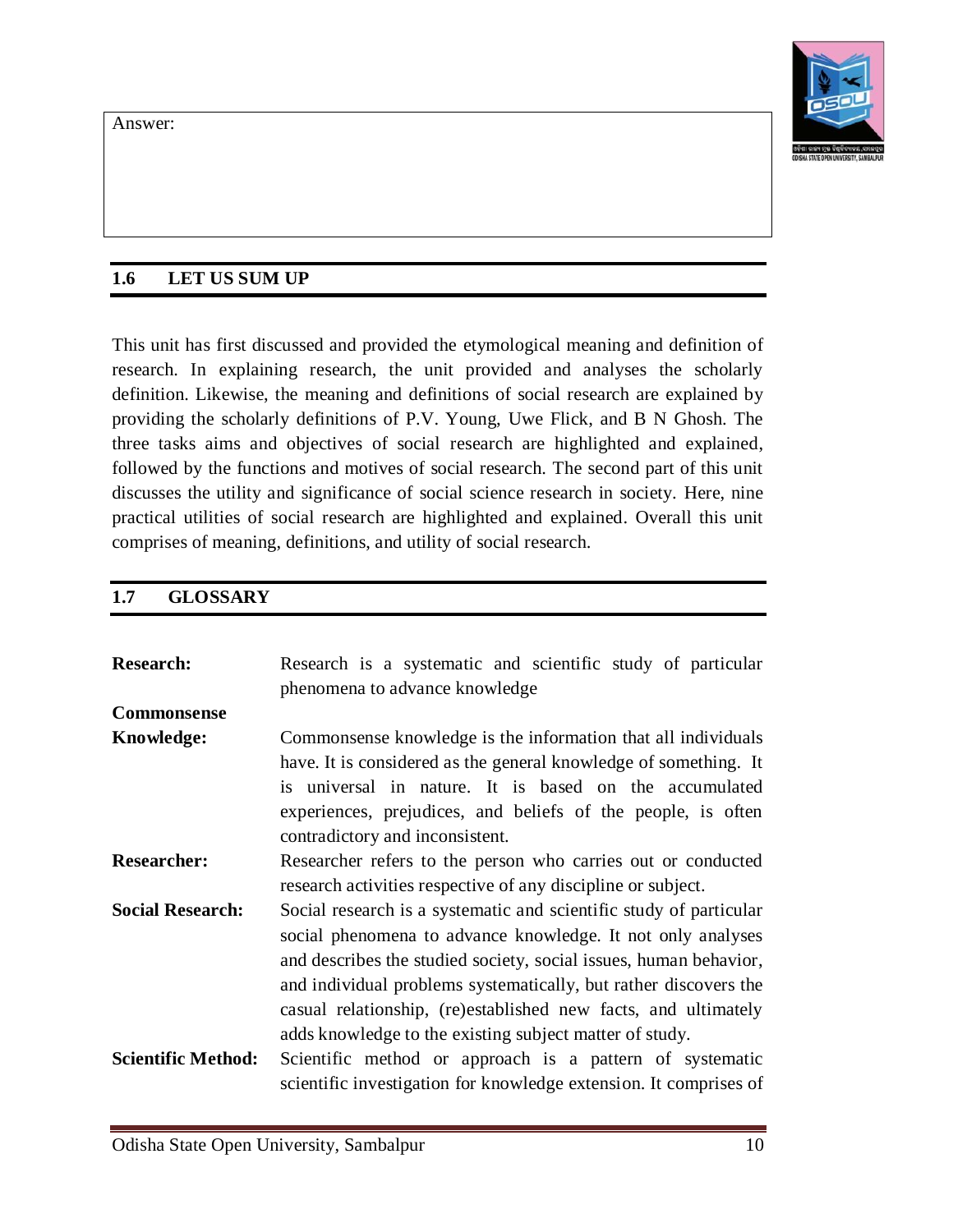

Answer: There are eight steps involves in the social research process. These define the research problem, literature review, make the problem precise, research design, determine the sample, carry out the research, interpret the result and report the research findings.

### **Q.2. What are the conditions for research problem formulations?**

Answer: There are three major conditions for research problem formulation. The first condition is research should have a systematic interest in the subject matter of study. Second, field observation sometimes helps immensely to the researcher in formulating good research questions. Third, the researcher may undertake a pilot survey or an experience survey and discuss the relevant matter with resource persons for comments and critical inputs.

# **Q.3. What do you mean by review of literature?**

Answer: Review of literature is a process through which the researcher goes through various literatures on the area of research or research problem to finds out the existing gaps in the literature and to help avoiding unnecessary repetitions and duplications of research work.

# **Q.4. What is hypothesis?**

Answer: The hypothesis is a tentative assumption made to draw out the logical consequences of your research problem.

# **Q.5. What are the types of social research design?**

Answer: There are four types of social research design, which includes exploratory, experimental, descriptive and diagnostic.

# **Q.6. What is research design?**

Answer: Research design is a blueprint for the research plan to answer the research question. It helps in the collection, measurement and analysis of the data, which helps to answer the research questions and formulated hypothesis.

# Q.7. **What is the difference between universe and sample?**

Answer: Universe is the total population to be studied by the researcher, whereas sample is the small elements of the total population that represent the whole.

# **Q.8. Give the two examples of tools for data collection?**

Answer: Tools of data collection are used to collect data and carry out the research. Questionnaire and interview schedule are two examples of tools for data collection.

# Q.9. **What are various steps to analyzing collected data?**

Answer: There are various steps in analyzing the collected data, which includes coding, editing, and classification of data. The data either manually or through the use of software (SPSS, R, Stata) entered into drawing the tabulation, graphical representation and statistical assumption from the collected data.

# Q.10. **What is the general structure of content for writing a research report?**

Answer: the general structure of the content in the research communicated document must contain; introduction, review of literature, research questions, study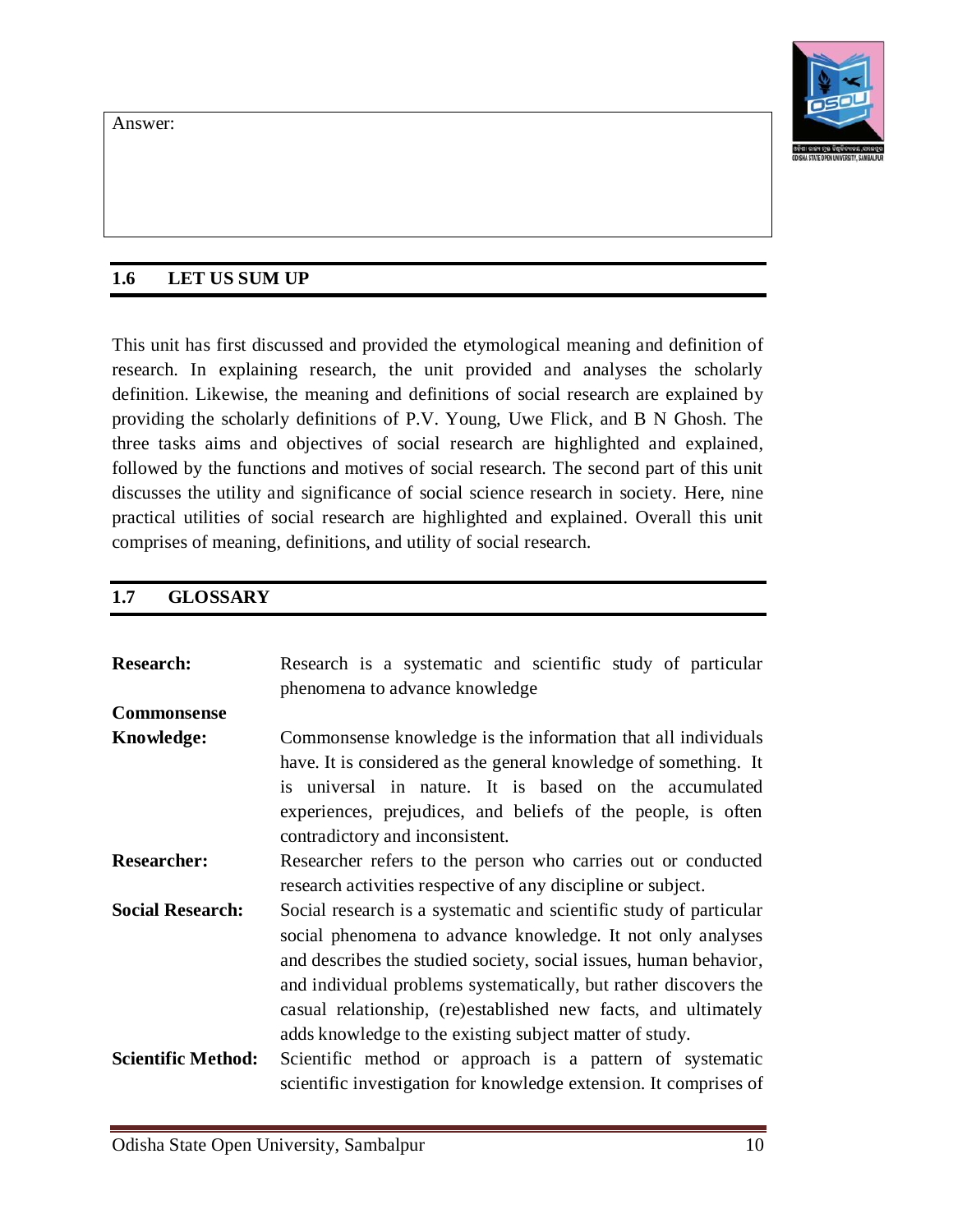

methodology, data analysis and findings of the study, conclusion, and bibliography or reference.

### **2.7 REFERENCES**

- Flick, U. (2011) *Introducing Research Methodology A Beginner's Guide to Doing a Research Project.* New Delhi: Sage
- Ghosh, B. N. (1992) *Scientific Method and Social Research.* New Delhi: Sterling Publishers Private Limited. Third Edition
- Giddens, A. and P. W. Sutton (2013) *Sociology (Seventh Edition).* New Delhi: Wiley
- Goode, W.J. and Hatt, P.K. (1952), *Methods in Social Research*, McGraw-Hill, New York, NY.
- Kar, P.K. and Padhi, S. R. (2010) *Social Research Methodology and Techniques*. Kalyani Publishers
- Kothari, C. R. and Garg, G. (2019) *Research Methodology: Methods and Techniques*. New Age International Publishers
- Kumar, C. R. (2011) *Research Methodology.* New Delhi: APH Publishing Corporation
- Raj, Hans (2013) *Theory and Practice in Social Research*. Delhi: Surjeet Publication
- Young, P. V. (1984) *Scientific Social Surveys and Research.* Prentice Hall India Learning Private Limited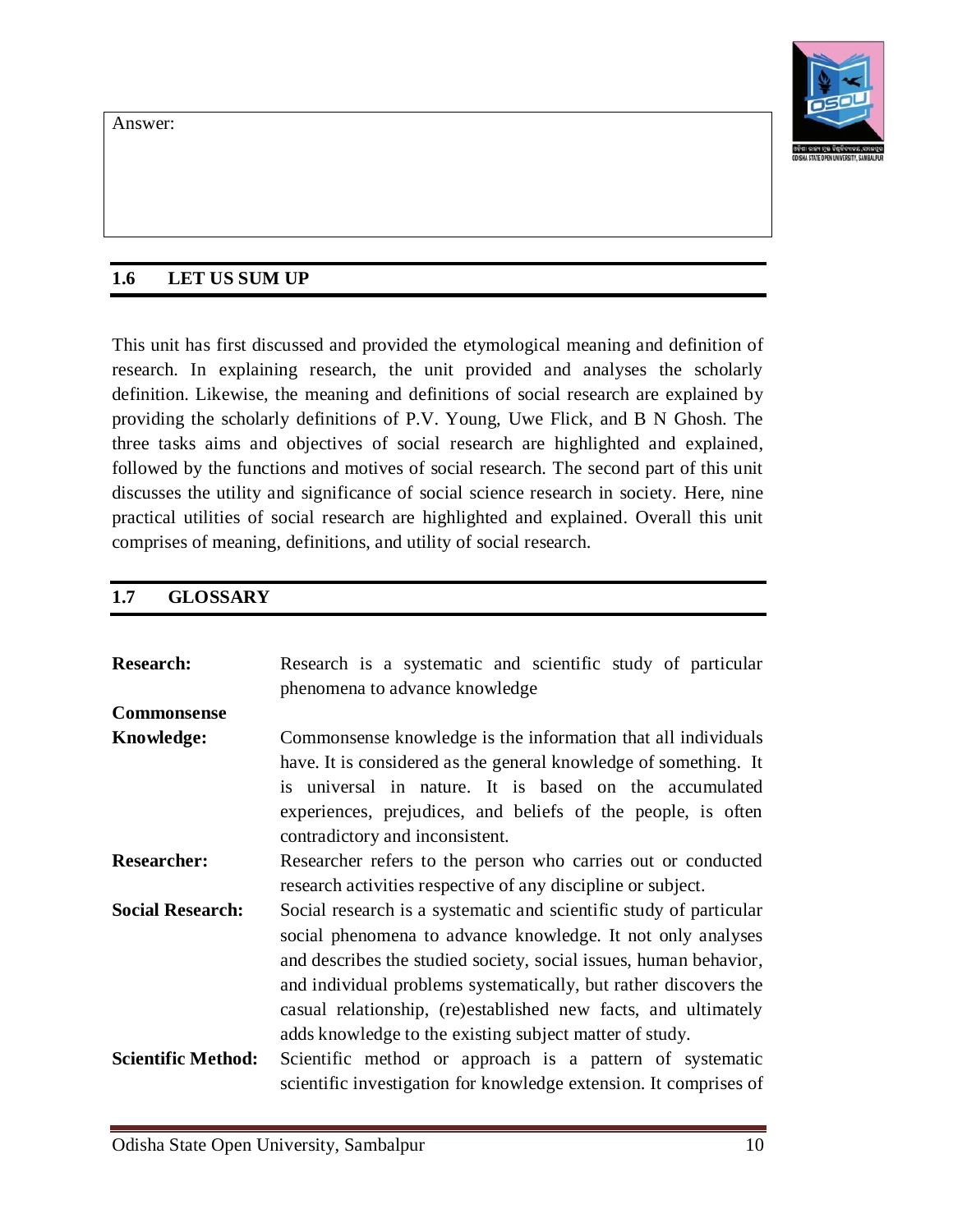

# **UNIT-3 SCIENTIFIC METHOD- CHARACTERISTICS**

#### **Structure**

- 3.1 Introduction
- 3.2 Learning Objectives
- 3.3 Characteristic Features of Scientific Method
	- 3.3.1 Empiricism
	- 3.3.2 Validity
	- 3.3.3 Reliability
	- 3.3.4 Generality
	- 3.3.5 Verifiability
	- 3.3.6 Predictability and Control
	- 3.3.7 Objectivity
	- 3.3.8 System
- 3.4 Let us sum up
- 3.5 Glossary
- 3.6 Check your progress- Ans Keys
- 3.7 References

### **3.1 INTRODUCTION**

Man is always inquisitive of unraveling the facts which have been revolving around him. He is keen in exploring diverse avenues of reality relating to the facts and events to accumulate valid knowledge about the numerous factors of human experience. However, it was observed that personal pre-conceived ideas influenced the way of accessing the evidences and where due attention was not paid to inquire the authenticity of the evidences elicited from all these sources. The result was not consistency in the description of the same facts and events time and again. Hence, in order to obtain valid knowledge, scientists, philosophers and thinkers have employed variety of methods.

In the midst of different methods, the methods of science are perhaps the most widely used method of uncovering new knowledge and exploring new reality. This is so as reliable knowledge is acquired from science as it ultimately intends to evidences and statements which are subject to empirical testings.

The scientific approach has one distinctive inherent attribute that no other method of attaining knowledge has, i.e., objectivity. There is a well-conceived self-control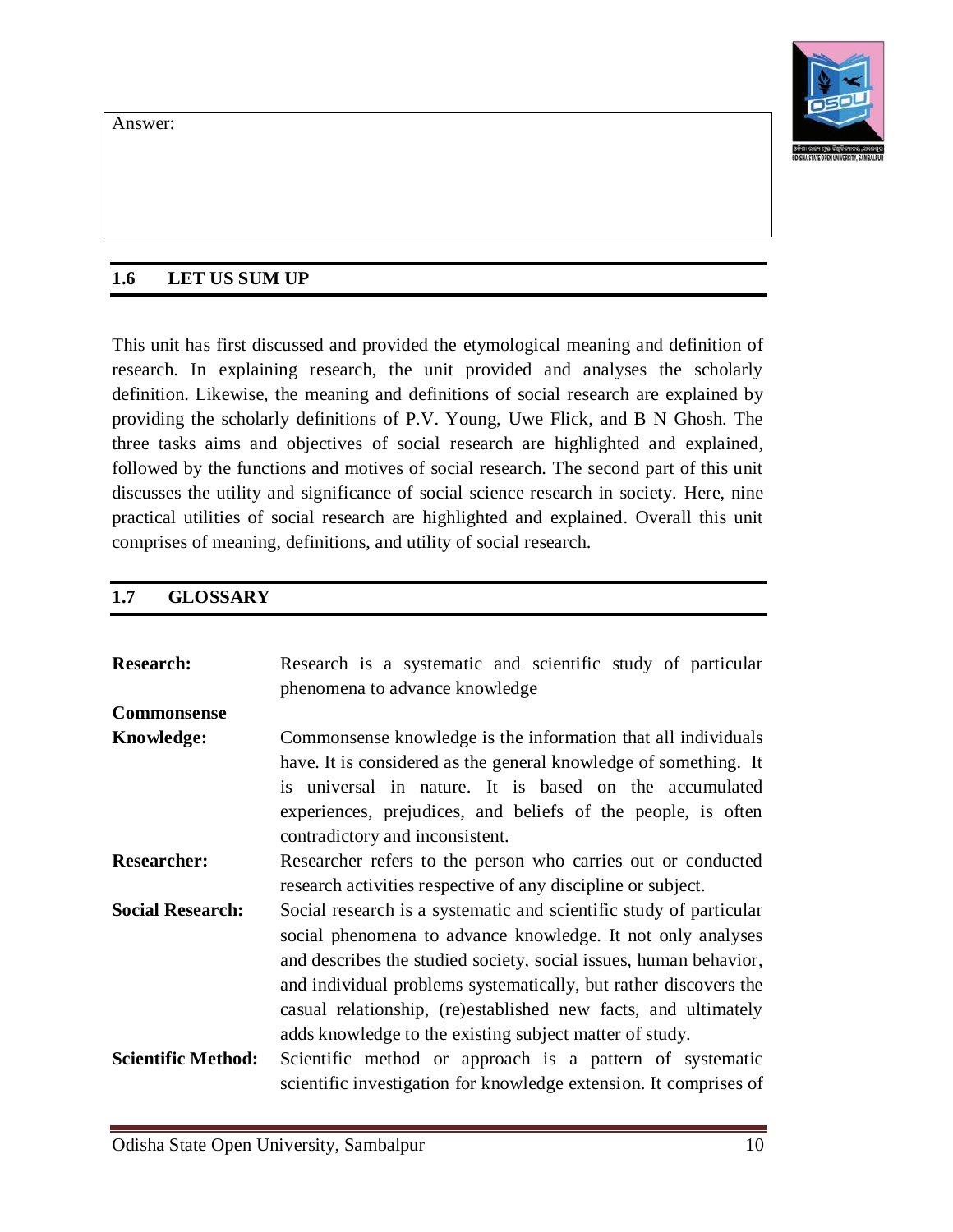

mechanism all along the way to the scientific knowledge. This mechanism is so operated that it not only controls and verifies the scientist's activities and conclusions, but it also keeps the scientist away from his personal ideas, perceptions, values, norms, belief system and even affectivity etc. Thus, the approach helps the scientists to attain at objectivity.

To what extent is the scientific approach helpful in studying the problems of society? How can we gain true knowledge about the various dimensions of human experience? To be particular, how can the scientific method be of value in understanding social phenomena? In response to these enthusiastic queries, our approach or method would be first, to understand the meaning of science and then to examine the scientific approach, its assumptions and aims and finally to have an insightful and minute look to ascertain how it can assist social scientists to understand thoroughly a social phenomenon.

By 'research' is meant any enquiry or investigation regarding any phenomena or events in order to uncover new knowledge, new facts, and also to modify the existing knowledge. In simple terms, research can be understood as an activity that consists of two interrelated activities, namely, i) asking questions ii) being curious to answer them. Science incorporates a body of knowledge and a system of procedures. A scientific research means an investigation carried on through systematic procedures. Thus, study carried out in the field of any science comes under scientific research. In this sense research in behavioral or social sciences is also scientific.

Scientific method and social research both are inextricably interwoven. The philosophy comes to all sciences and all researches are the concept of scientific method. Once it is a science there has to be 'scientific method'. Without scientific method there is no science. It is obvious that it would not be possible to hold the notion of comprehending the nature as well as the content of research without a recognizing a scientific method. The method used in scientific research is popularly known as scientific method. It consists of three vital steps i.e. 1) systematic observation, 2) classification and 3) interpretation of data. Through these steps, scientific method results in not only verifiability of the facts, but also it yields the certainty in the reliability of conclusions. Science goes with its method not with its subject matter which is viewed by Scholar Staurt Chase. In a same lens, Karl Pearson also opines that the unity of all sciences lies alone in its method not in its material. It further implies that the subject matter may vary in terms of time and space, but it is not so in case of scientific research. Therefore a person who employs scientific method is called a man of science. Thus, the objective of science or any other field of knowledge is to accumulate systematic knowledge about the empirical world.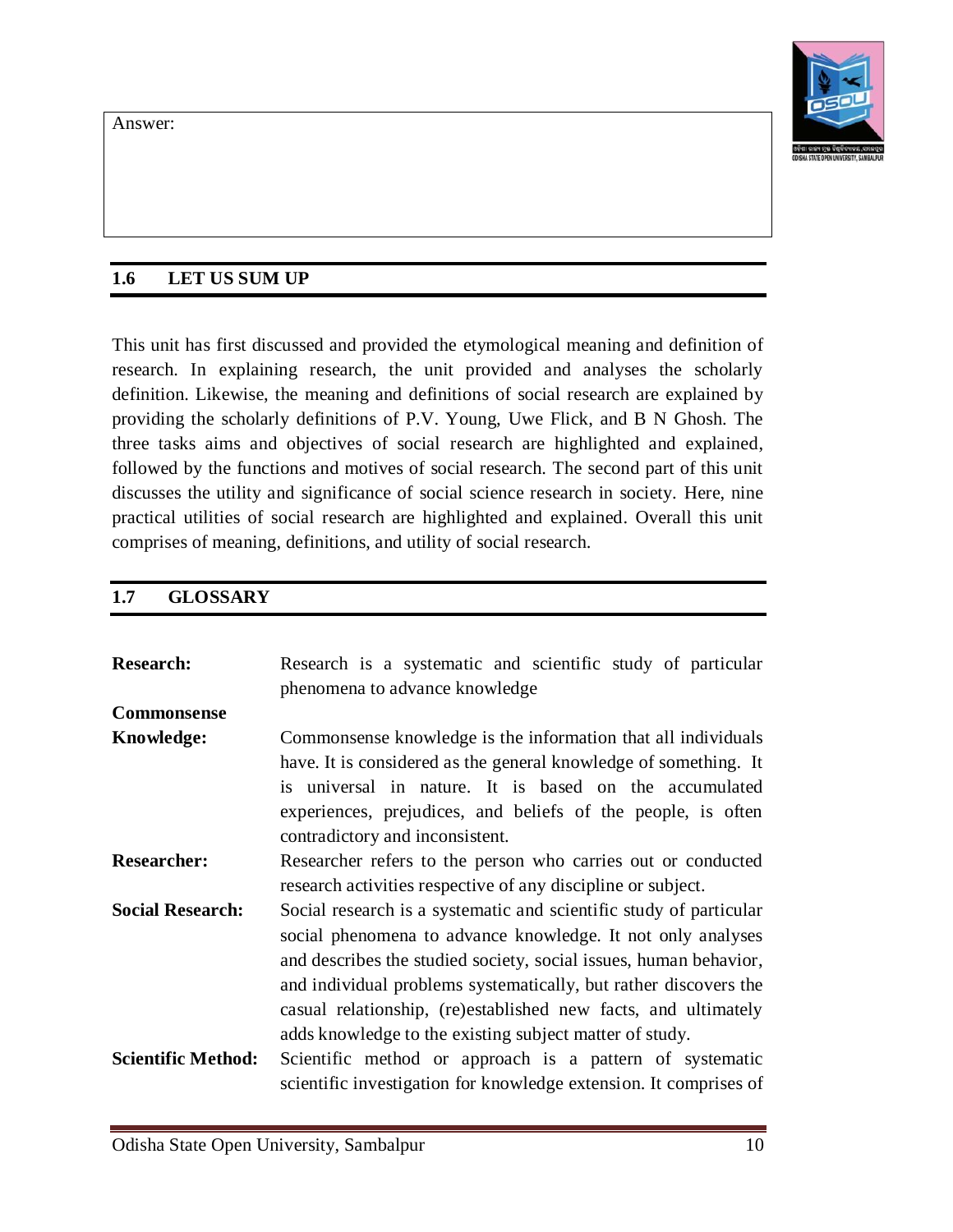

The word 'science 'is derived from the Latin word 'scienta' which means ''to know''. Science refers to the accumulation of systematic knowledge. Science believes in describing, explaining and understanding of diverse phenomena of nature and research concerns special emphasis on systematic and critical enquiry. Knowledge is the goal of science. Systematic is the means or procedures adopted in its proper sequence for arriving at the goal. In other words being Systematic is emulating the predesigned steps one by one and knowledge is the ultimate end. Scientific method refers to those procedures that are followed systematically with a proper sequence in order to gain dependable knowledge or for asserting the truth.

Scientific method can be defined as; " A collective term denoting the various processes by the aid of which the sciences are built up''.

"There is no shortcut to truth, no way to gain knowledge of the universe except through the gateway of scientific method''- **Karl Pearson**.

**Lundberg** – states that scientific method consists of systematic observation, classification, and interpretation of data. The main discrepancy between our day to day generalizations and conclusions usually recognized as scientific method lies in degree of formality, rigorousness, verifiability, and general validity of the later.

Karl Pearson- "The scientific method is marked by the following features, a) careful and accurate classification of facts and observation of their correlation and sequence, b) the discovery of scientific laws by aid of the creative imagination, c) self-criticism and the final touch stone of equal validity for all normally constituted minds''.

**Black and Champion (1976)** define that ''scientific research consists of obtaining information through empirical observation that can be used for systematic development of logically related propositions attempting to establish causal relations among the variables''

The learning of the facts of a particular branch of science without learning how to derive them or other presently unknown facts is really not becoming a scientist:

"The authors believe that of all the things which may be learned in proceeding through the various steps in formal education – particularly during the later steps – nothing is more valuable than the mastering of sound principles of methodology''.

For the purpose of understanding the concept of the scientific method there has to be made a distinction of certain terms with other allied terminologies to have devoid of ambiguity.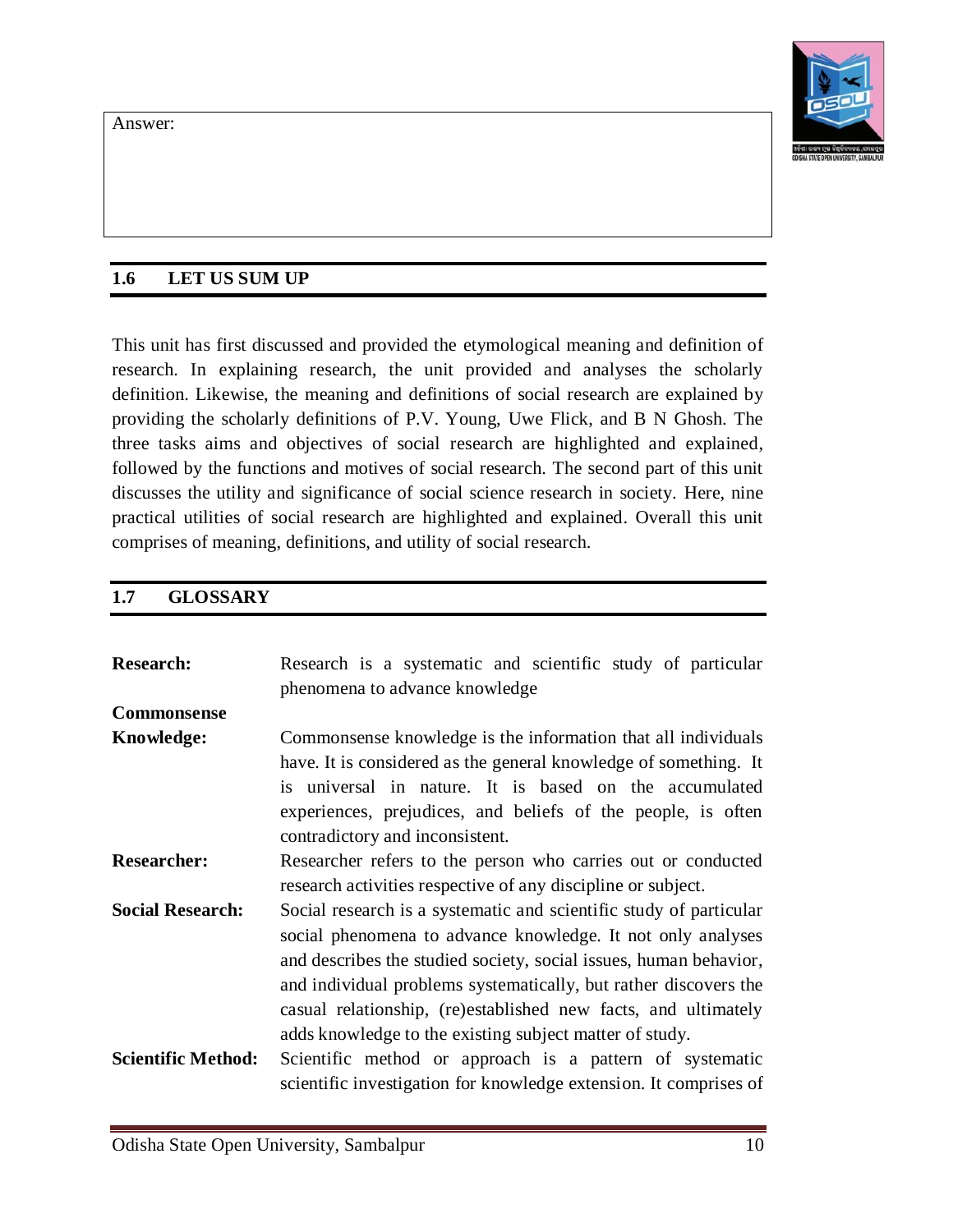

**(Theory** – It refers to those generalized statements the validity of which has already been tested. In other words, it also implies to 'logically interrelated sets of propositions from which empirical uniformities can be derived'.

**Method** – It is a technique or tool applied in order to extract required data. And it is also a step followed for obtaining knowledge based on empirical observations and logical ethos.

**Methodology**- It refers to that research is based on a philosophy that incorporates postulates as well as certain principles (which are logically correlated) employed thoroughly by the researcher to extract data and eventually reaching at the conclusion. It provides a logic of scientific investigation or methods)

The scientific method involves the application of institutional principles, procedures, and techniques of acquiring new knowledge as also for refining existing knowledge. Unlike common-sense beliefs and religious dogmas, the scientific method relies on clearly defined theory, logic and methods to study a problem.

# **3.2 LEARNING OBJECTIVES**

After being familiar with this present unit, you can understand and access to:

- State and describe the meaning of the concept of scientific method.
- Delineate the statement  $-\prime$  Objectivity is an inherent attribute of scientific research".
- Analyzing different characteristics of scientific method in details with proper instances.

# **3.3 CHARACTERISTICS FEATURE OF SCIENTIFIC METHOD**

There is no such thing as the scientific method. The methods of science vary from one field of enquiry to another. They vary from one research worker to another within a field, and even from investigation to investigation by a single worker. It is feasible, however to find a pattern common to virtually all scientific research. This pattern consists inevitably of six elements or steps: **(1)** the assembly of facts or existing information which are empirical evidences **(2)** Scientific conclusions reflecting the result of being truthful **(3)** A technique producing the same result with consistency **(4)** the formation of a system of general propositions to explain the behavior of the facts : **(5)** the prediction, which is an explanation obtained by the deduction from the testing hypotheses not already known from the mere compiled facts: **(6)** the testing of the prediction or verifying the observed facts: **(7)** devoid of personal or value judgments to achieve objectivity **(8)** Science proceeds on an orderly manner or systematically.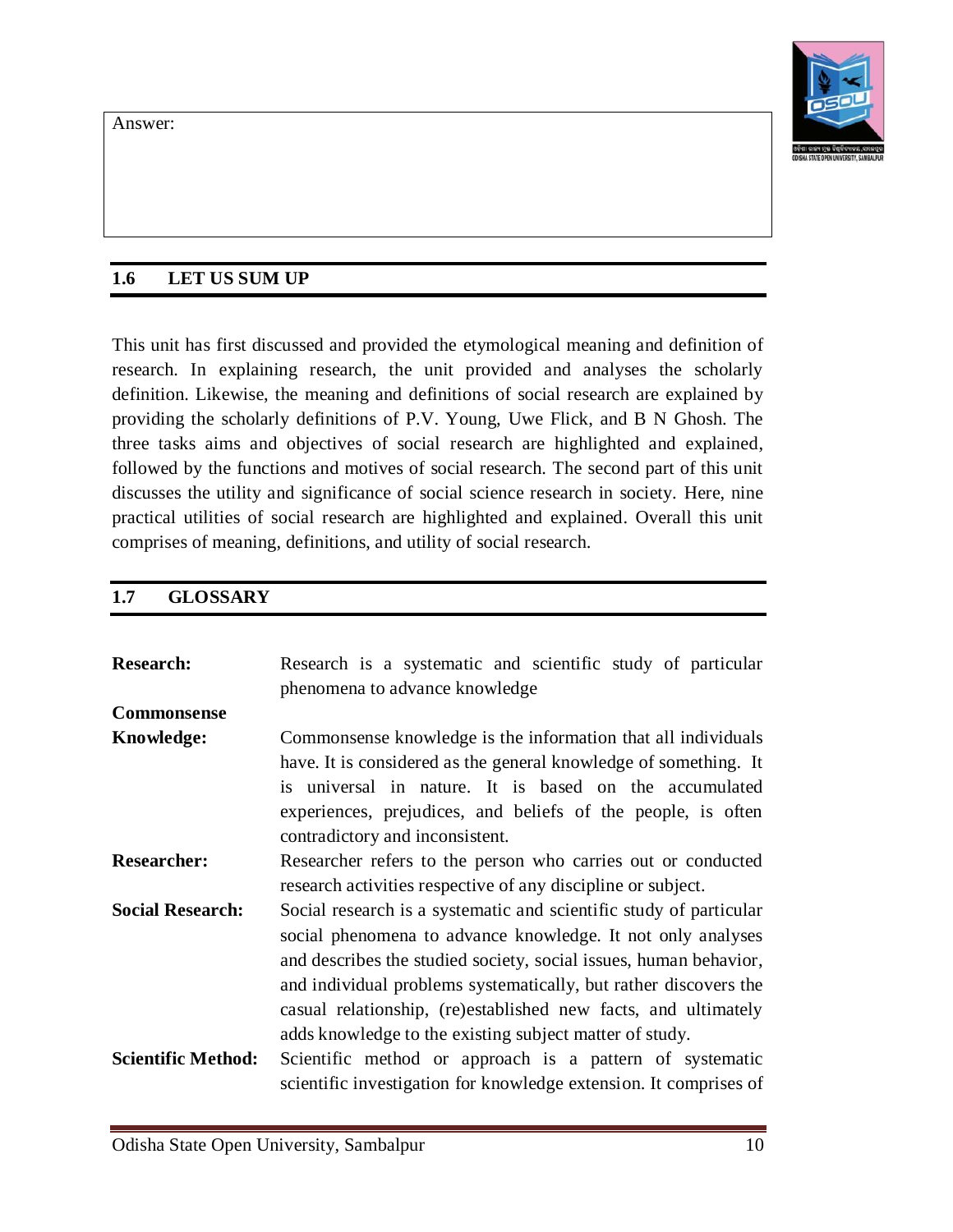### **3.3.1: Empiricism** –



Scientific method relies on empirical evidences which are the first and foremost element of studying the development of science and scientific research. Empiricism came to be accepted more in the 1950s and 1960s onwards by the academics. Today some writers refer to the emergence of a new stage of research, the post-empiricism research. Empiricism is first seeing or observing certain facts and then believing. Observations are to be taken in controlled conditions by qualified observers. Empiricism means replying through experiment. Science is not only with respect to what it is, but also why and how. Experiment is considered a way of compiling the procured evidences so as to allow one to derive inferences over the hypotheses. A test is made to examine if either variable occurs without the other. For instance – Flood situation in Bhadrak. Scientific method is always based on hard facts or true reality.

The scientific investigation is empirical in the sense that it has to be tested or checked against objective reality and each study must be subjected to empirical enquiry. In this way testing one's hypotheses or theories systematically and empirically makes the results of scientific research distinct from the non-scientific ones.

Conclusions are not established unless they are supported by sufficient data. This attribute provides data and data provides the conclusions and finally truth is uncovered. This happens as the conclusions get external validity. In other words truth is established on evidences only. This is arrived through systematic process. Evidences are tested for reliability.

# **3.3.2: Validity**-

Any measuring instrument is valid when it does measurement with most accuracy the objects or individuals and their characteristics. Relevant queries arise here are:

- a) What does it measure?
- b) Are the data it produces relevant to the characteristics in which we are interested?
- c) Does the difference in result represent true differences in the characteristics being measured or are the differences due to influence of other factors?

### **3.3.3: Reliability** –

Reliability is the inherent attribute of any scientific research. It refers to the degree to which scores or result of a test remain same and constant for the same content of measurement over times. In the words of Kerlinger- "the relative absence of errors of measurement in a measuring instrument''. The success of measurement relies on the extent to which errors can be eliminated. In social sciences the instruments of investigation are interview schedule, content analysis and scaling techniques and questionnaire also.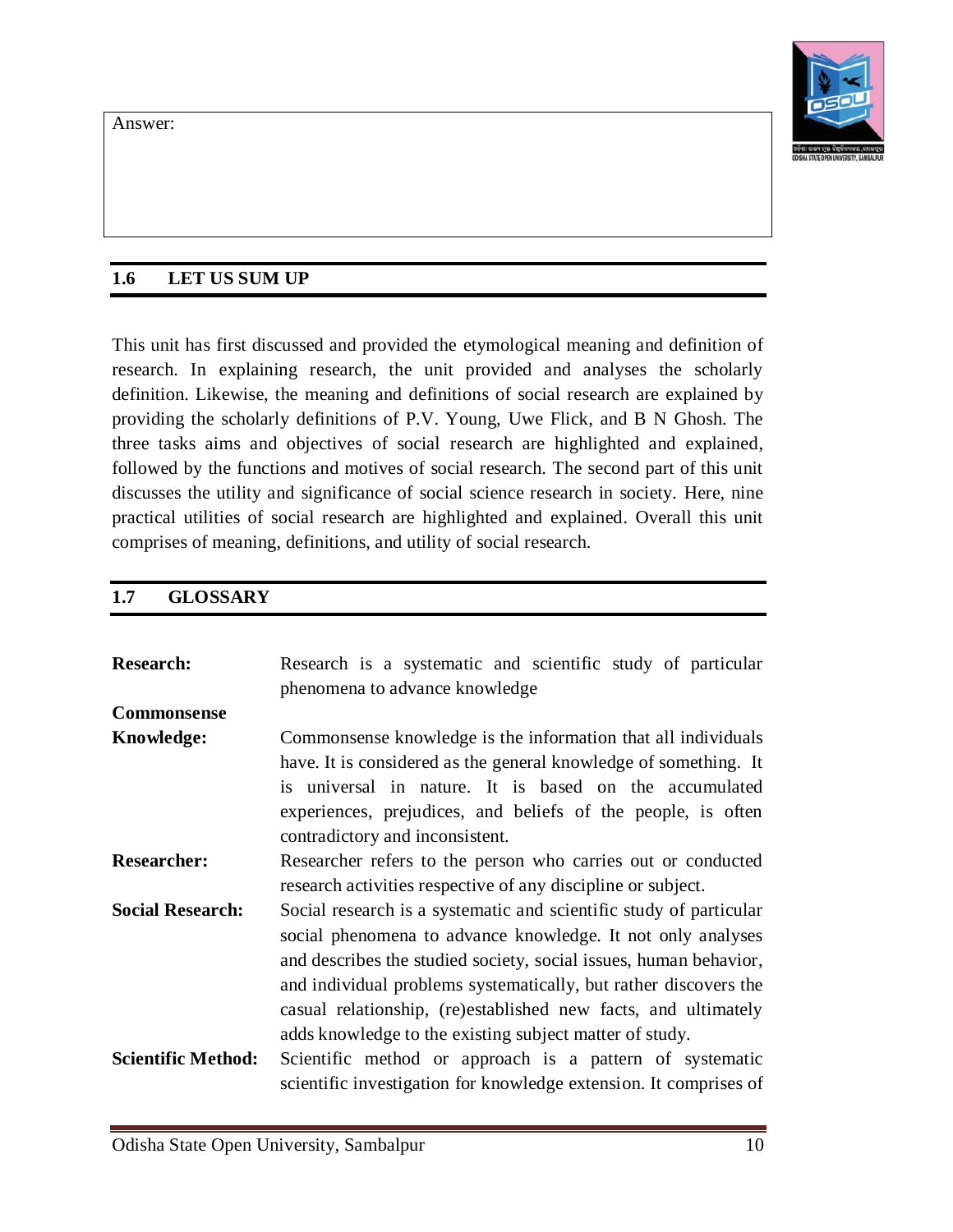

The reliability of a technique is subject to the way as it is constructed and employed. The technique is highly dependable only when it remains highly reliable. There are three diverse avenues by which reliability of a measuring instrument is made for test:

i) If repeated study of the same thing with the same instrument of measurement under the same conditions produces the similar outcomes then only the said instrument can be adorned with the status of being reliable.

ii) The second way of knowing the reliability is by measuring the exact quantum of error in a measuring instrument.

iii) The third way of testing the reliability is by knowing whether the measures obtained from a measuring instrument are true measures of the property being measured. That is, whether the measures are accurate or not.

# **3.3.4: Generality** –

Science is general because objectives of science are to develop and extract general laws of the universe on the observation of the pattern shown by the selected phenomenon. This general law is known as a scientific law as scientific conclusions are not particularistic but general in nature. They are no way concerned with the unique and specific features and behaviors of the individual units but connect to the characteristics of commonality. The generalizations are drawn not only based on selected individuals but also the individuals possessing similar background who have not been selected for the study purpose. In the words of MacIver, '' such a law is simply another name for a carefully described and uniformity recurring sequence of conditions''. Science is a set of general laws logically connected which makes it feasible to predict happenings of a particular event. Science uses facts to test general theory and from general theory it is feasible to make prediction about particular fact.

Individual opinion does not find any scope under the concept of scientific method. So, scientific laws are universally applicable irrespective of time and space. Logic helps in the establishment of the generality of proposition through its method of deduction and induction. The mortality concept of men can be understood through induction and even both deduction method.

# **3.3.5: Verifiability** –

The scientific method never complete after the formulation of general laws is accomplished. Because the accuracy of general laws need to be verified over time. Scientific research is a continuous process of verification. Process of verification consists of repeated study of the same thing under the similar condition in order to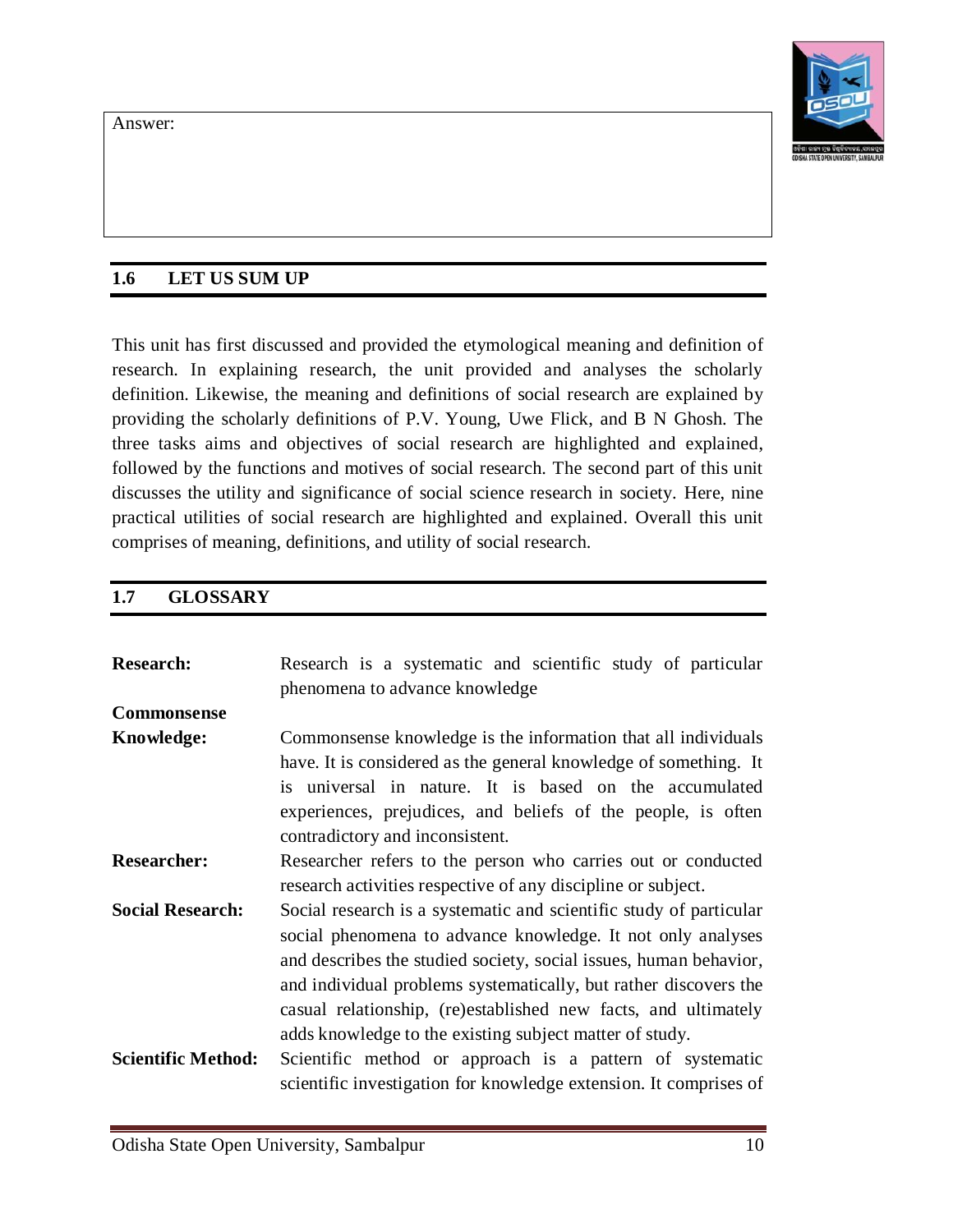

check the accuracy of the conclusion or inferences drawn. It further means that conclusions or results derived from following scientific method are subject to verification at any time if required.

Verification presupposes that the phenomena must be capable of being observed and measured. According to Lundberg – ''if the verification of deduction involves condition of observation which is impracticable or impossible of attainment the theory is metaphysical rather than scientific''. The validity of scientific principles can be ascertained by examination. This validity is their essential condition in the absence of which they forfeit their claim to the title of scientific laws. Scientific method relies on verifiable elements. Science provides scope to verify each and every statement told about the events or fact at any time. Verifiability means ascertaining the truth of proposition or unless data or evidence is verified, the conclusion becomes more metaphysical or unreliable rather than being scientific in character. It denotes the actual character of the phenomena beyond any form of skepticism.

For Instance – God is omnipresent or omnipotent which is purely metaphysical. Because, it cannot be exactly measured and observed directly. In other case such as only a matter expands on being heated which is scientific as it can be exactly measured and verified frequently but producing the results consistently. Now in order to verify this statement we can ourselves heat a matter and watch its consequent condition. Thus, conclusions of research are subject to verification. Simple observations are not of any use.

If the prediction made is found to be correct or if repeated study produces the same result then the study can be considered with accuracy as well as reliable. Verification consists of corroboration of the expressed results, generally by the replication of the observation by the researcher being ethically sound.

The element of verification of scientific research confirms itself with four chief aspects: a) the logical structure of the undertaken hypotheses b) the precise and concise methods c) Criterion of reliability d) the credibility of the study and the problem of verification.

### **3.3.6: Predictability and Control**:

Another characteristic of it is that its result or conclusion can be predicted with sufficient accuracy. Predictability means foretelling the future in advance. The nature of phenomena can be predicted is based on two factors.

A) The establishment of regularity of relationship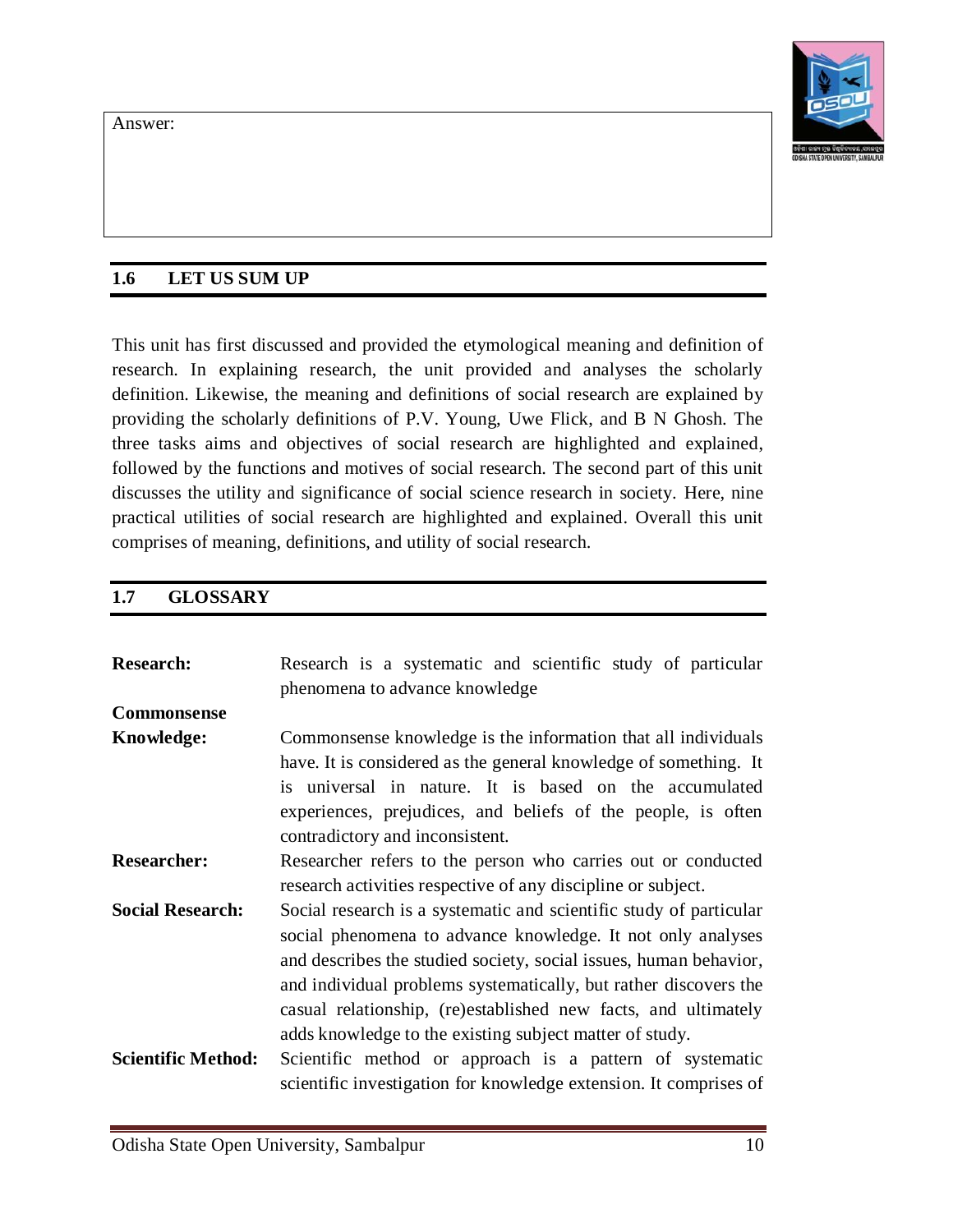

It means the relationship between two minimum variables occur over and over again. For Instance – Full moon will appear on a particular day. Such sort of prediction is made possible under the scientific laws or method. Because the position of the moon is governed by the stable laws regarding the position of the earth and the sun simultaneously. It would have been not possible to make an accurate prediction if they were changing their path too often. Here the moon is governed by them. Often such type of accurate prediction seems tough in case of social phenomena.

B) Uniformity of laws by nature

It suggests that the nature or the natural processes are governed by certain stable laws. For instance – When the temperature of water falls below 0' centigrade it will turn into ice.

# **3.3.7: Objectivity** –

It is a term diametrically opposed to 'subjectivity'. Objectivity is fundamental to all sciences since the goal of all sciences is to unravel the naked truth. At a surface level, it appears very amenable to achieve but in practice it's not so exactly. Hence objectivity is a residual term. According to Wolfe- ''it is the first requisite of all sound knowledge''. Objectivity in scientific method refers to the fact that the conclusions are free from individual choices, biases and prejudices and pre-conceptions. In fact, if the investigator gives much priority on his own beliefs, prejudices, pre-conceptions and impressions, the results of the investigation are not real and factual. Objectivity in other words implies to the repetition of same event under practically identical conditions ( Lundberg,1939).

Objectivity is inevitably required for another element i.e. verification. Objectivity has been defined by Lowell J. Carr, in these words, ''objectivity of truth means that phenomenal world is a reality independent of the beliefs, hopes or fears of any individual all of which we find out not by intuition and speculation but by actual observation. The sole aim of it is that all persons ought to arrive at the same conclusions about the phenomenon under the study. For example when we say that a crow is black and this is an objective statement. Because a crow appears blackish to each and every person undoubtedly. But if we say crow is the most useful and precious bird and this statement lacks an objective character since everybody may not agree with this point.

Thus, Scientific method relies on objective evidences and objectivity provides the external validity to the conclusion. And the use of the term of objectivity is based on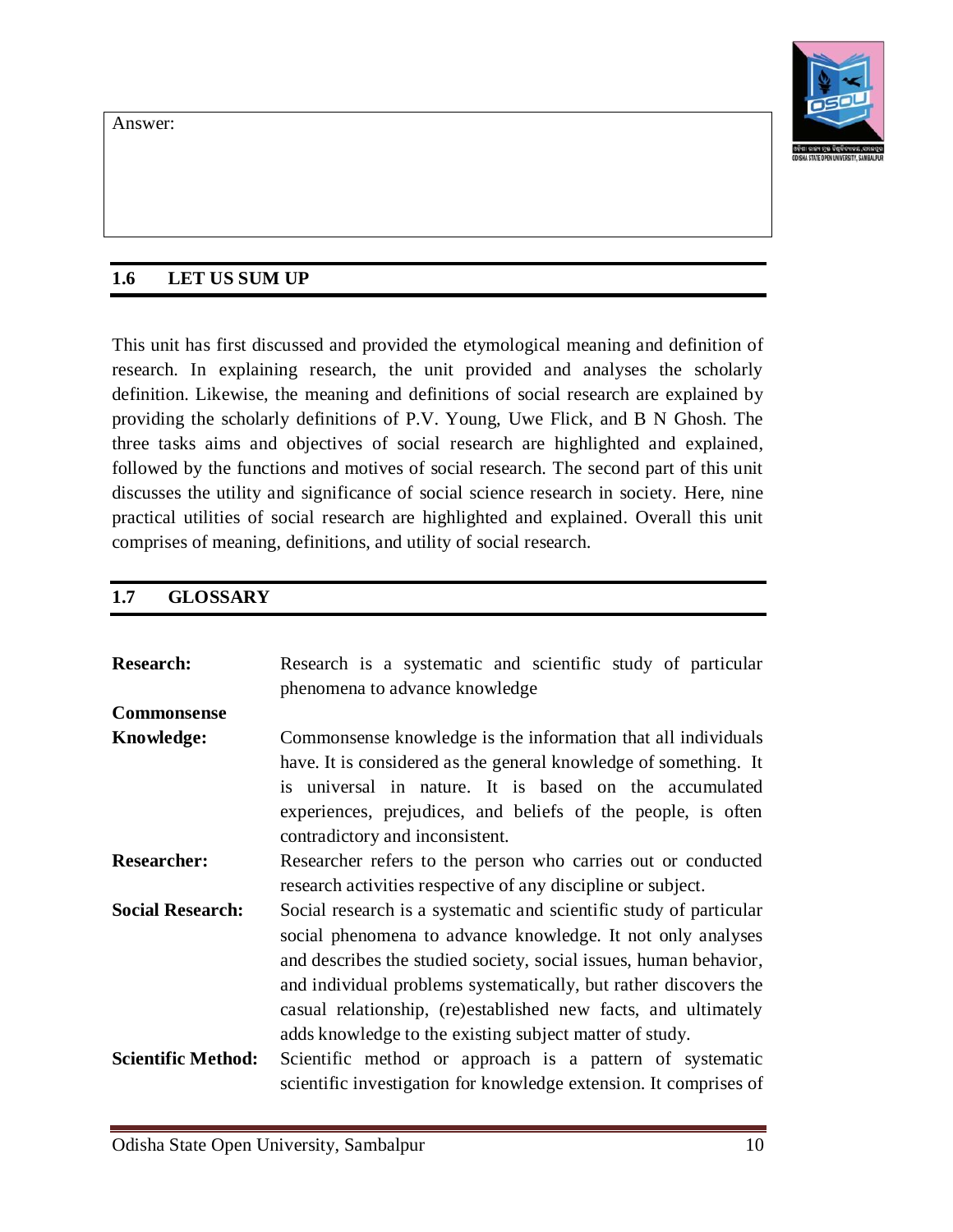

the concepts a) devoid of personal biasness, b) devoid of value judgment c) based on evidence and facts.

## **3.3.8: System** –

While all other characteristics relate to the goal or result obtained out of scientific method, the characteristic called system relates to the means employed that the scientific method is systematic and procedural in nature. It means all the steps in social research are followed rigorously in their proper sequence. So that plants may meet the desired result.

The scientific conclusions are not only true but also they are born of systematic mode of investigation. This is what Lundberg says, 'formality and rigorousness' and Wolfe calls it as 'system'. The result arrived at by means of haphazard methods, even if true, cannot be called scientific because their accuracy is only accidental.

Science proceeds on an orderly manner. It never proceeds haphazardly. Knowledge of science is systematic, because there is internal consistency. New knowledge is based on past knowledge. Science never claims absolutely truth at any point of time because science changes, alters systematically being evolved.

Scientific method is systematic. Because it is like an Occum's razor. So, it constitutes three principles as followings.

- i) Rigorousness of procedures
- ii) Formality of principles
- iii) Validity of conclusions

The first two relate to the technical aspect and the third one relates to the logical aspect of scientific method.

### **3.4 LET US SUM UP**

All above characteristics of scientific method point out that any generalization based on this type of investigation is true. A systematically collected body of scientific evidence is rarely challenged. No wonder, Zikmund has also viewed that the data collected haphazardly cannot be regarded as scientific inquiry.

#### **3.5 GLOSSARY**

**Objectivity-** Objectivity of truth means that phenomenal world is a reality independent of the beliefs, opinion, ideas of any individual or the investigator himself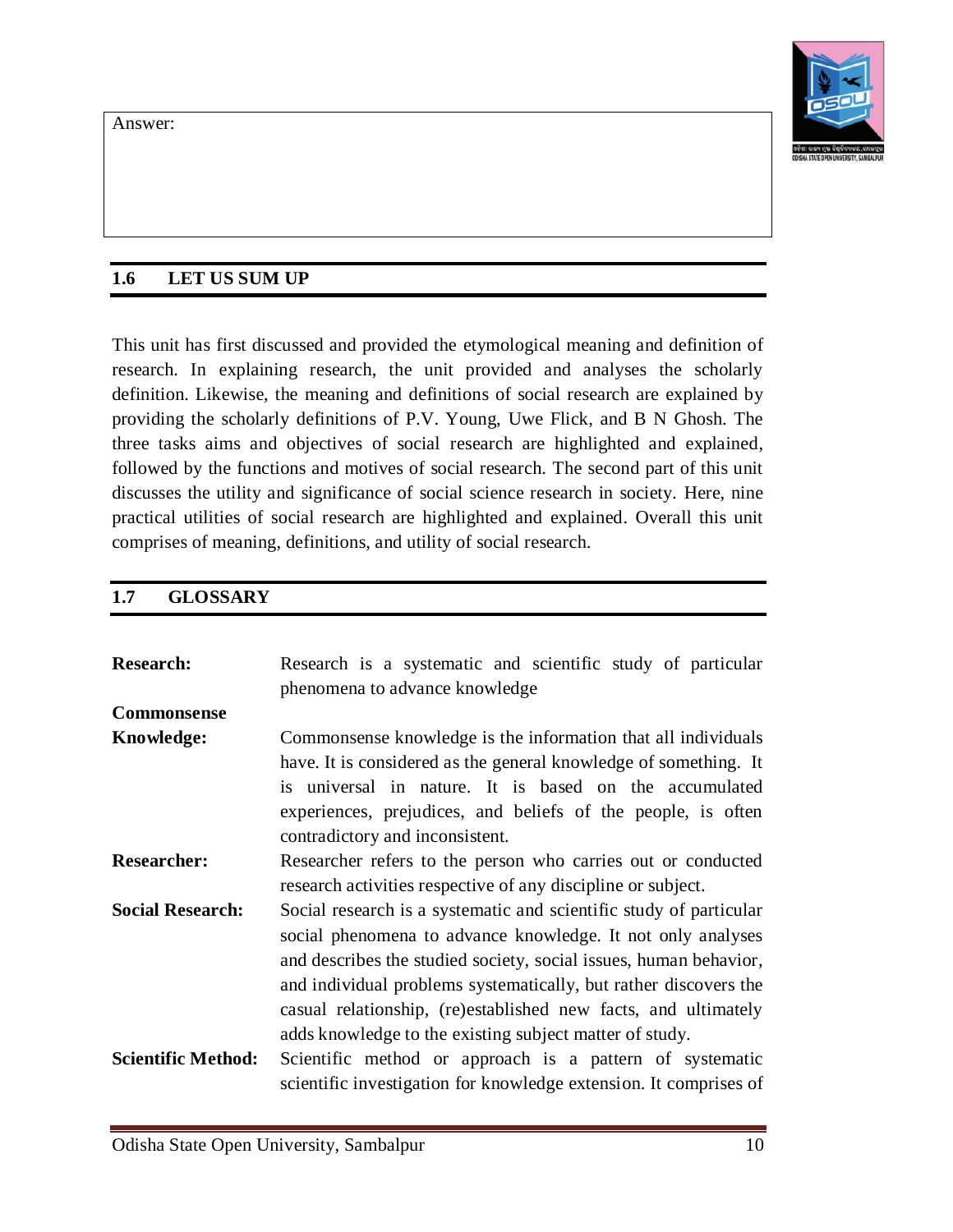

or herself. In an objective study, the phenomena are studied in their actual form without any influence of personal expectations and beliefs and preconceived ideas.

**Empirical Evidences**- Truth is established on evidence only. This is arrived through systematic process. Evidences are tested for reliability.

**Generalization**- Science makes generalization. It is not in isolation but commonality of a series of events.

**Verifiability**- Science provides scope to verify each and every statement told about the event or fact at any time.

**Systematic-** Science proceeds on an orderly manner. It never proceeds haphazardly. Knowledge of science is systematic, because there is internal consistency.

**Reliability**- Science becomes reliable when it produces same result under identical situations. It becomes reliable, if it helps to predict accurately.

**Phenomena**- A phenomena or event is observed in terms of attributes, consequences and becomes subject of study. It is taken as phenomena in behavioral or social sciences.

### **3.6 CHECK YOUR PROGRESS- ANS KEYS**

#### **Activity-1**

Under which conditions and parameters we can regard an instrument as reliable? Try to establish the relation between validity and reliability and they are helpful to a researcher? Do you agree with the statement that 'Validity is a precondition for achieving reliability'?

#### **Activity- 2**

Can you see what needs to be done for the researcher to prove a fact whether it is verifiable or not? You can do this by relating to a topic with the corresponding reality in practice.

#### **Activity-3**

Are you agreeing with the proposition that 'a pure science is predictable in real sense over time'?

#### **Activity-4**

Try to draw some instances in favor of sociology as a general science with the special reference to our social life**.**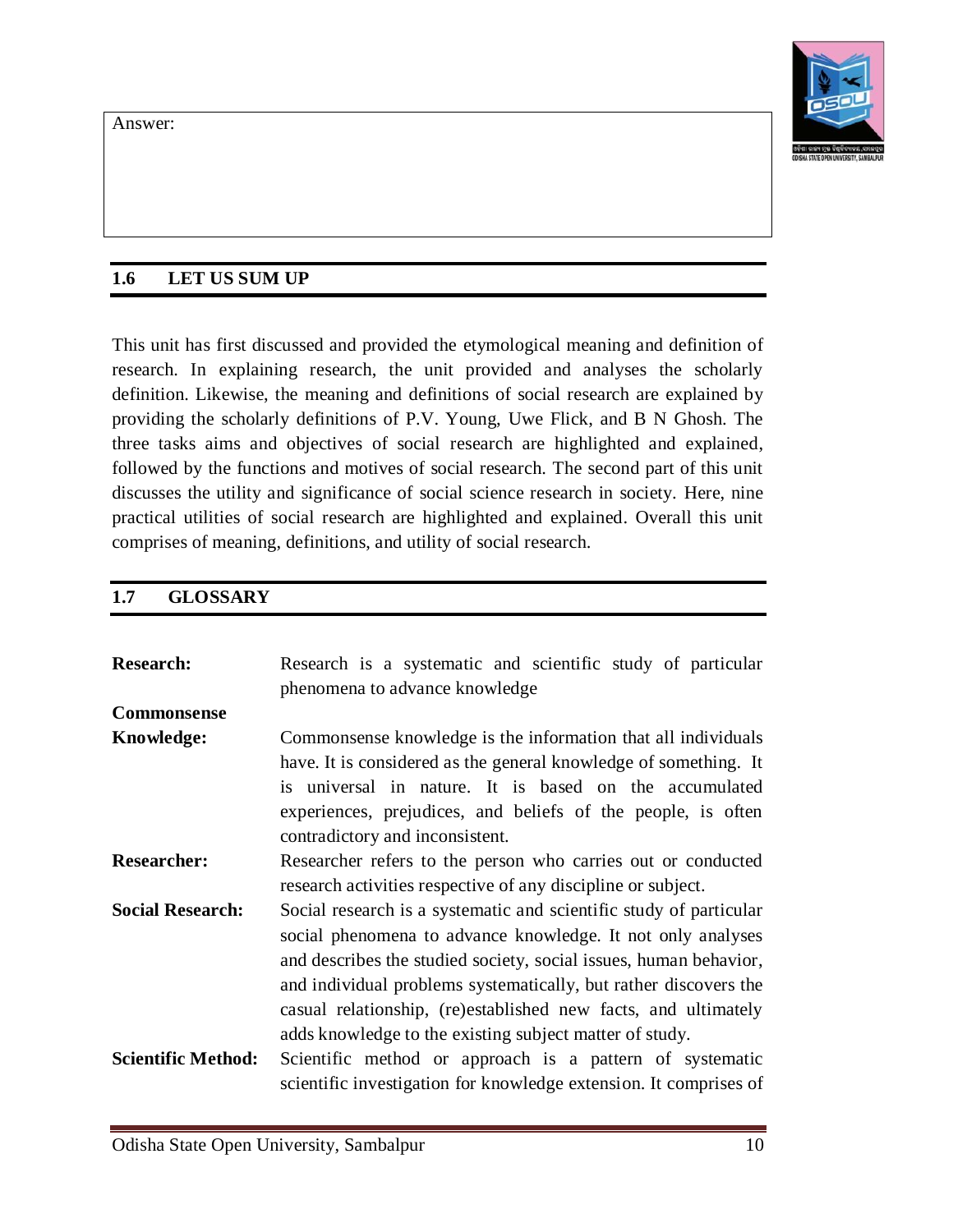

## **Activity-5**

Delineate different characteristic features of scientific method in details with suitable instances?

## **Activity-6**

How objectivity is a vital component of scientific method inherently, explain?

### **3.7 REFERENCES**

- Ahuja, Ram, (1992) Rights of Women: A Feminist Perspective, Rawat Publication, Jaipur.
- Babbie, Earl, (1998) The Practice of Social Research (8th ed.), Wardsworth Publishing Co., Albany, New York.
- Black. James A. and Dean J. Champion, (1976). Methods and Issues in Social Research, John Wiley and Sons, New York.
- Dooley, David, (1997) Social Research Methods (3rd), Prentice Hall, Englewood Cliffs, New Delhi.
- Goode, W. J. And Hatt, P.K., (1952) Methods in Social research, New York : McGraw-Hill.
- Kerlinger, Fred. N., (1973) Foundations of Behavioural Research, 2nd Ed., New York: Holt, Reinhart and Winston,
- Lundberg, George A., (1926) Social Research, New York : Longmans Green And Co.
- Pearson, Karl, (1957) The Grammar of Science, New York Meredian Books Inc.
- Popper, Karl R., (1959) The Logic of Scientific Discovery, New York : Basic Books.
- Sarantakos, S., (1998) Social Research (2nd ed.), Macmillan Press, London
- Wilkinson, T.S. and Bhandarkar, P.L. (1977) Methodology and Techniques of Social Research, Bombay : Himalaya Publishing House.
- Young, Pauline V., (1960) Scientific Social Survey and research, 3rd Edition, New York: Prentice-Hall.
- Zikmund, William G., (1988). Business Research Methods (2nd ed), The Dryden Press, Chicago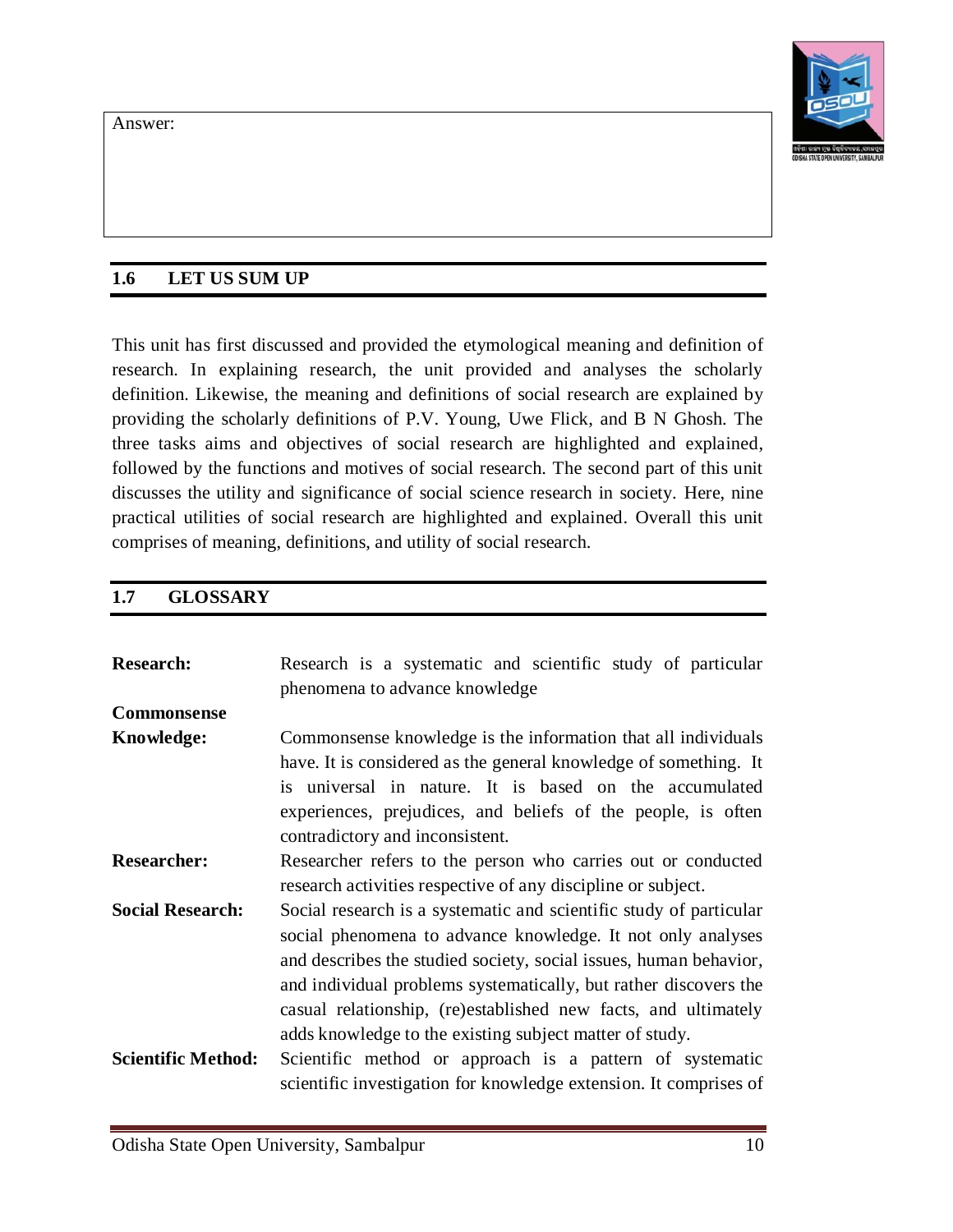

# **UNIT-4 APPLICABILITY OF SCIENTIFIC METHOD**

### **Structure**

- 4.1 Introduction
- 4.2 Learning Objectives
- 4.3 Applicability of Scientific Method in Studying Social Phenomena
	- 4.3.1 Complexity
	- 4.3.2 Predictability
	- 4.3.3 Subjectivity and Intangibility
	- 4.3.4 Dynamic Nature of Social Phenomena
	- 4.3.5 Interdependence of cause and effect
	- 4.3.6 Difficulty in the Use of Experimental Method
	- 4.3.7 Lack of Homogeneity
- 4.4 Let Us Sum Up
- 4.5 Glossary
- 4.6 Check Your Progress- Ans Keys
- 4.7 References

# **4.1 INTRODUCTION**

A subject comes to be known as a science only when it is understood with the use of scientific method in it. The success of science lies in the success of scientific method. Sciences are of two types, positive sciences and normative sciences. Positive sciences further have been categorized into physical sciences and social sciences. Physical sciences incorporate physics, Chemistry, Biology, Botany, geology, etc. Social sciences incorporate Sociology, Economics, and History etc. Today physical sciences have obtained success spectacularly. Social sciences however, have not attained equal quantum of success not their conclusions are expected to be completely valid and specific. In fact, both behavioral sciences and physical sciences are quite different from each other. When scientific method has been most accurately employed in case of physical sciences, it cannot be so conveniently and meaningfully employed in case of social sciences. The principal ground of this discrepancy is that whereas the subject matter of physical sciences is particular and material generally, the subject matter of social sciences is conscious and subtle enough. Hence scientific method cannot be so accurately employed in natural sciences. This brings us to the nature of social phenomena. It is only after an insightful and lucid observation and discussion, we can be certain whether scientific method can be applied in studying a social phenomenon or not.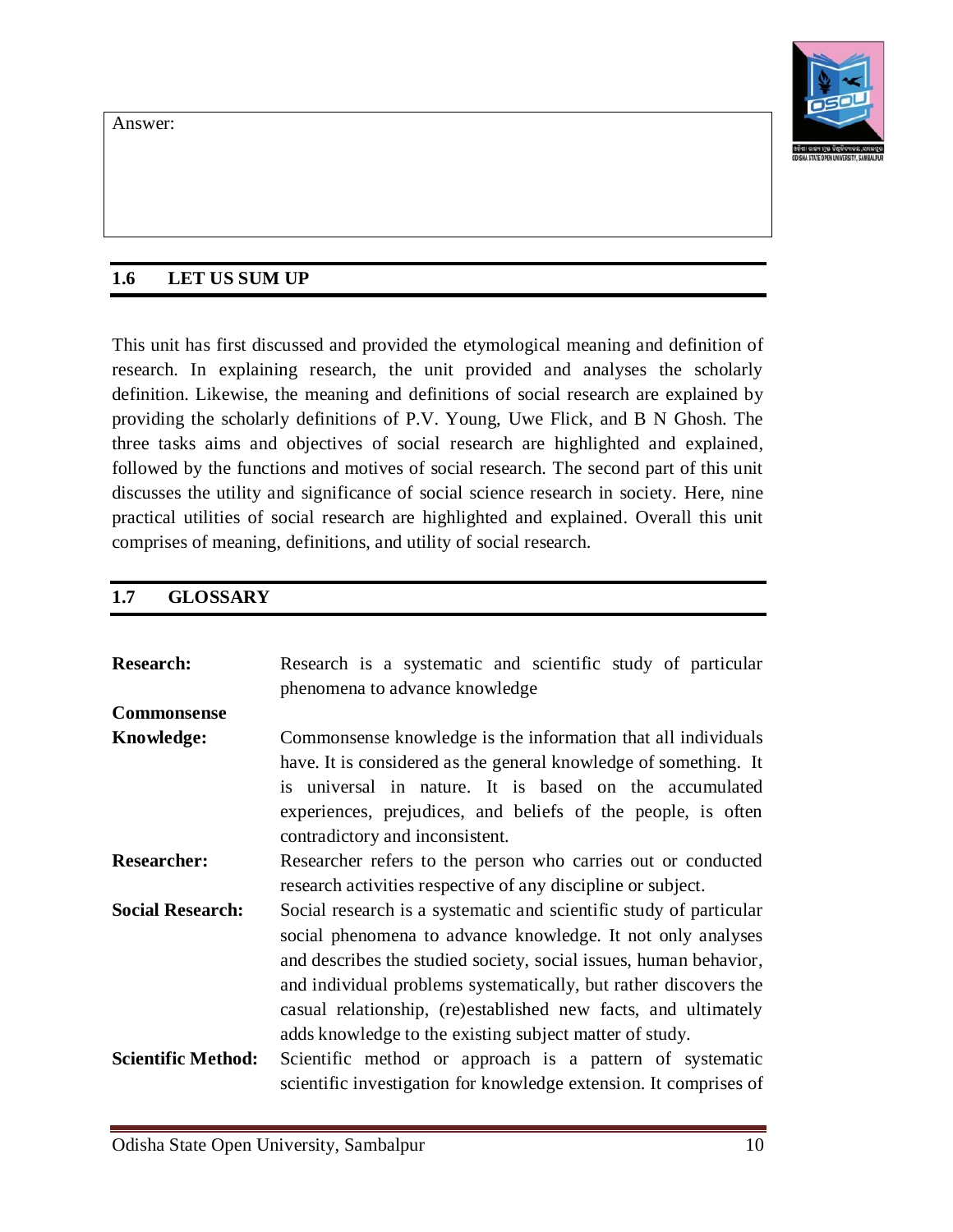

# **4.2 LEARNING OBJECTIVES**

After going through this unit, you ought to be able to:

- Distinguish social phenomena from natural phenomenon
- State and delineate the compatibility and relevance of the relationship between social science and scientific method
- Explain, what are those actual concrete limitations of using scientific method while studying societal phenomenon

# **4.3 APPLICABILITY OF SCIENTIFIC METHOD IN STUDYING SOCIAL PHENOMENA**

Social research deals with the social phenomena, no doubt. But controversy arises here that can scientific method be applied in the field of social research or studying social phenomena. There are two groups of people who opine differently that some are in favor and some are against to this. So that we have to acquaint ourselves with certain difficulties which may be confronted in the application of scientific method during the period of investigation of social phenomena.

# **4.3.1: Complexity** –

Complexity simply means that lack of universality, absence of order, lack of regularity of relationship, and lack of regularity of patterned relationship. This sort of complexity is only seen in case of social sciences. Social phenomena are found to be very much complex and intricate. Society consists of social relationships. Social relationships manifest in the mutual behavior of human beings. Human behavior is complex and vivid. This complexity makes its study more difficult than that of physical phenomena. It has been rightly pointed out by G.A. Lundberg, ''Perhaps the most frequently urged deficiency to a true science of human group behavior is the complexity of its subject matter''. In fact, innumerable factors influence human relations and behavior, of which the most prominent are geographical, economic, social, psychological, political, religious and cultural aspects. Apart from this, many more latent factors still influence and determine also the behavior of human beings. All these make human behavior dynamic and intricate to a great extent. It further makes it difficult to control and determine. But the entities determining physical phenomena may be easily controlled which is not like that in the case of social phenomena.

As the factors causing social phenomena are not specific and to be particular, it is a herculean job to find out cause-effect relationship everywhere and at any time. For instance, the economic factor does not carry the same influence everywhere. Therefore, as compared to natural science phenomena, the societal phenomena are found to be much more intricate. Take for another illustration – no two persons are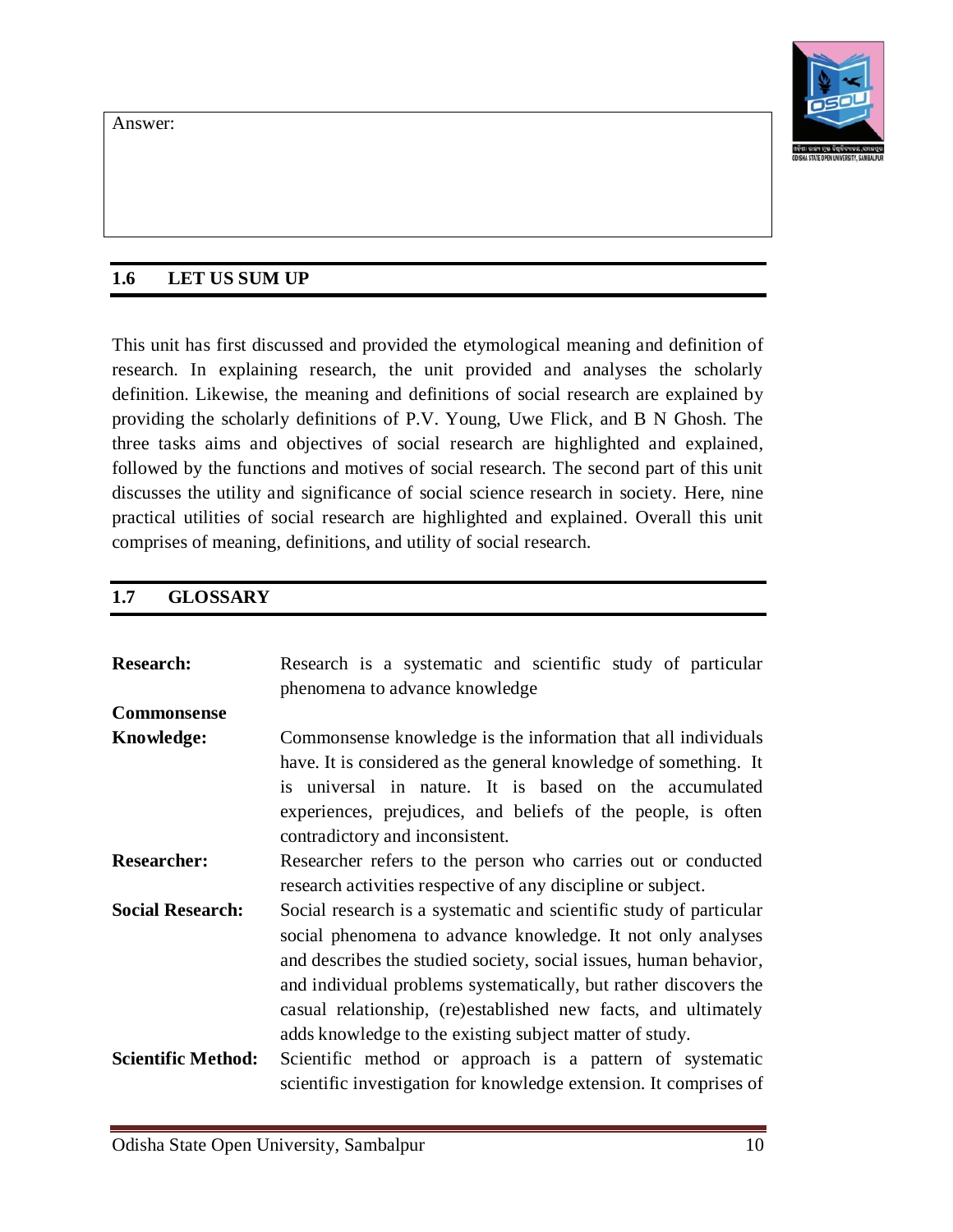

alike and behavior changes from time to time under the pressure of circumstances. Under such conditions, it appears almost impossible to formulate any law that guides human behavior. It is therefore said that because of this complexity, the social data can be put into scientific test.

Arguments Against-

It is not wholly correct argument advanced by the following reasons.

i) In the midst of complexity, there is always underlying unity. It is correct that two individuals are not similar, but there is a fundamental attribute of commonality prevails to everyone. Take for an illustration if everyone is pleased when they are admired and feels disgusting when they are scolded. They may be in a different degree but the influence is exactly same.

ii) However, this does not mean that scientific method cannot be used in the field of social phenomena. In fact Complexity is not an absolute term, it is relative. A subject matter is complex as long as our means of enquiry are not available to probe it. For example- to a baby, the sayings of elders are difficult. But as he grows up and understands things, then the complexity start to disappear.

If the means and methods are sufficiently devised, the same subject matter will not appear much more complex. This is particularly found to be in social phenomena. As means and methods in the field of social sciences commence to develop with an expected improvement, then social phenomena will also become sufficiently amenable and subject to scientific enquiry, no doubt.

Equal degree of complexity among physical sciences as well as natural sciences prevails. For example – electrons in an atom do not move according to any system, thus does not hold good especially.

### **4.3.2: Predictability** –

Predictability is an essential nature of a science. In case of physical science, predictability is proved to a great extent. The laws of science are true irrespective of time and space. For example, the time and date of the eclipse of the moon and the sun can be exactly predicted; while no such exact prediction can be made about trends of social change in social institutions like family and marriage etc. Similarly, the behavior of human individuals cannot be exactly predicted. It is difficult to predict as to who will commit suicide and when and why. There are several reasons why prediction is not feasible about social phenomena. Social phenomena are complex, abstract, dynamic, specific and qualitative. Therefore, prediction about them is not easy. Man is naturally a complex and dynamic creature. It cannot be exactly determined as to what will be the influence of a particular environment on a particular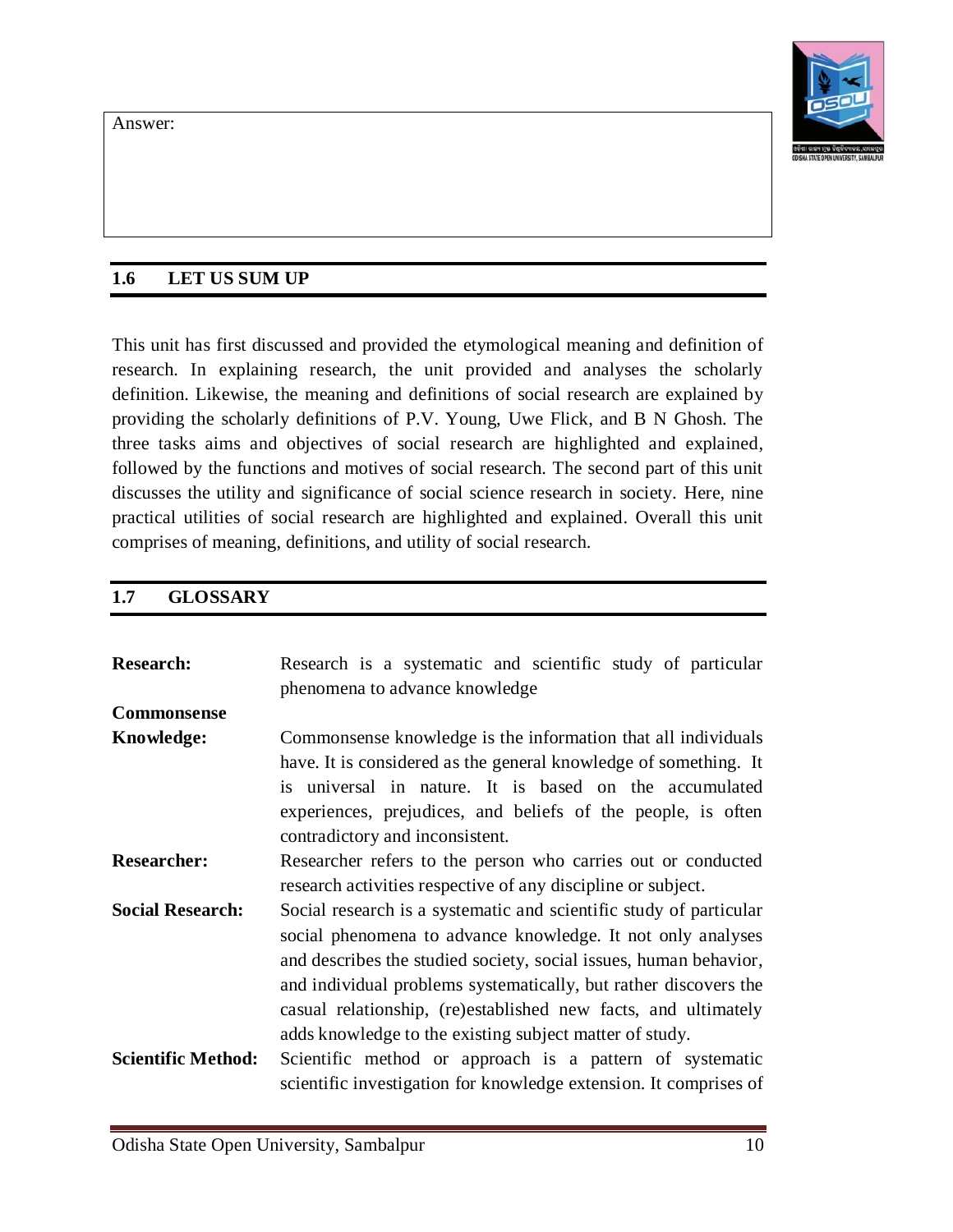

individual. Neither the human circumstances nor their influence on human beings is definite. Therefore, it is difficult to predict about the causes of social events.

But in social sciences, it is not so exactly. Social behavior is adequately irregular and unpredictable. Personal whims and moods supersede the actions of human beings that we can never be quite sure what they would do under certain given circumstances. As human behavior is not uniform and uncertain so, we cannot foretell in advance.

### Arguments Against-

i) It can be regarded as true that if the behavior of an individual cannot be predicted but the behavior of an entire group can surely foretold with adequate exactness.

ii) It is difficult to predict about the causes of social events. So, Social sciences like notably Sociology can make predictions the future of a happening in advance our social relationships on the basis of cause-effect association. If any sort of disturbances in family becomes pronounced, it can make predictions in relation to the number of divorces, use of drugs, and peer group influence etc. Discovering its cause-effect association, it can determine 'what will be' on the basis of 'what is'.

iii) Predictability is difficult in case of social sciences, but it is not impossible entirely. So there is ample scope in it. As more and more scientific methods of studying social phenomena are available, there will be more progress in the direction of prediction about them. The social engineer will be able to predict more exactly as he may control the circumstances governing social relationships

#### **4.3.3: Subjectivity and Intangibility**:

The physical phenomena can be identified through our senses directly whereas social phenomena as traditions, customs, attitude, values and the whole realm of so called subjective world which is doubtful. Due to lack of ample objectivity the verification appears rather so difficult. It is difficult to say that all persons may see all those subjective things which manifest at an abstraction level like customs, traditions and values in the similar lens.

Arguments Against:

- i) Certain techniques now have been evolved to measure most of the so called subjective things in an objective manner. For Example- measurement of body, nose, bones, and skull etc. This is so exactly even in a behavioral science like Anthropology.
- ii) Abstract things like tradition, customary behaviour and feelings have become sufficiently standardized that all people understand them in the same manner.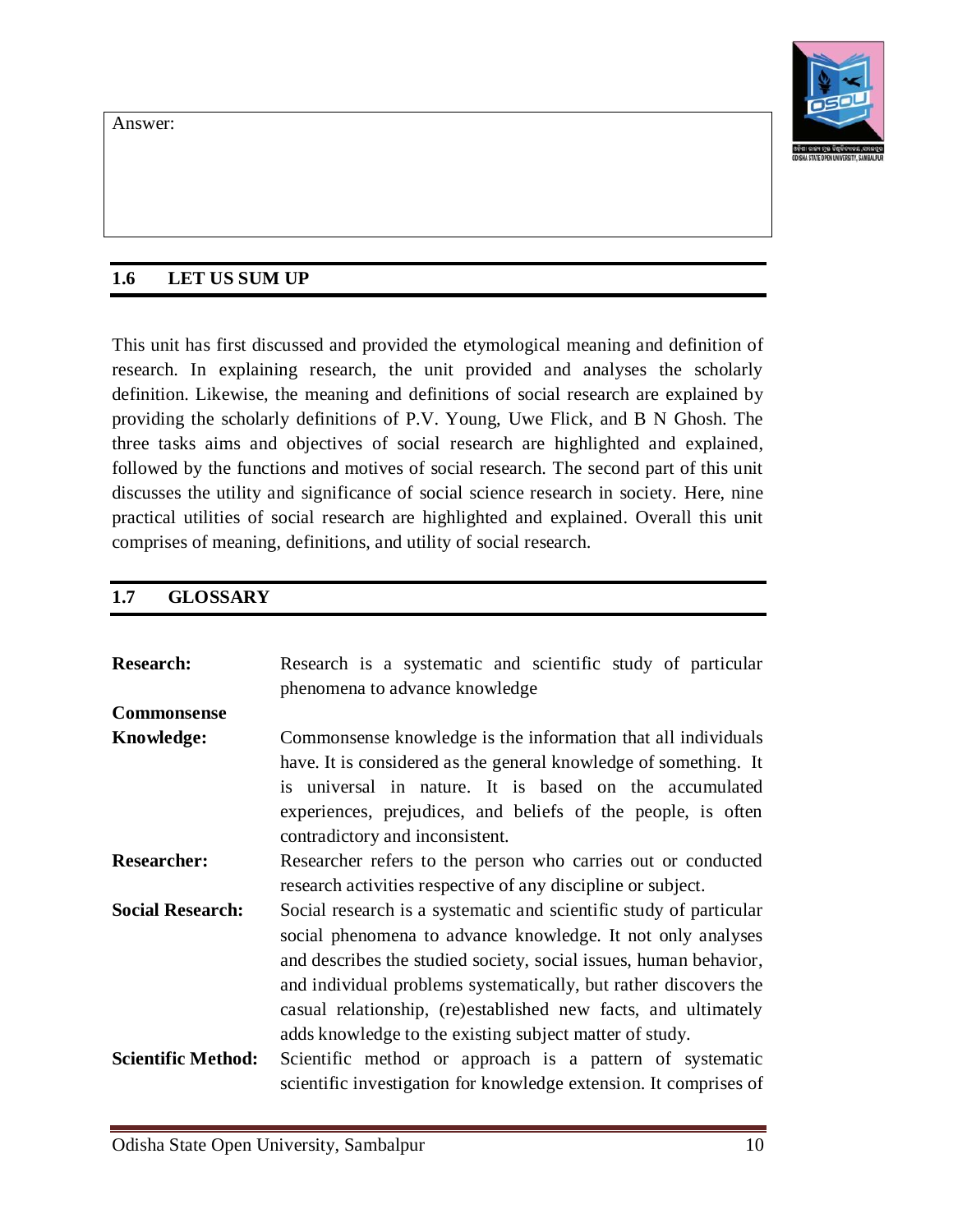

### **4.3.4: Dynamic Nature of Social Phenomena**

Most of the physical sciences deal with inanimate things like oil, wooden material, soil, water, chemicals etc. All those physical things do not change much over time. There are observer and the observed, the researcher and the matter can be clearly distinguished.

In case of human beings, it is not accurately so. It is ever changing to a great extent. Therefore what was the true of the past may not remain intact for the sake of present and future situation. The researcher has to suggest that what can be the remedy for the present type is not for the future or past. Due to dynamism of societal realities, it becomes rather difficult to do so. For Instance, fashion may change over times during the course of a single fashion survey itself. Group behavior, again, is changing continuously. Behavior on the individual plane cannot be easily visualized. Very often we may observe sudden and abrupt change in individual and group behavior. Therefore, as compared to physical phenomena, social phenomena are not stable and consistent in nature.

Complete universality is only a myth and is rarely obtained in behavioral sciences. This is chiefly so due to heterogeneous nature of social phenomena. Universality is there to be found in physical sciences due to the homogeneity of basic qualities which is very difficult to ascertain while studying of social phenomena. Universality in real sense in case of the laws of social sciences thus means a limited universality and they are only true under specific conditions.

#### Arguments Against:

Apparently this seems as a valid reason. But it is not perfectly so. Although human beings are changing, becoming more intelligent and wise through experience. Still there is fundamental instincts remain unchanged. Basic nature remains the same and as a result facilitates the research.

#### **4.3.5: Interdependence of cause and effect**

In case of a social phenomenon, the cause and effect are interdependent and one stimulates the other which is evident in the association between unemployment and poverty. It is therefore very difficult to ascertain what the cause is and what is the effect and as the cause appears to be the effect at times and vice-versa also which is not so in concrete physical sciences.

For example - Poverty is associated with criminality. Here if poverty is construed as the cause of criminality also vice versa can be understood. So, it is a herculean job to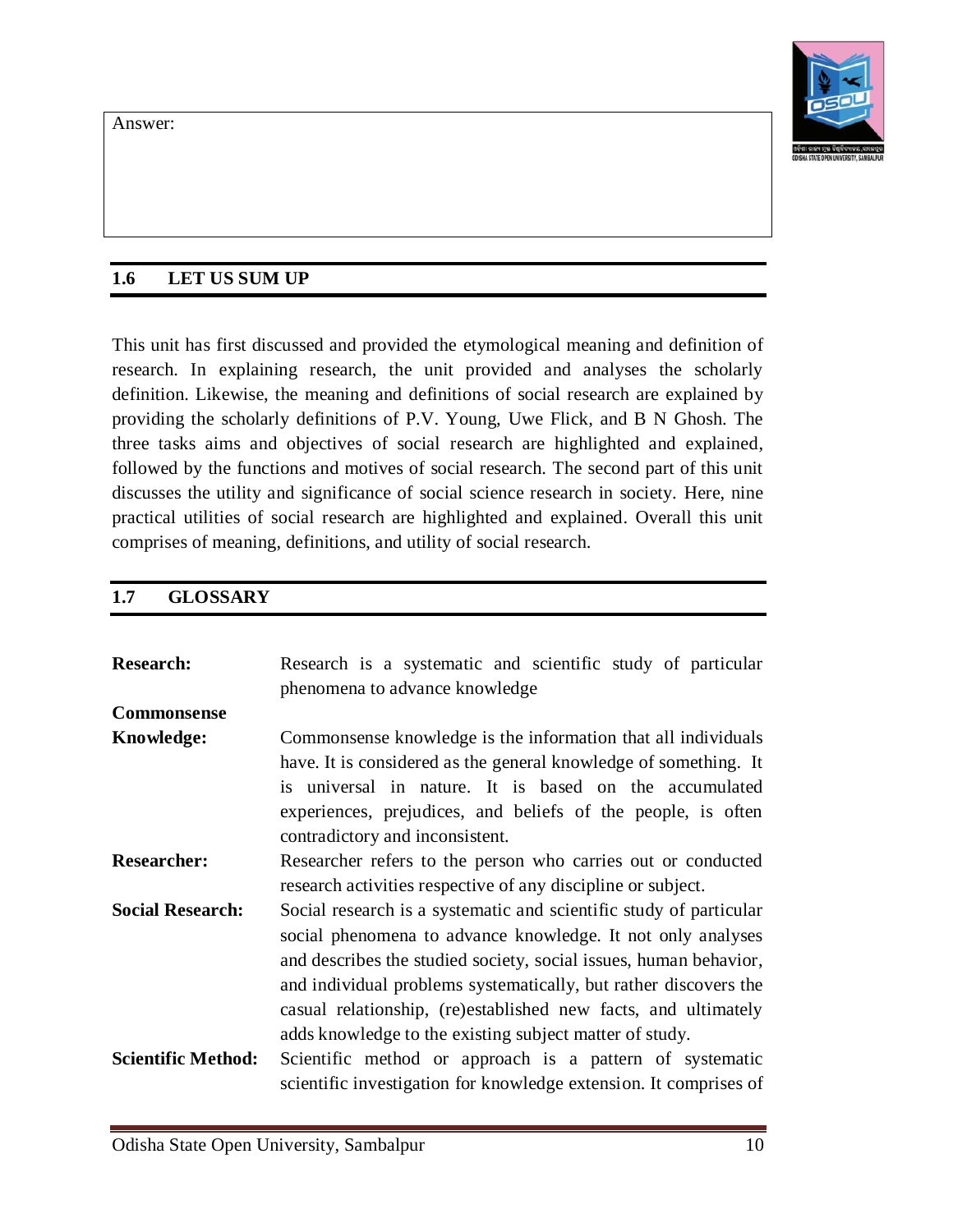

distinguish between poverty and criminality i. e cause and effect or as an independent variable and dependent variable. But this is not to be found in natural sciences.

### Arguments Against:

In an instance- divorce and family disorganization, divorce is an effect while family disorganization is understood as a prominent reason. Thus, Sociology has uncovered a cause-effect association between the phenomena of divorce and family disorganization. In similar lens, Sociology sees and examines cause effect association in social disorganization and other intended issues and entities in a given society.

Above reason seems valid. But we now may take another case – ""Are low wages a cause of poverty"? Yes. But it is not poverty a cause of low wages? MacIver sums in the end that unless we realize this fact we will be asking wrong questions and finding wrong answers.

# **4.3.6: Difficulty in the Use of Experimental Method**

Most of the physical sciences can be put and subjected to laboratory test under specified conditions. The deductions are more accurate and universal that they can be tested at any time.

In case of social sciences such a facility is completely lacking. We can never hope to put human beings to laboratory test. Even if it is done, their responses would not be natural. In the similar lens, religion cannot be put into a laboratory for experimental purpose.

# Arguments Against:

Above argument is although correct but not in absolute forms. There are some physical sciences like astronomy cannot be put into laboratory situation, but everybody can regard it a place of definite science. Now some branches of social sciences too (psychology, psychiatry etc.) Instruments have been devised for testing brain wave intelligence etc.

# **4.3.7: Lack of Homogeneity**

It is genuinely assumed that no two persons are similar and for which the conclusions derived from the study of any single case may not be understood in some other cases. There is no ambiguity that the nature of homogeneity is much meager in societal phenomena case in comparison to all those natural sciences.

### Arguments Against:

But the fact to which we all may agree that any two persons are not quite different from one another. Now this case has been thoroughly studied and proved that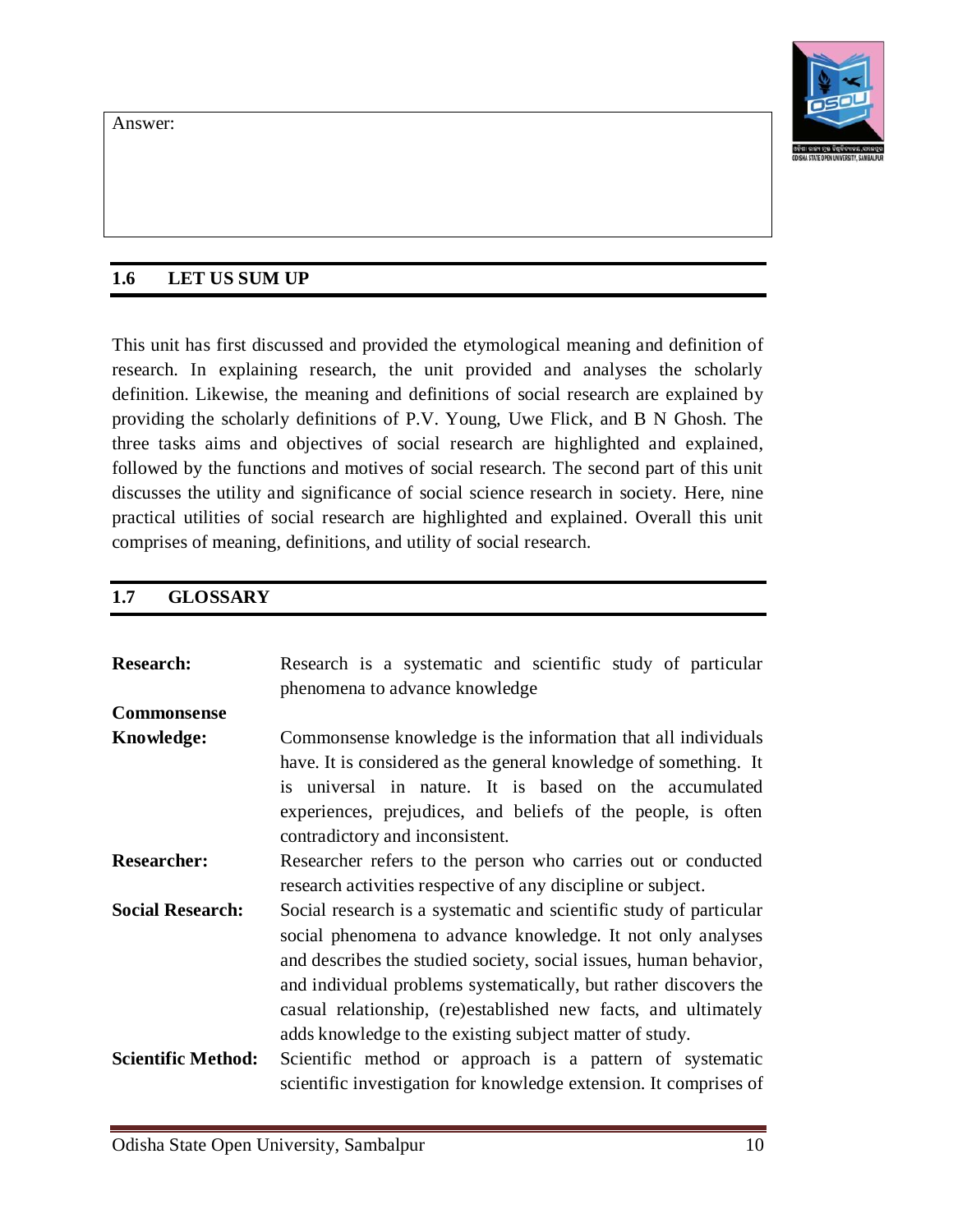

conclusions on group behavior and psychology of a whole group are not just with less significance. These cases are found to be taken for granted substantially. Though two people are not similar accurately in all attributes, but basic pattern under particular situations remains intact. It is certainly feasible to categorize some persons on the basis of common traits in a definite way that there is unambiguously a high degree of resemblance among the different types of group.

Henry Ford has added much in this regard that any two motor vehicles if they are found to be similar in configuration, but having road habits differently. In this way it's not adequate to say that due to lack of homogeneity, scientific method cannot be applied in studying social phenomena. So more importantly, it's here pertinent to mention the remark of Lundberg that if two persons are not similar in their perception, behavioral responses, attitude, and even way of life, certain techniques must be devised to study them. He has also said that even in medical sciences, no two cases are accurate, but the methods being used are consistent in other different case studies.

# **4.4 LET US SUM UP**

Social sciences primarily deal with the behavioral aspects of human beings, which is, by and large, complex and dynamic in nature. One cannot, therefore investigate under conditions as in physical sciences. This emanates numerous problems for the researcher like the problems of subjectivity and individualistic generalizations etc.

The problems coming out of the content as well as nature of social sciences do not seriously diminish the importance of scientific method for social researchers. Notwithstanding the inherent limitations of social sciences, scientific method can be positively acceptable along with its own shortcomings for the study of social phenomena.

It is thus conclusively proved that the various arguments assuming sociology outside the boundary of science is enough incapable of being dealt through scientific method do not illuminate much relevance and significance.

**Lundberg** says – ''the difficulties therefore which appears to prelude the possibility of a true science derive from our underdeveloped technique and methodology of study and our consequent unfamiliarity with the data rather than from inherent differences in the data themselves.''

But, it is worthful and relevant to note that tendency towards the use of scientific method is fast growing in sociological research and in near future perfect laboratory technique like other physical sciences may be developed.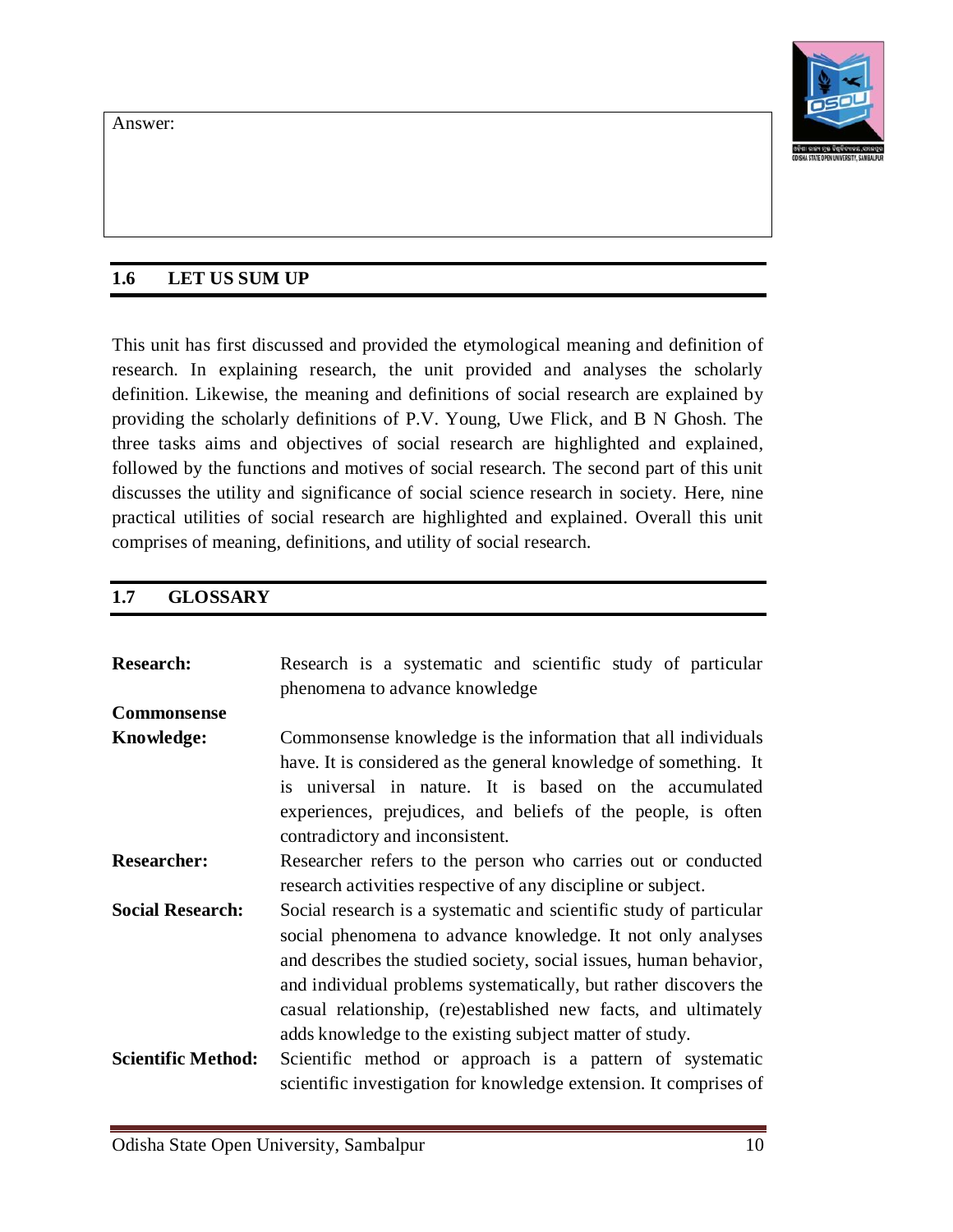

It is crystal clear from the foregoing discussions on Social sciences or sociology that in Social sciences particularly in Sociology, research endeavor with the use of scientific methods is possible but at an abstraction level. The laws of these abstract forms can determine what would be the consequent reactions of concrete things. In this way the laws of Sociology are effectively verifiable and universally generalizations can be made feasible. Sociology always seeks to uncover cause-effect relations in social, educational, industrial, religious, family structures, including other social facts. Sociology as a science has witnessed a revolutionary change in man's assumptions and also has paved the way hopefully for a future of social harmony in human society.

### **4.5 GLOSSARY**

**Subjectivity** – The attribute of being based on or influenced by personal feelings, preconceived ideas. For instance when an investigator wishes to study purdah system prevalent in Muslim community, his research conclusions may be biased with a greater possibility.

**Intangibility**- Which is something persists at a latent form not being explicit like an physical object (chalk, Blackboard, water, soil) such as love, affectivity, anxiety, and hate etc.

**Social Phenomena**- This is something prevails as it is concerned with an individual's observable behavior that influences another individual. For Example- Caste system or Casteism is a social phenomenon because it is an ideology that people have created out of their increased interaction.

**Homogeneity**- the quality of being the same type or kind which is reverse to heterogeneity

**Complexity**- Lacking an order or a patterned relationship in a phenomena due to dynamism

#### **4.6 CHECK YOUR PROGRESS-ANS KEYS**

**Activity-1**: 'The subject matter of social science is more complex than the subject matter of physical science'. Justify this statement with your own viewpoints with suitable instances

**Activity-2**: Bias and Cultural stereotypes are less impacting factors in physical sciences in comparison to Behavioral sciences. Elucidate this Proposition with proper instances drawing a demarcation between these two different sciences.

**Activity-3**; what are the limitations with regard to the application of scientific method in case of social science research? Give your own comments from your understanding. **Activity-4**: Is Scientific method truly applicable while studying any social phenomena?